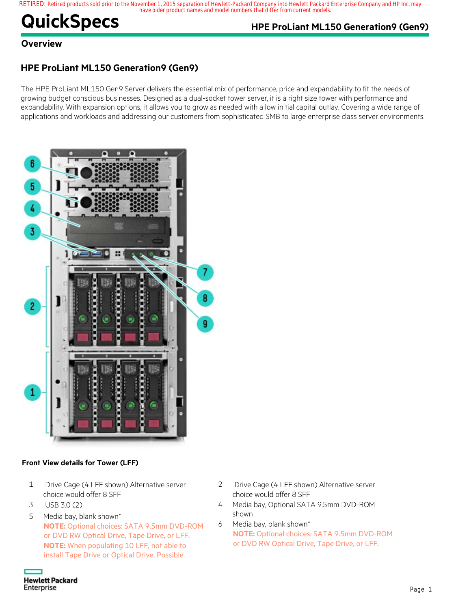#### **RETIRED: Retired products sold prior to the November 1, 2015 separation of Hewlett-Packard Company into Hewlett Packard Enterprise Company and HP Inc. may have older product names and model numbers that differ from current models.**

# **QuickSpecs HPE ProLiant ML150 Generation9 (Gen9)**

## **Overview**

## **HPE ProLiant ML150 Generation9 (Gen9)**

The HPE ProLiant ML150 Gen9 Server delivers the essential mix of performance, price and expandability to fit the needs of growing budget conscious businesses. Designed as a dual-socket tower server, it is a right size tower with performance and expandability. With expansion options, it allows you to grow as needed with a low initial capital outlay. Covering a wide range of applications and workloads and addressing our customers from sophisticated SMB to large enterprise class server environments.



#### **Front View details for Tower (LFF)**

- 1 Drive Cage (4 LFF shown) Alternative server choice would offer 8 SFF
- 3 USB 3.0 (2)
- 5 Media bay, blank shown\* **NOTE:** Optional choices: SATA 9.5mm DVD-ROM or DVD RW Optical Drive, Tape Drive, or LFF. **NOTE:** When populating 10 LFF, not able to install Tape Drive or Optical Drive. Possible
- 2 Drive Cage (4 LFF shown) Alternative server choice would offer 8 SFF
- 4 Media bay, Optional SATA 9.5mm DVD-ROM shown
- 6 Media bay, blank shown\* **NOTE:** Optional choices: SATA 9.5mm DVD-ROM or DVD RW Optical Drive, Tape Drive, or LFF.

**Hewlett Packard** Enterprise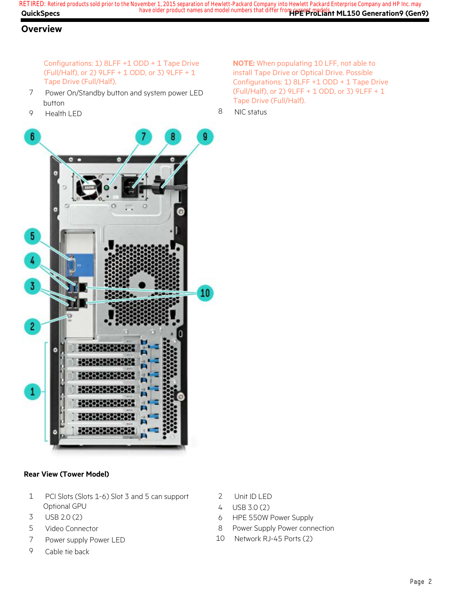**QuickSpecs Here are all of the same of the product names and model numbers that differ from current models. The Seneration9 (Gen9) RETIRED: Retired products sold prior to the November 1, 2015 separation of Hewlett-Packard Company into Hewlett Packard Enterprise Company and HP Inc. may**

## **Overview**

Configurations: 1) 8LFF +1 ODD + 1 Tape Drive (Full/Half), or 2) 9LFF + 1 ODD, or 3) 9LFF + 1 Tape Drive (Full/Half).

- 7 Power On/Standby button and system power LED button
- 9 Health LED

**NOTE:** When populating 10 LFF, not able to install Tape Drive or Optical Drive. Possible Configurations: 1) 8LFF +1 ODD + 1 Tape Drive (Full/Half), or 2) 9LFF + 1 ODD, or 3) 9LFF + 1 Tape Drive (Full/Half).

8 NIC status



#### **Rear View (Tower Model)**

- 1 PCI Slots (Slots 1-6) Slot 3 and 5 can support Optional GPU
- 3 USB 2.0 (2)
- 5 Video Connector
- 7 Power supply Power LED
- 9 Cable tie back
- 2 Unit ID LED
- 4 USB 3.0 (2)
- 6 HPE 550W Power Supply
- 8 Power Supply Power connection
- 10 Network RJ-45 Ports (2)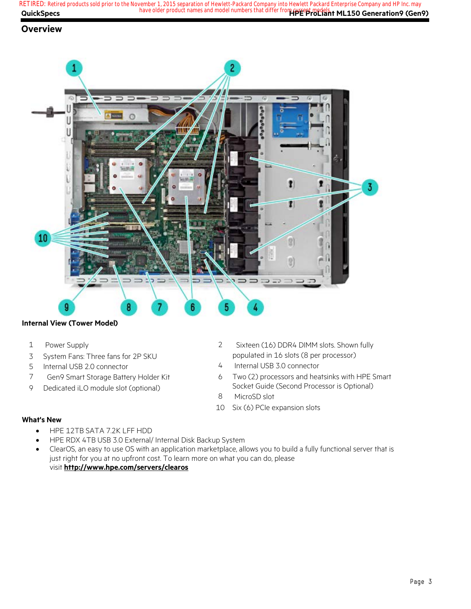**QuickSpecs Here are all of the same of the product names and model numbers that differ from current models. The Seneration9 (Gen9) RETIRED: Retired products sold prior to the November 1, 2015 separation of Hewlett-Packard Company into Hewlett Packard Enterprise Company and HP Inc. may**

### **Overview**



#### **Internal View (Tower Model)**

- 1 Power Supply
- 3 System Fans: Three fans for 2P SKU
- 5 Internal USB 2.0 connector
- 7 Gen9 Smart Storage Battery Holder Kit
- 9 Dedicated iLO module slot (optional)
- 2 Sixteen (16) DDR4 DIMM slots. Shown fully populated in 16 slots (8 per processor)
- 4 Internal USB 3.0 connector
- 6 Two (2) processors and heatsinks with HPE Smart Socket Guide (Second Processor is Optional)
- 8 MicroSD slot
- 10 Six (6) PCIe expansion slots

#### **What's New**

- HPE 12TB SATA 7.2K LFF HDD
- HPE RDX 4TB USB 3.0 External/ Internal Disk Backup System
- ClearOS, an easy to use OS with an application marketplace, allows you to build a fully functional server that is just right for you at no upfront cost. To learn more on what you can do, please visit **http://www.hpe.com/servers/clearos**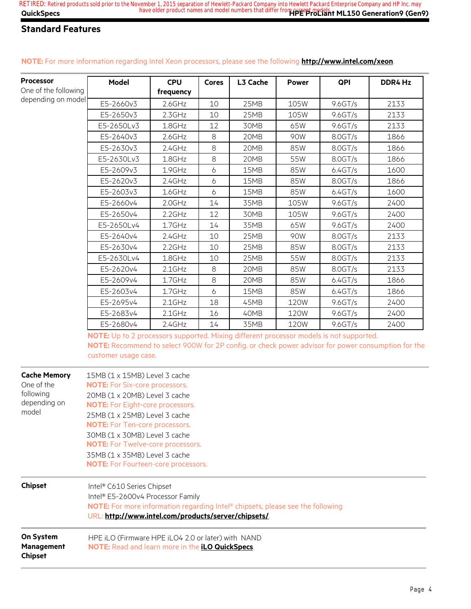| <b>Processor</b>                          | <b>Model</b>                                                                                                                                                                                                                                           | <b>CPU</b> | <b>Cores</b>          | L3 Cache | <b>Power</b> | QPI      | DDR4 Hz |  |  |
|-------------------------------------------|--------------------------------------------------------------------------------------------------------------------------------------------------------------------------------------------------------------------------------------------------------|------------|-----------------------|----------|--------------|----------|---------|--|--|
| One of the following                      |                                                                                                                                                                                                                                                        | frequency  |                       |          |              |          |         |  |  |
| depending on model                        | E5-2660v3                                                                                                                                                                                                                                              | 2.6GHz     | 10                    | 25MB     | 105W         | 9.6 GT/s | 2133    |  |  |
|                                           | E5-2650v3                                                                                                                                                                                                                                              | 2.3GHz     | 10                    | 25MB     | 105W         | 9.6 GT/s | 2133    |  |  |
|                                           | E5-2650Lv3                                                                                                                                                                                                                                             | 1.8GHz     | 12                    | 30MB     | 65W          | 9.6GT/s  | 2133    |  |  |
|                                           | E5-2640v3                                                                                                                                                                                                                                              | 2.6GHz     | $\,8\,$               | 20MB     | 90W          | 8.0GT/s  | 1866    |  |  |
|                                           | E5-2630v3                                                                                                                                                                                                                                              | 2.4GHz     | $\,8\,$               | 20MB     | 85W          | 8.0GT/s  | 1866    |  |  |
|                                           | E5-2630Lv3                                                                                                                                                                                                                                             | 1.8GHz     | $\,8\,$               | 20MB     | 55W          | 8.0GT/s  | 1866    |  |  |
|                                           | E5-2609v3                                                                                                                                                                                                                                              | 1.9GHz     | $\boldsymbol{\delta}$ | 15MB     | 85W          | 6.4GT/s  | 1600    |  |  |
|                                           | E5-2620v3                                                                                                                                                                                                                                              | 2.4GHz     | $\boldsymbol{\delta}$ | 15MB     | 85W          | 8.0GT/s  | 1866    |  |  |
|                                           | E5-2603v3                                                                                                                                                                                                                                              | 1.6GHz     | $\ddot{o}$            | 15MB     | 85W          | 6.4GT/s  | 1600    |  |  |
|                                           | E5-2660v4                                                                                                                                                                                                                                              | $2.0$ GHz  | 14                    | 35MB     | 105W         | 9.6GT/s  | 2400    |  |  |
|                                           | E5-2650v4                                                                                                                                                                                                                                              | $2.2$ GHz  | 12                    | 30MB     | 105W         | 9.6GT/s  | 2400    |  |  |
|                                           | E5-2650Lv4                                                                                                                                                                                                                                             | 1.7GHz     | 14                    | 35MB     | 65W          | 9.6 GT/s | 2400    |  |  |
|                                           | E5-2640v4                                                                                                                                                                                                                                              | 2.4GHz     | 10                    | 25MB     | 90W          | 8.0 GT/s | 2133    |  |  |
|                                           | E5-2630v4                                                                                                                                                                                                                                              | $2.2$ GHz  | 10                    | 25MB     | 85W          | 8.0GT/s  | 2133    |  |  |
|                                           | E5-2630Lv4                                                                                                                                                                                                                                             | $1.8$ GHz  | 10                    | 25MB     | 55W          | 8.0GT/s  | 2133    |  |  |
|                                           | E5-2620v4                                                                                                                                                                                                                                              | $2.1$ GHz  | $\,8\,$               | 20MB     | 85W          | 8.0GT/s  | 2133    |  |  |
|                                           | E5-2609v4                                                                                                                                                                                                                                              | 1.7GHz     | 8                     | 20MB     | 85W          | 6.4GT/s  | 1866    |  |  |
|                                           | E5-2603v4                                                                                                                                                                                                                                              | 1.7GHz     | $\boldsymbol{\delta}$ | 15MB     | 85W          | 6.4GT/s  | 1866    |  |  |
|                                           | E5-2695v4                                                                                                                                                                                                                                              | $2.1$ GHz  | 18                    | 45MB     | <b>120W</b>  | 9.6GT/s  | 2400    |  |  |
|                                           | E5-2683v4                                                                                                                                                                                                                                              | $2.1$ GHz  | 16                    | 40MB     | <b>120W</b>  | 9.6 GT/s | 2400    |  |  |
|                                           | E5-2680v4                                                                                                                                                                                                                                              | 2.4GHz     | 14                    | 35MB     | <b>120W</b>  | 9.6GT/s  | 2400    |  |  |
| <b>Cache Memory</b>                       | NOTE: Up to 2 processors supported. Mixing different processor models is not supported.<br>NOTE: Recommend to select 900W for 2P config. or check power advisor for power consumption for the<br>customer usage case.<br>15MB (1 x 15MB) Level 3 cache |            |                       |          |              |          |         |  |  |
| One of the                                | <b>NOTE:</b> For Six-core processors.                                                                                                                                                                                                                  |            |                       |          |              |          |         |  |  |
| following                                 | 20MB (1 x 20MB) Level 3 cache                                                                                                                                                                                                                          |            |                       |          |              |          |         |  |  |
| depending on                              | <b>NOTE:</b> For Eight-core processors.                                                                                                                                                                                                                |            |                       |          |              |          |         |  |  |
| model                                     | 25MB (1 x 25MB) Level 3 cache                                                                                                                                                                                                                          |            |                       |          |              |          |         |  |  |
|                                           | <b>NOTE:</b> For Ten-core processors.                                                                                                                                                                                                                  |            |                       |          |              |          |         |  |  |
|                                           | 30MB (1 x 30MB) Level 3 cache                                                                                                                                                                                                                          |            |                       |          |              |          |         |  |  |
|                                           | <b>NOTE:</b> For Twelve-core processors.                                                                                                                                                                                                               |            |                       |          |              |          |         |  |  |
|                                           | 35MB (1 x 35MB) Level 3 cache<br><b>NOTE:</b> For Fourteen-core processors.                                                                                                                                                                            |            |                       |          |              |          |         |  |  |
| <b>Chipset</b>                            | Intel® C610 Series Chipset<br>Intel® E5-2600v4 Processor Family<br>NOTE: For more information regarding Intel® chipsets, please see the following<br>URL: http://www.intel.com/products/server/chipsets/                                               |            |                       |          |              |          |         |  |  |
| On System<br>Management<br><b>Chipset</b> | HPE iLO (Firmware HPE iLO4 2.0 or later) with NAND<br>NOTE: Read and learn more in the <i>iLO QuickSpecs</i> .                                                                                                                                         |            |                       |          |              |          |         |  |  |

#### **NOTE:** For more information regarding Intel Xeon processors, please see the following **http://www.intel.com/xeon**.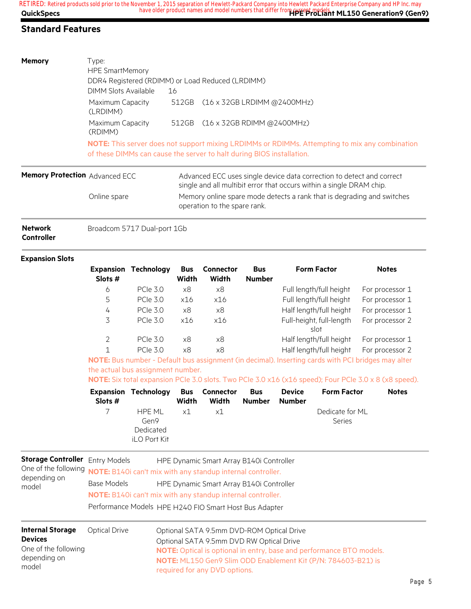| <b>Memory</b>                         | Type:<br><b>HPE SmartMemory</b><br>DIMM Slots Available                                                                                                                 | DDR4 Registered (RDIMM) or Load Reduced (LRDIMM)<br>16 |                                                                                                                                               |  |  |  |  |
|---------------------------------------|-------------------------------------------------------------------------------------------------------------------------------------------------------------------------|--------------------------------------------------------|-----------------------------------------------------------------------------------------------------------------------------------------------|--|--|--|--|
|                                       | Maximum Capacity<br>(LRDIMM)                                                                                                                                            | 512GB                                                  | $(16 \times 32$ GB LRDIMM @2400MHz)                                                                                                           |  |  |  |  |
|                                       | Maximum Capacity<br>(RDIMM)                                                                                                                                             | 512GB                                                  | $(16 \times 32GB$ RDIMM @2400MHz)                                                                                                             |  |  |  |  |
|                                       | NOTE: This server does not support mixing LRDIMMs or RDIMMs. Attempting to mix any combination<br>of these DIMMs can cause the server to halt during BIOS installation. |                                                        |                                                                                                                                               |  |  |  |  |
| <b>Memory Protection Advanced ECC</b> |                                                                                                                                                                         |                                                        | Advanced ECC uses single device data correction to detect and correct<br>single and all multibit error that occurs within a single DRAM chip. |  |  |  |  |
|                                       | Online spare                                                                                                                                                            |                                                        | Memory online spare mode defects a rank that is degrading and switches                                                                        |  |  |  |  |

operation to the spare rank.

**Network Controller** Broadcom 5717 Dual-port 1Gb

#### **Expansion Slots**

| Slots #       | <b>Expansion Technology</b> | <b>Bus</b><br>Width | <b>Connector</b><br>Width | <b>Bus</b><br><b>Number</b> | <b>Form Factor</b>               | <b>Notes</b>    |
|---------------|-----------------------------|---------------------|---------------------------|-----------------------------|----------------------------------|-----------------|
| 6             | <b>PCIe 3.0</b>             | x8                  | x8                        |                             | Full length/full height          | For processor 1 |
| 5             | <b>PCIe 3.0</b>             | x16                 | x16                       |                             | Full length/full height          | For processor 1 |
| 4             | <b>PCIe 3.0</b>             | x8                  | x8                        |                             | Half length/full height          | For processor 1 |
| 3             | <b>PCIe 3.0</b>             | x16                 | x16                       |                             | Full-height, full-length<br>slot | For processor 2 |
| $\mathcal{P}$ | <b>PCIe 3.0</b>             | x8                  | x8                        |                             | Half length/full height          | For processor 1 |
|               | <b>PCIe 3.0</b>             | x8                  | x8                        |                             | Half length/full height          | For processor 2 |

**NOTE:** Bus number - Default bus assignment (in decimal). Inserting cards with PCI bridges may alter the actual bus assignment number.

**NOTE:** Six total expansion PCIe 3.0 slots. Two PCIe 3.0 x16 (x16 speed); Four PCIe 3.0 x 8 (x8 speed).

| Slots # | <b>Expansion Technology Bus Connector</b>          | Width | Width | <b>Bus</b><br>Number | <b>Device</b><br><b>Number</b> | <b>Form Factor</b>               | <b>Notes</b> |
|---------|----------------------------------------------------|-------|-------|----------------------|--------------------------------|----------------------------------|--------------|
| 7       | HPF MI<br>Gen9<br>Dedicated<br><b>iLO Port Kit</b> | x1    | x1    |                      |                                | Dedicate for MI<br><b>Series</b> |              |

| <b>Storage Controller</b> Entry Models<br>depending on<br>model                            | Base Models          | HPE Dynamic Smart Array B140i Controller<br>One of the following <b>NOTE:</b> B140i can't mix with any standup internal controller.<br>HPE Dynamic Smart Array B140i Controller<br>NOTE: B140i can't mix with any standup internal controller.<br>Performance Models HPE H240 FIO Smart Host Bus Adapter |
|--------------------------------------------------------------------------------------------|----------------------|----------------------------------------------------------------------------------------------------------------------------------------------------------------------------------------------------------------------------------------------------------------------------------------------------------|
| <b>Internal Storage</b><br><b>Devices</b><br>One of the following<br>depending on<br>model | <b>Optical Drive</b> | Optional SATA 9.5mm DVD-ROM Optical Drive<br>Optional SATA 9.5mm DVD RW Optical Drive<br><b>NOTE:</b> Optical is optional in entry, base and performance BTO models.<br>NOTE: ML150 Gen9 Slim ODD Enablement Kit (P/N: 784603-B21) is<br>required for any DVD options.                                   |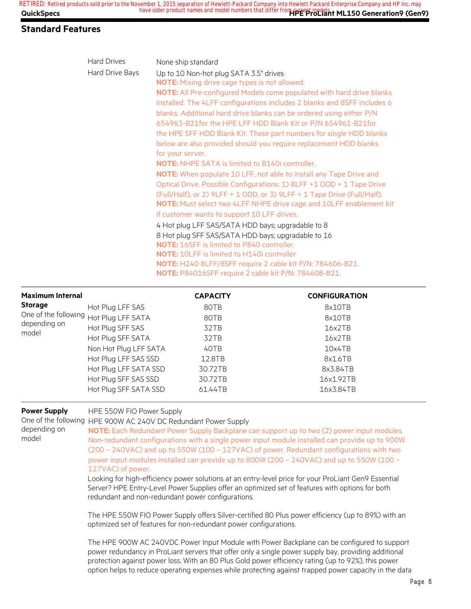| <b>Hard Drives</b> | None ship standard                                                           |
|--------------------|------------------------------------------------------------------------------|
| Hard Drive Bays    | Up to 10 Non-hot plug SATA 3.5" drives                                       |
|                    | <b>NOTE:</b> Mixing drive cage types is not allowed.                         |
|                    | <b>NOTE:</b> All Pre-configured Models come populated with hard drive blanks |
|                    | installed. The 4LFF configurations includes 2 blanks and 8SFF includes 6     |
|                    | blanks. Additional hard drive blanks can be ordered using either P/N         |
|                    | 654963-B21 for the HPE LFF HDD Blank Kit or P/N 654961-B21 for               |
|                    | the HPE SFF HDD Blank Kit. These part numbers for single HDD blanks          |
|                    | below are also provided should you require replacement HDD blanks            |
|                    | for your server.                                                             |
|                    | <b>NOTE:</b> NHPE SATA is limited to B140i controller.                       |
|                    | <b>NOTE:</b> When populate 10 LFF, not able to install any Tape Drive and    |
|                    | Optical Drive. Possible Configurations: 1) 8LFF +1 ODD + 1 Tape Drive        |
|                    | (Full/Half), or 2) 9LFF + 1 ODD, or 3) 9LFF + 1 Tape Drive (Full/Half).      |
|                    | NOTE: Must select two 4LFF NHPE drive cage and 10LFF enablement kit          |
|                    | if customer wants to support 10 LFF drives.                                  |
|                    | 4 Hot plug LFF SAS/SATA HDD bays; upgradable to 8                            |
|                    | 8 Hot plug SFF SAS/SATA HDD bays; upgradable to 16                           |
|                    | <b>NOTE: 16SFF is limited to P840 controller.</b>                            |
|                    | <b>NOTE: 10LFF is limited to H140i controller</b>                            |
|                    | NOTE: H240 8LFF/8SFF require 2 cable kit P/N: 784606-B21.                    |
|                    | <b>NOTE: P84016SFF require 2 cable kit P/N: 784608-B21.</b>                  |

| <b>Maximum Internal</b>                |                       | <b>CAPACITY</b> | <b>CONFIGURATION</b> |
|----------------------------------------|-----------------------|-----------------|----------------------|
| <b>Storage</b>                         | Hot Plug LFF SAS      | 80TB            | 8x10TB               |
| One of the following Hot Plug LFF SATA |                       | 80TB            | 8x10TB               |
| depending on<br>model                  | Hot Plug SFF SAS      | 32TB            | 16x2TB               |
|                                        | Hot Plug SFF SATA     | 32TB            | 16x2TB               |
|                                        | Non Hot Plug LFF SATA | 40TB            | 10x4TB               |
|                                        | Hot Plug LFF SAS SSD  | 12.8TB          | 8x1.6TB              |
|                                        | Hot Plug LFF SATA SSD | 30.72TB         | 8x3.84TB             |
|                                        | Hot Plug SFF SAS SSD  | 30.72TB         | 16x1.92TB            |
|                                        | Hot Plug SFF SATA SSD | 61.44TB         | 16x3.84TB            |

#### **Power Supply** HPE 550W FIO Power Supply

One of the following HPE 900W AC 240V DC Redundant Power Supply

depending on model

**NOTE:** Each Redundant Power Supply Backplane can support up to two (2) power input modules. Non-redundant configurations with a single power input module installed can provide up to 900W (200 – 240VAC) and up to 550W (100 – 127VAC) of power. Redundant configurations with two power input modules installed can provide up to 800W (200 – 240VAC) and up to 550W (100 – 127VAC) of power.

Looking for high-efficiency power solutions at an entry-level price for your ProLiant Gen9 Essential Server? HPE Entry-Level Power Supplies offer an optimized set of features with options for both redundant and non-redundant power configurations.

The HPE 550W FIO Power Supply offers Silver-certified 80 Plus power efficiency (up to 89%) with an optimized set of features for non-redundant power configurations.

The HPE 900W AC 240VDC Power Input Module with Power Backplane can be configured to support power redundancy in ProLiant servers that offer only a single power supply bay, providing additional protection against power loss. With an 80 Plus Gold power efficiency rating (up to 92%), this power option helps to reduce operating expenses while protecting against trapped power capacity in the data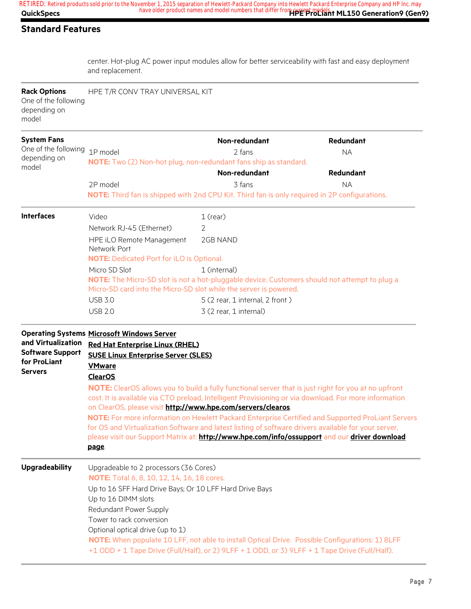center. Hot-plug AC power input modules allow for better serviceability with fast and easy deployment and replacement.

| <b>Rack Options</b><br>One of the following<br>depending on<br>model            | HPE T/R CONV TRAY UNIVERSAL KIT                                                                                                                                                                                                                                                                                                                                                                                                                                                                                                                                                                                                                                                                                                                                                      |                                                                                                                                                                                                  |           |  |  |  |  |
|---------------------------------------------------------------------------------|--------------------------------------------------------------------------------------------------------------------------------------------------------------------------------------------------------------------------------------------------------------------------------------------------------------------------------------------------------------------------------------------------------------------------------------------------------------------------------------------------------------------------------------------------------------------------------------------------------------------------------------------------------------------------------------------------------------------------------------------------------------------------------------|--------------------------------------------------------------------------------------------------------------------------------------------------------------------------------------------------|-----------|--|--|--|--|
| <b>System Fans</b><br>One of the following<br>depending on                      | 1P model                                                                                                                                                                                                                                                                                                                                                                                                                                                                                                                                                                                                                                                                                                                                                                             | Non-redundant<br>Redundant<br>2 fans<br><b>NA</b><br>NOTE: Two (2) Non-hot plug, non-redundant fans ship as standard.                                                                            |           |  |  |  |  |
| model                                                                           |                                                                                                                                                                                                                                                                                                                                                                                                                                                                                                                                                                                                                                                                                                                                                                                      | Non-redundant                                                                                                                                                                                    | Redundant |  |  |  |  |
|                                                                                 | 2P model                                                                                                                                                                                                                                                                                                                                                                                                                                                                                                                                                                                                                                                                                                                                                                             | 3 fans<br>NOTE: Third fan is shipped with 2nd CPU Kit. Third fan is only required in 2P configurations.                                                                                          | <b>NA</b> |  |  |  |  |
| <b>Interfaces</b>                                                               | Video                                                                                                                                                                                                                                                                                                                                                                                                                                                                                                                                                                                                                                                                                                                                                                                | $1$ (rear)                                                                                                                                                                                       |           |  |  |  |  |
|                                                                                 | Network RJ-45 (Ethernet)                                                                                                                                                                                                                                                                                                                                                                                                                                                                                                                                                                                                                                                                                                                                                             | 2                                                                                                                                                                                                |           |  |  |  |  |
|                                                                                 | HPE iLO Remote Management<br>Network Port                                                                                                                                                                                                                                                                                                                                                                                                                                                                                                                                                                                                                                                                                                                                            | 2GB NAND                                                                                                                                                                                         |           |  |  |  |  |
|                                                                                 |                                                                                                                                                                                                                                                                                                                                                                                                                                                                                                                                                                                                                                                                                                                                                                                      | <b>NOTE: Dedicated Port for iLO is Optional.</b>                                                                                                                                                 |           |  |  |  |  |
|                                                                                 | Micro SD Slot<br>1 (internal)<br>NOTE: The Micro-SD slot is not a hot-pluggable device. Customers should not attempt to plug a<br>Micro-SD card into the Micro-SD slot while the server is powered.                                                                                                                                                                                                                                                                                                                                                                                                                                                                                                                                                                                  |                                                                                                                                                                                                  |           |  |  |  |  |
|                                                                                 | <b>USB 3.0</b>                                                                                                                                                                                                                                                                                                                                                                                                                                                                                                                                                                                                                                                                                                                                                                       | 5 (2 rear, 1 internal, 2 front)                                                                                                                                                                  |           |  |  |  |  |
|                                                                                 | <b>USB 2.0</b>                                                                                                                                                                                                                                                                                                                                                                                                                                                                                                                                                                                                                                                                                                                                                                       | 3 (2 rear, 1 internal)                                                                                                                                                                           |           |  |  |  |  |
| and Virtualization<br><b>Software Support</b><br>for ProLiant<br><b>Servers</b> | <b>Operating Systems Microsoft Windows Server</b><br><b>Red Hat Enterprise Linux (RHEL)</b><br><b>SUSE Linux Enterprise Server (SLES)</b><br><b>VMware</b><br><b>ClearOS</b><br>NOTE: ClearOS allows you to build a fully functional server that is just right for you at no upfront<br>cost. It is available via CTO preload, Intelligent Provisioning or via download. For more information<br>on ClearOS, please visit http://www.hpe.com/servers/clearos.<br>NOTE: For more information on Hewlett Packard Enterprise Certified and Supported ProLiant Servers<br>for OS and Virtualization Software and latest listing of software drivers available for your server,<br>please visit our Support Matrix at: http://www.hpe.com/info/ossupport and our driver download<br>page. |                                                                                                                                                                                                  |           |  |  |  |  |
| <b>Upgradeability</b>                                                           | Upgradeable to 2 processors (36 Cores)<br><b>NOTE:</b> Total 6, 8, 10, 12, 14, 16, 18 cores.<br>Up to 16 SFF Hard Drive Bays; Or 10 LFF Hard Drive Bays<br>Up to 16 DIMM slots<br>Redundant Power Supply<br>Tower to rack conversion<br>Optional optical drive (up to 1)                                                                                                                                                                                                                                                                                                                                                                                                                                                                                                             | NOTE: When populate 10 LFF, not able to install Optical Drive. Possible Configurations: 1) 8LFF<br>+1 ODD + 1 Tape Drive (Full/Half), or 2) 9LFF + 1 ODD, or 3) 9LFF + 1 Tape Drive (Full/Half). |           |  |  |  |  |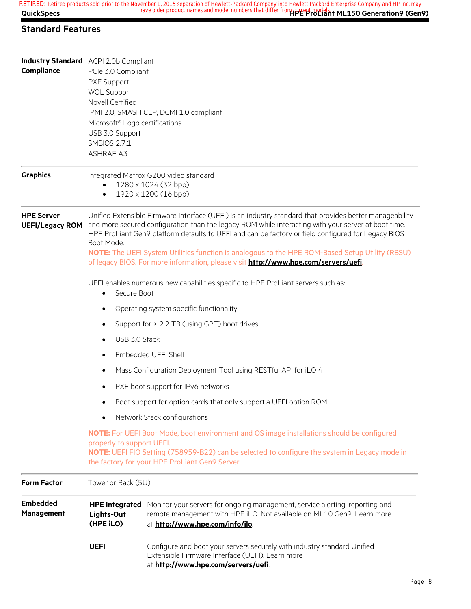| Compliance                    | <b>Industry Standard</b> ACPI 2.0b Compliant<br>PCIe 3.0 Compliant<br>PXE Support                                          |                                                                                                                                                                                                                                                                                                                      |  |  |  |  |
|-------------------------------|----------------------------------------------------------------------------------------------------------------------------|----------------------------------------------------------------------------------------------------------------------------------------------------------------------------------------------------------------------------------------------------------------------------------------------------------------------|--|--|--|--|
|                               | <b>WOL Support</b>                                                                                                         |                                                                                                                                                                                                                                                                                                                      |  |  |  |  |
|                               | <b>Novell Certified</b>                                                                                                    |                                                                                                                                                                                                                                                                                                                      |  |  |  |  |
|                               | Microsoft <sup>®</sup> Logo certifications                                                                                 | IPMI 2.0, SMASH CLP, DCMI 1.0 compliant                                                                                                                                                                                                                                                                              |  |  |  |  |
|                               | USB 3.0 Support                                                                                                            |                                                                                                                                                                                                                                                                                                                      |  |  |  |  |
|                               | <b>SMBIOS 2.7.1</b><br><b>ASHRAE A3</b>                                                                                    |                                                                                                                                                                                                                                                                                                                      |  |  |  |  |
|                               |                                                                                                                            |                                                                                                                                                                                                                                                                                                                      |  |  |  |  |
| <b>Graphics</b>               |                                                                                                                            | Integrated Matrox G200 video standard                                                                                                                                                                                                                                                                                |  |  |  |  |
|                               |                                                                                                                            | 1280 x 1024 (32 bpp)<br>1920 x 1200 (16 bpp)                                                                                                                                                                                                                                                                         |  |  |  |  |
| <b>HPE Server</b>             |                                                                                                                            |                                                                                                                                                                                                                                                                                                                      |  |  |  |  |
| <b>UEFI/Legacy ROM</b>        |                                                                                                                            | Unified Extensible Firmware Interface (UEFI) is an industry standard that provides better manageability<br>and more secured configuration than the legacy ROM while interacting with your server at boot time.<br>HPE ProLiant Gen9 platform defaults to UEFI and can be factory or field configured for Legacy BIOS |  |  |  |  |
|                               | Boot Mode.<br>NOTE: The UEFI System Utilities function is analogous to the HPE ROM-Based Setup Utility (RBSU)              |                                                                                                                                                                                                                                                                                                                      |  |  |  |  |
|                               | of legacy BIOS. For more information, please visit http://www.hpe.com/servers/uefi.                                        |                                                                                                                                                                                                                                                                                                                      |  |  |  |  |
|                               | UEFI enables numerous new capabilities specific to HPE ProLiant servers such as:<br>Secure Boot<br>$\bullet$               |                                                                                                                                                                                                                                                                                                                      |  |  |  |  |
|                               | Operating system specific functionality                                                                                    |                                                                                                                                                                                                                                                                                                                      |  |  |  |  |
|                               | Support for > 2.2 TB (using GPT) boot drives                                                                               |                                                                                                                                                                                                                                                                                                                      |  |  |  |  |
|                               | USB 3.0 Stack                                                                                                              |                                                                                                                                                                                                                                                                                                                      |  |  |  |  |
|                               | Embedded UEFI Shell                                                                                                        |                                                                                                                                                                                                                                                                                                                      |  |  |  |  |
|                               | Mass Configuration Deployment Tool using RESTful API for iLO 4                                                             |                                                                                                                                                                                                                                                                                                                      |  |  |  |  |
|                               | PXE boot support for IPv6 networks                                                                                         |                                                                                                                                                                                                                                                                                                                      |  |  |  |  |
|                               | Boot support for option cards that only support a UEFI option ROM<br>٠                                                     |                                                                                                                                                                                                                                                                                                                      |  |  |  |  |
|                               | Network Stack configurations                                                                                               |                                                                                                                                                                                                                                                                                                                      |  |  |  |  |
|                               | NOTE: For UEFI Boot Mode, boot environment and OS image installations should be configured                                 |                                                                                                                                                                                                                                                                                                                      |  |  |  |  |
|                               | properly to support UEFI.<br>NOTE: UEFI FIO Setting (758959-B22) can be selected to configure the system in Legacy mode in |                                                                                                                                                                                                                                                                                                                      |  |  |  |  |
|                               | the factory for your HPE ProLiant Gen9 Server.                                                                             |                                                                                                                                                                                                                                                                                                                      |  |  |  |  |
| <b>Form Factor</b>            | Tower or Rack (5U)                                                                                                         |                                                                                                                                                                                                                                                                                                                      |  |  |  |  |
| <b>Embedded</b><br>Management | <b>HPE Integrated</b><br>Lights-Out<br>(HPE iLO)                                                                           | Monitor your servers for ongoing management, service alerting, reporting and<br>remote management with HPE iLO. Not available on ML10 Gen9. Learn more<br>at http://www.hpe.com/info/ilo.                                                                                                                            |  |  |  |  |
|                               | <b>UEFI</b>                                                                                                                | Configure and boot your servers securely with industry standard Unified<br>Extensible Firmware Interface (UEFI). Learn more<br>at http://www.hpe.com/servers/uefi.                                                                                                                                                   |  |  |  |  |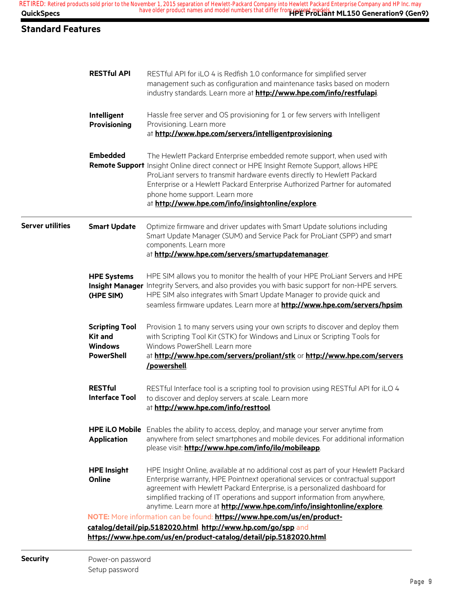| <b>QuickSpecs</b><br><b>Standard Features</b> |                                                                                | have older product names and model numbers that differ from the epi-macian ML150 Generation9 (Gen9)                                                                                                                                                                                                                                                                                                                |
|-----------------------------------------------|--------------------------------------------------------------------------------|--------------------------------------------------------------------------------------------------------------------------------------------------------------------------------------------------------------------------------------------------------------------------------------------------------------------------------------------------------------------------------------------------------------------|
|                                               |                                                                                |                                                                                                                                                                                                                                                                                                                                                                                                                    |
|                                               |                                                                                |                                                                                                                                                                                                                                                                                                                                                                                                                    |
|                                               | <b>RESTful API</b>                                                             | RESTful API for iLO 4 is Redfish 1.0 conformance for simplified server<br>management such as configuration and maintenance tasks based on modern<br>industry standards. Learn more at http://www.hpe.com/info/restfulapi.                                                                                                                                                                                          |
|                                               | Intelligent<br>Provisioning                                                    | Hassle free server and OS provisioning for 1 or few servers with Intelligent<br>Provisioning. Learn more<br>at http://www.hpe.com/servers/intelligentprovisioning.                                                                                                                                                                                                                                                 |
|                                               | <b>Embedded</b>                                                                | The Hewlett Packard Enterprise embedded remote support, when used with<br>Remote Support Insight Online direct connect or HPE Insight Remote Support, allows HPE<br>ProLiant servers to transmit hardware events directly to Hewlett Packard<br>Enterprise or a Hewlett Packard Enterprise Authorized Partner for automated<br>phone home support. Learn more<br>at http://www.hpe.com/info/insightonline/explore. |
| <b>Server utilities</b>                       | <b>Smart Update</b>                                                            | Optimize firmware and driver updates with Smart Update solutions including<br>Smart Update Manager (SUM) and Service Pack for ProLiant (SPP) and smart<br>components. Learn more<br>at http://www.hpe.com/servers/smartupdatemanager.                                                                                                                                                                              |
|                                               | <b>HPE Systems</b><br><b>Insight Manager</b><br>(HPE SIM)                      | HPE SIM allows you to monitor the health of your HPE ProLiant Servers and HPE<br>Integrity Servers, and also provides you with basic support for non-HPE servers.<br>HPE SIM also integrates with Smart Update Manager to provide quick and<br>seamless firmware updates. Learn more at http://www.hpe.com/servers/hpsim.                                                                                          |
|                                               | <b>Scripting Tool</b><br><b>Kit and</b><br><b>Windows</b><br><b>PowerShell</b> | Provision 1 to many servers using your own scripts to discover and deploy them<br>with Scripting Tool Kit (STK) for Windows and Linux or Scripting Tools for<br>Windows PowerShell. Learn more<br>at http://www.hpe.com/servers/proliant/stk or http://www.hpe.com/servers<br>/powershell                                                                                                                          |
|                                               | <b>RESTful</b><br><b>Interface Tool</b>                                        | RESTful Interface tool is a scripting tool to provision using RESTful API for iLO 4<br>to discover and deploy servers at scale. Learn more<br>at http://www.hpe.com/info/resttool.                                                                                                                                                                                                                                 |
|                                               | <b>Application</b>                                                             | HPE iLO Mobile Enables the ability to access, deploy, and manage your server anytime from<br>anywhere from select smartphones and mobile devices. For additional information<br>please visit: http://www.hpe.com/info/ilo/mobileapp.                                                                                                                                                                               |
|                                               | <b>HPE Insight</b><br>Online                                                   | HPE Insight Online, available at no additional cost as part of your Hewlett Packard<br>Enterprise warranty, HPE Pointnext operational services or contractual support<br>agreement with Hewlett Packard Enterprise, is a personalized dashboard for<br>simplified tracking of IT operations and support information from anywhere,<br>anytime. Learn more at http://www.hpe.com/info/insightonline/explore.        |
|                                               |                                                                                | NOTE: More information can be found: https://www.hpe.com/us/en/product-<br>catalog/detail/pip.5182020.html, http://www.hp.com/go/spp and<br>https://www.hpe.com/us/en/product-catalog/detail/pip.5182020.html                                                                                                                                                                                                      |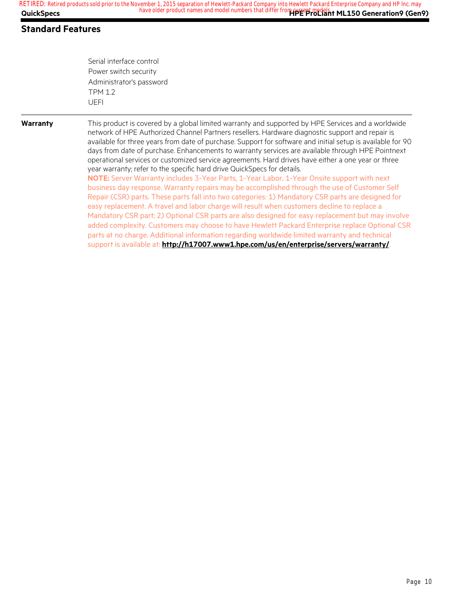Serial interface control Power switch security Administrator's password TPM 1.2 UEFI

#### **Warranty** This product is covered by a global limited warranty and supported by HPE Services and a worldwide network of HPE Authorized Channel Partners resellers. Hardware diagnostic support and repair is available for three years from date of purchase. Support for software and initial setup is available for 90 days from date of purchase. Enhancements to warranty services are available through HPE Pointnext operational services or customized service agreements. Hard drives have either a one year or three year warranty; refer to the specific hard drive QuickSpecs for details. **NOTE:** Server Warranty includes 3-Year Parts, 1-Year Labor, 1-Year Onsite support with next business day response. Warranty repairs may be accomplished through the use of Customer Self Repair (CSR) parts. These parts fall into two categories: 1) Mandatory CSR parts are designed for

easy replacement. A travel and labor charge will result when customers decline to replace a Mandatory CSR part; 2) Optional CSR parts are also designed for easy replacement but may involve added complexity. Customers may choose to have Hewlett Packard Enterprise replace Optional CSR parts at no charge. Additional information regarding worldwide limited warranty and technical support is available at: **http://h17007.www1.hpe.com/us/en/enterprise/servers/warranty/**.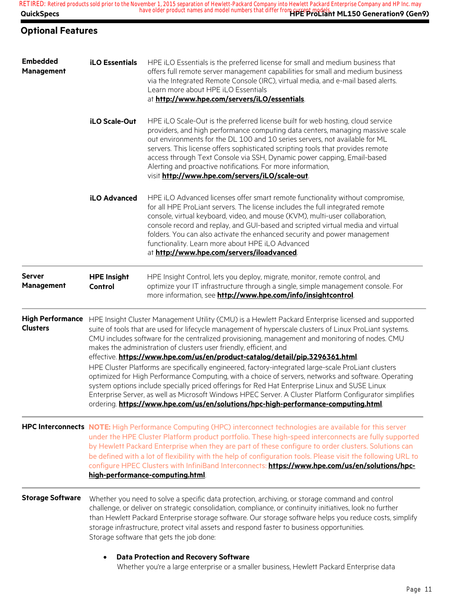**QuickSpecs Hotal Construction Construction Must be a series and model numbers that direct from Capacity ML150 Generation9 (Gen9)** RETIRED: Retired products sold prior to the November 1, 2015 separation of Hewlett-Packard Company into Hewlett Packard Enterprise Company and HP Inc. may<br>CutakSpaces 150 Comparation O Com

## **Optional Features**

| <b>Embedded</b><br>Management              | <b>iLO Essentials</b>                                                                                                                                                                                                                                                                                                                                                                                                                                                   | HPE iLO Essentials is the preferred license for small and medium business that<br>offers full remote server management capabilities for small and medium business<br>via the Integrated Remote Console (IRC), virtual media, and e-mail based alerts.<br>Learn more about HPE iLO Essentials<br>at http://www.hpe.com/servers/iLO/essentials.                                                                                                                                                                                                                                          |  |  |  |  |
|--------------------------------------------|-------------------------------------------------------------------------------------------------------------------------------------------------------------------------------------------------------------------------------------------------------------------------------------------------------------------------------------------------------------------------------------------------------------------------------------------------------------------------|----------------------------------------------------------------------------------------------------------------------------------------------------------------------------------------------------------------------------------------------------------------------------------------------------------------------------------------------------------------------------------------------------------------------------------------------------------------------------------------------------------------------------------------------------------------------------------------|--|--|--|--|
|                                            | <b>iLO Scale-Out</b>                                                                                                                                                                                                                                                                                                                                                                                                                                                    | HPE iLO Scale-Out is the preferred license built for web hosting, cloud service<br>providers, and high performance computing data centers, managing massive scale<br>out environments for the DL 100 and 10 series servers, not available for ML<br>servers. This license offers sophisticated scripting tools that provides remote<br>access through Text Console via SSH, Dynamic power capping, Email-based<br>Alerting and proactive notifications. For more information,<br>visit http://www.hpe.com/servers/iLO/scale-out.                                                       |  |  |  |  |
|                                            | iLO Advanced                                                                                                                                                                                                                                                                                                                                                                                                                                                            | HPE iLO Advanced licenses offer smart remote functionality without compromise,<br>for all HPE ProLiant servers. The license includes the full integrated remote<br>console, virtual keyboard, video, and mouse (KVM), multi-user collaboration,<br>console record and replay, and GUI-based and scripted virtual media and virtual<br>folders. You can also activate the enhanced security and power management<br>functionality. Learn more about HPE iLO Advanced<br>at http://www.hpe.com/servers/iloadvanced.                                                                      |  |  |  |  |
| <b>Server</b><br><b>Management</b>         | <b>HPE Insight</b><br>Control                                                                                                                                                                                                                                                                                                                                                                                                                                           | HPE Insight Control, lets you deploy, migrate, monitor, remote control, and<br>optimize your IT infrastructure through a single, simple management console. For<br>more information, see http://www.hpe.com/info/insightcontrol.                                                                                                                                                                                                                                                                                                                                                       |  |  |  |  |
| <b>High Performance</b><br><b>Clusters</b> | HPE Insight Cluster Management Utility (CMU) is a Hewlett Packard Enterprise licensed and supported<br>suite of tools that are used for lifecycle management of hyperscale clusters of Linux ProLiant systems.<br>CMU includes software for the centralized provisioning, management and monitoring of nodes. CMU<br>makes the administration of clusters user friendly, efficient, and<br>effective. https://www.hpe.com/us/en/product-catalog/detail/pip.3296361.html |                                                                                                                                                                                                                                                                                                                                                                                                                                                                                                                                                                                        |  |  |  |  |
|                                            |                                                                                                                                                                                                                                                                                                                                                                                                                                                                         | HPE Cluster Platforms are specifically engineered, factory-integrated large-scale ProLiant clusters<br>optimized for High Performance Computing, with a choice of servers, networks and software. Operating<br>system options include specially priced offerings for Red Hat Enterprise Linux and SUSE Linux<br>Enterprise Server, as well as Microsoft Windows HPEC Server. A Cluster Platform Configurator simplifies<br>ordering. https://www.hpe.com/us/en/solutions/hpc-high-performance-computing.html                                                                           |  |  |  |  |
|                                            |                                                                                                                                                                                                                                                                                                                                                                                                                                                                         | HPC Interconnects NOTE: High Performance Computing (HPC) interconnect technologies are available for this server<br>under the HPE Cluster Platform product portfolio. These high-speed interconnects are fully supported<br>by Hewlett Packard Enterprise when they are part of these configure to order clusters. Solutions can<br>be defined with a lot of flexibility with the help of configuration tools. Please visit the following URL to<br>configure HPEC Clusters with InfiniBand Interconnects: https://www.hpe.com/us/en/solutions/hpc-<br>high-performance-computing.html |  |  |  |  |
| <b>Storage Software</b>                    |                                                                                                                                                                                                                                                                                                                                                                                                                                                                         | Whether you need to solve a specific data protection, archiving, or storage command and control<br>challenge, or deliver on strategic consolidation, compliance, or continuity initiatives, look no further<br>than Hewlett Packard Enterprise storage software. Our storage software helps you reduce costs, simplify<br>storage infrastructure, protect vital assets and respond faster to business opportunities.<br>Storage software that gets the job done:                                                                                                                       |  |  |  |  |
|                                            |                                                                                                                                                                                                                                                                                                                                                                                                                                                                         | <b>Data Protection and Recovery Software</b>                                                                                                                                                                                                                                                                                                                                                                                                                                                                                                                                           |  |  |  |  |

Whether you're a large enterprise or a smaller business, Hewlett Packard Enterprise data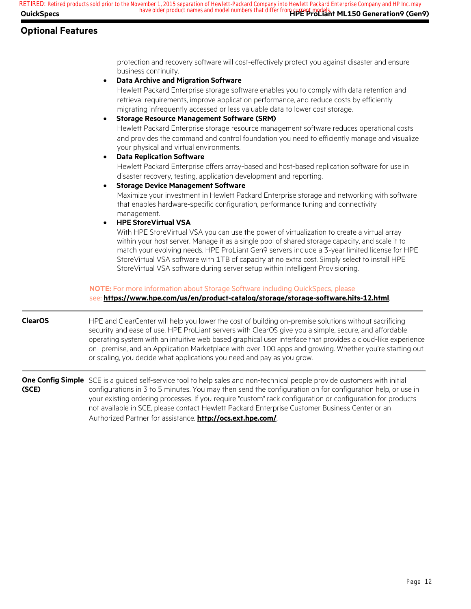migrating infrequently accessed or less valuable data to lower cost storage.

• **Data Archive and Migration Software**

• **Storage Resource Management Software (SRM)**

## **Optional Features**

protection and recovery software will cost-effectively protect you against disaster and ensure business continuity.

Hewlett Packard Enterprise storage software enables you to comply with data retention and retrieval requirements, improve application performance, and reduce costs by efficiently

|                | Hewlett Packard Enterprise storage resource management software reduces operational costs<br>and provides the command and control foundation you need to efficiently manage and visualize<br>your physical and virtual environments.<br><b>Data Replication Software</b><br>$\bullet$<br>Hewlett Packard Enterprise offers array-based and host-based replication software for use in<br>disaster recovery, testing, application development and reporting.<br><b>Storage Device Management Software</b><br>$\bullet$<br>Maximize your investment in Hewlett Packard Enterprise storage and networking with software<br>that enables hardware-specific configuration, performance tuning and connectivity<br>management.<br><b>HPE StoreVirtual VSA</b><br>$\bullet$<br>With HPE StoreVirtual VSA you can use the power of virtualization to create a virtual array<br>within your host server. Manage it as a single pool of shared storage capacity, and scale it to<br>match your evolving needs. HPE ProLiant Gen9 servers include a 3-year limited license for HPE<br>StoreVirtual VSA software with 1TB of capacity at no extra cost. Simply select to install HPE<br>StoreVirtual VSA software during server setup within Intelligent Provisioning. |
|----------------|------------------------------------------------------------------------------------------------------------------------------------------------------------------------------------------------------------------------------------------------------------------------------------------------------------------------------------------------------------------------------------------------------------------------------------------------------------------------------------------------------------------------------------------------------------------------------------------------------------------------------------------------------------------------------------------------------------------------------------------------------------------------------------------------------------------------------------------------------------------------------------------------------------------------------------------------------------------------------------------------------------------------------------------------------------------------------------------------------------------------------------------------------------------------------------------------------------------------------------------------------------|
|                | NOTE: For more information about Storage Software including QuickSpecs, please<br>see: https://www.hpe.com/us/en/product-catalog/storage/storage-software.hits-12.html                                                                                                                                                                                                                                                                                                                                                                                                                                                                                                                                                                                                                                                                                                                                                                                                                                                                                                                                                                                                                                                                                     |
| <b>ClearOS</b> | HPE and ClearCenter will help you lower the cost of building on-premise solutions without sacrificing<br>security and ease of use. HPE ProLiant servers with ClearOS give you a simple, secure, and affordable<br>operating system with an intuitive web based graphical user interface that provides a cloud-like experience<br>on- premise, and an Application Marketplace with over 100 apps and growing. Whether you're starting out<br>or scaling, you decide what applications you need and pay as you grow.                                                                                                                                                                                                                                                                                                                                                                                                                                                                                                                                                                                                                                                                                                                                         |
| (SCE)          | One Config Simple SCE is a guided self-service tool to help sales and non-technical people provide customers with initial<br>configurations in 3 to 5 minutes. You may then send the configuration on for configuration help, or use in<br>your existing ordering processes. If you require "custom" rack configuration or configuration for products<br>not available in SCE, please contact Hewlett Packard Enterprise Customer Business Center or an<br>Authorized Partner for assistance. http://ocs.ext.hpe.com/.                                                                                                                                                                                                                                                                                                                                                                                                                                                                                                                                                                                                                                                                                                                                     |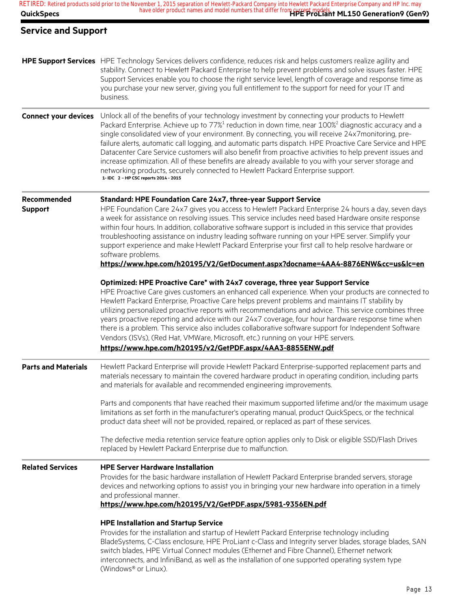| <b>QuickSpecs</b>             | RETIRED: Retired products sold prior to the November 1, 2015 separation of Hewlett-Packard Company into Hewlett Packard Enterprise Company and HP Inc. may<br>Definition 1, 2010 Separation of Termsect Planning Life from Current models.<br>have older product names and model numbers that differ from Current models.                                                                                                                                                                                                                                                                                                                                                                                                                                                                         |
|-------------------------------|---------------------------------------------------------------------------------------------------------------------------------------------------------------------------------------------------------------------------------------------------------------------------------------------------------------------------------------------------------------------------------------------------------------------------------------------------------------------------------------------------------------------------------------------------------------------------------------------------------------------------------------------------------------------------------------------------------------------------------------------------------------------------------------------------|
| <b>Service and Support</b>    |                                                                                                                                                                                                                                                                                                                                                                                                                                                                                                                                                                                                                                                                                                                                                                                                   |
|                               | HPE Support Services HPE Technology Services delivers confidence, reduces risk and helps customers realize agility and<br>stability. Connect to Hewlett Packard Enterprise to help prevent problems and solve issues faster. HPE<br>Support Services enable you to choose the right service level, length of coverage and response time as<br>you purchase your new server, giving you full entitlement to the support for need for your IT and<br>business.                                                                                                                                                                                                                                                                                                                                      |
| <b>Connect your devices</b>   | Unlock all of the benefits of your technology investment by connecting your products to Hewlett<br>Packard Enterprise. Achieve up to 77% <sup>1</sup> reduction in down time, near 100% <sup>2</sup> diagnostic accuracy and a<br>single consolidated view of your environment. By connecting, you will receive 24x7monitoring, pre-<br>failure alerts, automatic call logging, and automatic parts dispatch. HPE Proactive Care Service and HPE<br>Datacenter Care Service customers will also benefit from proactive activities to help prevent issues and<br>increase optimization. All of these benefits are already available to you with your server storage and<br>networking products, securely connected to Hewlett Packard Enterprise support.<br>1- IDC 2 - HP CSC reports 2014 - 2015 |
| Recommended<br><b>Support</b> | <b>Standard: HPE Foundation Care 24x7, three-year Support Service</b><br>HPE Foundation Care 24x7 gives you access to Hewlett Packard Enterprise 24 hours a day, seven days<br>a week for assistance on resolving issues. This service includes need based Hardware onsite response<br>within four hours. In addition, collaborative software support is included in this service that provides<br>troubleshooting assistance on industry leading software running on your HPE server. Simplify your<br>support experience and make Hewlett Packard Enterprise your first call to help resolve hardware or<br>software problems.<br>https://www.hpe.com/h20195/V2/GetDocument.aspx?docname=4AA4-8876ENW&cc=us&lc=en                                                                               |
|                               | Optimized: HPE Proactive Care* with 24x7 coverage, three year Support Service<br>HPE Proactive Care gives customers an enhanced call experience. When your products are connected to<br>Hewlett Packard Enterprise, Proactive Care helps prevent problems and maintains IT stability by<br>utilizing personalized proactive reports with recommendations and advice. This service combines three<br>years proactive reporting and advice with our 24x7 coverage, four hour hardware response time when<br>there is a problem. This service also includes collaborative software support for Independent Software<br>Vendors (ISVs), (Red Hat, VMWare, Microsoft, etc.) running on your HPE servers.<br>https://www.hpe.com/h20195/v2/GetPDF.aspx/4AA3-8855ENW.pdf                                 |
| <b>Parts and Materials</b>    | Hewlett Packard Enterprise will provide Hewlett Packard Enterprise-supported replacement parts and<br>materials necessary to maintain the covered hardware product in operating condition, including parts<br>and materials for available and recommended engineering improvements.                                                                                                                                                                                                                                                                                                                                                                                                                                                                                                               |
|                               | Parts and components that have reached their maximum supported lifetime and/or the maximum usage<br>limitations as set forth in the manufacturer's operating manual, product QuickSpecs, or the technical<br>product data sheet will not be provided, repaired, or replaced as part of these services.                                                                                                                                                                                                                                                                                                                                                                                                                                                                                            |
|                               | The defective media retention service feature option applies only to Disk or eligible SSD/Flash Drives<br>replaced by Hewlett Packard Enterprise due to malfunction.                                                                                                                                                                                                                                                                                                                                                                                                                                                                                                                                                                                                                              |
| <b>Related Services</b>       | <b>HPE Server Hardware Installation</b><br>Provides for the basic hardware installation of Hewlett Packard Enterprise branded servers, storage<br>devices and networking options to assist you in bringing your new hardware into operation in a timely<br>and professional manner.<br>https://www.hpe.com/h20195/V2/GetPDF.aspx/5981-9356EN.pdf                                                                                                                                                                                                                                                                                                                                                                                                                                                  |
|                               | <b>HPE Installation and Startup Service</b><br>Provides for the installation and startup of Hewlett Packard Enterprise technology including<br>BladeSystems, C-Class enclosure, HPE ProLiant c-Class and Integrity server blades, storage blades, SAN<br>switch blades, HPE Virtual Connect modules (Ethernet and Fibre Channel), Ethernet network<br>interconnects, and InfiniBand, as well as the installation of one supported operating system type                                                                                                                                                                                                                                                                                                                                           |

(Windows® or Linux).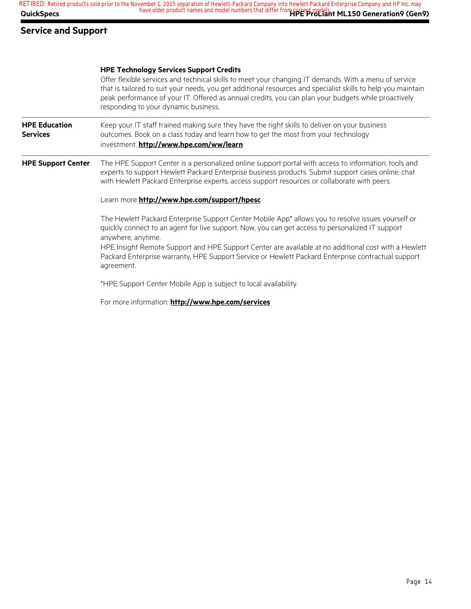**AuickSpecs Here are all of the same of the product names and model numbers that differ from current models.<br>
<b>AuickSpecs HPE ProLiant ML150 Generation9 (Gen9) RETIRED: Retired products sold prior to the November 1, 2015 separation of Hewlett-Packard Company into Hewlett Packard Enterprise Company and HP Inc. may**

### **Service and Support**

#### **HPE Technology Services Support Credits**

Offer flexible services and technical skills to meet your changing IT demands. With a menu of service that is tailored to suit your needs, you get additional resources and specialist skills to help you maintain peak performance of your IT. Offered as annual credits, you can plan your budgets while proactively responding to your dynamic business.

**HPE Education Services** Keep your IT staff trained making sure they have the right skills to deliver on your business outcomes. Book on a class today and learn how to get the most from your technology investment. **http://www.hpe.com/ww/learn**

**HPE Support Center** The HPE Support Center is a personalized online support portal with access to information, tools and experts to support Hewlett Packard Enterprise business products. Submit support cases online, chat with Hewlett Packard Enterprise experts, access support resources or collaborate with peers.

#### Learn more **http://www.hpe.com/support/hpesc**

The Hewlett Packard Enterprise Support Center Mobile App\* allows you to resolve issues yourself or quickly connect to an agent for live support. Now, you can get access to personalized IT support anywhere, anytime.

HPE Insight Remote Support and HPE Support Center are available at no additional cost with a Hewlett Packard Enterprise warranty, HPE Support Service or Hewlett Packard Enterprise contractual support agreement.

\*HPE Support Center Mobile App is subject to local availability.

For more information: **http://www.hpe.com/services**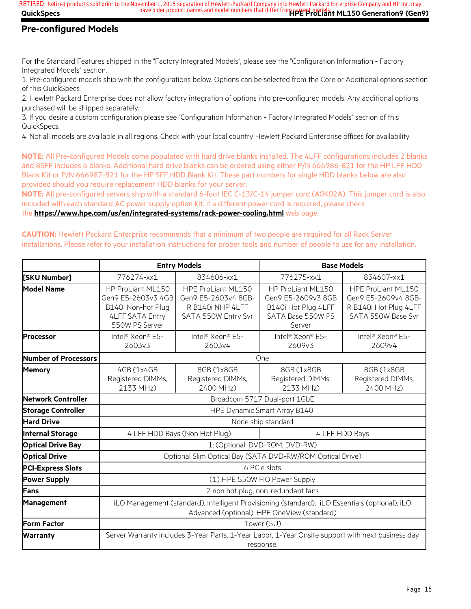**QuickSpecs Here are all of the same of the product names and model numbers that differ from current models. The Seneration9 (Gen9) RETIRED: Retired products sold prior to the November 1, 2015 separation of Hewlett-Packard Company into Hewlett Packard Enterprise Company and HP Inc. may**

## **Pre-configured Models**

For the Standard Features shipped in the "Factory Integrated Models", please see the "Configuration Information - Factory Integrated Models" section.

1. Pre-configured models ship with the configurations below. Options can be selected from the Core or Additional options section of this QuickSpecs.

2. Hewlett Packard Enterprise does not allow factory integration of options into pre-configured models. Any additional options purchased will be shipped separately.

3. If you desire a custom configuration please see "Configuration Information - Factory Integrated Models" section of this QuickSpecs.

4. Not all models are available in all regions. Check with your local country Hewlett Packard Enterprise offices for availability.

**NOTE:** All Pre-configured Models come populated with hard drive blanks installed. The 4LFF configurations includes 2 blanks and 8SFF includes 6 blanks. Additional hard drive blanks can be ordered using either P/N 666986-B21 for the HP LFF HDD Blank Kit or P/N 666987-B21 for the HP SFF HDD Blank Kit. These part numbers for single HDD blanks below are also provided should you require replacement HDD blanks for your server.

**NOTE:** All pre-configured servers ship with a standard 6-foot IEC C-13/C-14 jumper cord (A0K02A). This jumper cord is also included with each standard AC power supply option kit. If a different power cord is required, please check the **https://www.hpe.com/us/en/integrated-systems/rack-power-cooling.html** web page.

**CAUTION:** Hewlett Packard Enterprise recommends that a minimum of two people are required for all Rack Server installations. Please refer to your installation instructions for proper tools and number of people to use for any installation.

|                           | <b>Entry Models</b><br><b>Base Models</b>                                                                                                     |                                                                                      |                                                                                               |                                                                                          |
|---------------------------|-----------------------------------------------------------------------------------------------------------------------------------------------|--------------------------------------------------------------------------------------|-----------------------------------------------------------------------------------------------|------------------------------------------------------------------------------------------|
| [SKU Number]              | 776274-xx1                                                                                                                                    | 834606-xx1                                                                           | 776275-xx1                                                                                    | 834607-xx1                                                                               |
| <b>Model Name</b>         | HP ProLiant ML150<br>Gen9 E5-2603v3 4GB<br>B140i Non-hot Plug<br><b>4LFF SATA Entry</b><br>550W PS Server                                     | HPE ProLiant ML150<br>Gen9 E5-2603v4 8GB-<br>R B140i NHP 4LFF<br>SATA 550W Entry Svr | HP ProLiant ML150<br>Gen9 E5-2609v3 8GB<br>B140i Hot Plug 4LFF<br>SATA Base 550W PS<br>Server | HPE ProLiant ML150<br>Gen9 E5-2609v4 8GB-<br>R B140i Hot Plug 4LFF<br>SATA 550W Base Svr |
| <b>Processor</b>          | Intel <sup>®</sup> Xeon® E5-<br>2603v3                                                                                                        | Intel <sup>®</sup> Xeon® E5-<br>2603v4                                               | Intel <sup>®</sup> Xeon® E5-<br>2609v3                                                        | Intel <sup>®</sup> Xeon® E5-<br>2609v4                                                   |
| Number of Processors      |                                                                                                                                               |                                                                                      | One                                                                                           |                                                                                          |
| <b>Memory</b>             | 4GB (1x4GB<br>Registered DIMMs,<br>2133 MHz)                                                                                                  | 8GB (1x8GB<br>Registered DIMMs,<br>2400 MHz)                                         | 8GB (1x8GB<br>Registered DIMMs,<br>2133 MHz)                                                  | 8GB (1x8GB<br>Registered DIMMs,<br>2400 MHz)                                             |
| Network Controller        | Broadcom 5717 Dual-port 1GbE                                                                                                                  |                                                                                      |                                                                                               |                                                                                          |
| <b>Storage Controller</b> | HPE Dynamic Smart Array B140i                                                                                                                 |                                                                                      |                                                                                               |                                                                                          |
| <b>Hard Drive</b>         | None ship standard                                                                                                                            |                                                                                      |                                                                                               |                                                                                          |
| <b>Internal Storage</b>   |                                                                                                                                               | 4 LFF HDD Bays (Non Hot Plug)                                                        |                                                                                               | 4 LFF HDD Bays                                                                           |
| <b>Optical Drive Bay</b>  | 1; (Optional: DVD-ROM, DVD-RW)                                                                                                                |                                                                                      |                                                                                               |                                                                                          |
| <b>Optical Drive</b>      | Optional Slim Optical Bay (SATA DVD-RW/ROM Optical Drive)                                                                                     |                                                                                      |                                                                                               |                                                                                          |
| <b>PCI-Express Slots</b>  |                                                                                                                                               | 6 PCIe slots                                                                         |                                                                                               |                                                                                          |
| <b>Power Supply</b>       | (1) HPE 550W FIO Power Supply                                                                                                                 |                                                                                      |                                                                                               |                                                                                          |
| <b>Fans</b>               | 2 non hot plug, non-redundant fans                                                                                                            |                                                                                      |                                                                                               |                                                                                          |
| Management                | iLO Management (standard), Intelligent Provisioning (standard), iLO Essentials (optional), iLO<br>Advanced (optional), HPE OneView (standard) |                                                                                      |                                                                                               |                                                                                          |
| <b>Form Factor</b>        | Tower (5U)                                                                                                                                    |                                                                                      |                                                                                               |                                                                                          |
| <b>Warranty</b>           | Server Warranty includes 3-Year Parts, 1-Year Labor, 1-Year Onsite support with next business day<br>response.                                |                                                                                      |                                                                                               |                                                                                          |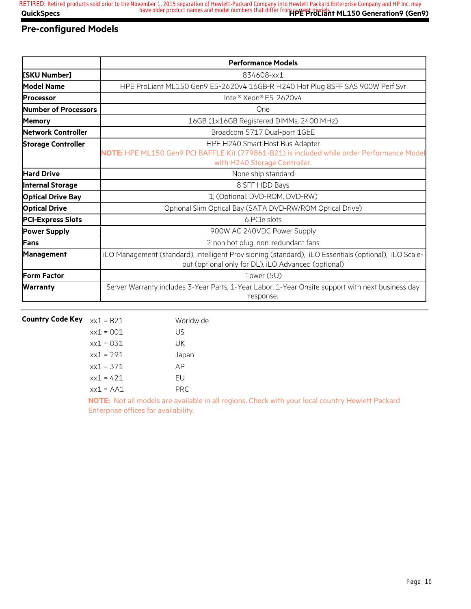## **Pre-configured Models**

|                           | <b>Performance Models</b>                                                                                                                                      |
|---------------------------|----------------------------------------------------------------------------------------------------------------------------------------------------------------|
| [SKU Number]              | 834608-xx1                                                                                                                                                     |
| Model Name                | HPE ProLiant ML150 Gen9 E5-2620v4 16GB-R H240 Hot Plug 8SFF SAS 900W Perf Svr                                                                                  |
| <b>Processor</b>          | Intel® Xeon® E5-2620v4                                                                                                                                         |
| Number of Processors      | One                                                                                                                                                            |
| <b>Memory</b>             | 16GB (1x16GB Registered DIMMs, 2400 MHz)                                                                                                                       |
| Network Controller        | Broadcom 5717 Dual-port 1GbE                                                                                                                                   |
| <b>Storage Controller</b> | HPE H240 Smart Host Bus Adapter<br>NOTE: HPE ML150 Gen9 PCI BAFFLE Kit (779861-B21) is included while order Performance Model<br>with H240 Storage Controller. |
| <b>Hard Drive</b>         | None ship standard                                                                                                                                             |
| <b>Internal Storage</b>   | 8 SFF HDD Bays                                                                                                                                                 |
| <b>Optical Drive Bay</b>  | 1; (Optional: DVD-ROM, DVD-RW)                                                                                                                                 |
| <b>Optical Drive</b>      | Optional Slim Optical Bay (SATA DVD-RW/ROM Optical Drive)                                                                                                      |
| <b>PCI-Express Slots</b>  | 6 PCIe slots                                                                                                                                                   |
| <b>Power Supply</b>       | 900W AC 240VDC Power Supply                                                                                                                                    |
| Fans                      | 2 non hot plug, non-redundant fans                                                                                                                             |
| <b>Management</b>         | iLO Management (standard), Intelligent Provisioning (standard), iLO Essentials (optional), iLO Scale-<br>out (optional only for DL), iLO Advanced (optional)   |
| <b>Form Factor</b>        | Tower (5U)                                                                                                                                                     |
| <b>Warranty</b>           | Server Warranty includes 3-Year Parts, 1-Year Labor, 1-Year Onsite support with next business day<br>response.                                                 |

| <b>Country Code Key</b> | $xx1 = B21$                                                                                                           | Worldwide  |
|-------------------------|-----------------------------------------------------------------------------------------------------------------------|------------|
|                         | $xx1 = 001$                                                                                                           | US         |
|                         | $xx1 = 031$                                                                                                           | UK         |
|                         | $xx1 = 291$                                                                                                           | Japan      |
|                         | $xx1 = 371$                                                                                                           | AP         |
|                         | $xx1 = 421$                                                                                                           | FU         |
|                         | $xx1 = A A1$                                                                                                          | <b>PRC</b> |
|                         | <b>A LOCATION ASSOCIATES A LOCATION AND LOCATION AND LOCATION AND LOCATION AND LOCATION AND LOCATION AND LOCATION</b> |            |

**NOTE:** Not all models are available in all regions. Check with your local country Hewlett Packard Enterprise offices for availability.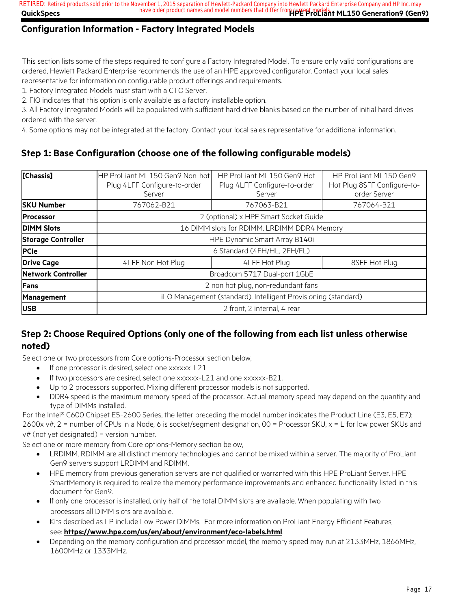**QuickSpecs Here are all of the same of the product names and model numbers that differ from current models. The Seneration9 (Gen9) RETIRED: Retired products sold prior to the November 1, 2015 separation of Hewlett-Packard Company into Hewlett Packard Enterprise Company and HP Inc. may**

## **Configuration Information - Factory Integrated Models**

This section lists some of the steps required to configure a Factory Integrated Model. To ensure only valid configurations are ordered, Hewlett Packard Enterprise recommends the use of an HPE approved configurator. Contact your local sales representative for information on configurable product offerings and requirements.

1. Factory Integrated Models must start with a CTO Server.

2. FIO indicates that this option is only available as a factory installable option.

3. All Factory Integrated Models will be populated with sufficient hard drive blanks based on the number of initial hard drives ordered with the server.

4. Some options may not be integrated at the factory. Contact your local sales representative for additional information.

## **Step 1: Base Configuration (choose one of the following configurable models)**

| [Chassis]                 | HP ProLiant ML150 Gen9 Non-hot<br>Plug 4LFF Configure-to-order<br>Server | HP ProLiant ML150 Gen9 Hot<br>Plug 4LFF Configure-to-order<br>Server | HP ProLiant ML150 Gen9<br>Hot Plug 8SFF Configure-to-<br>order Server |
|---------------------------|--------------------------------------------------------------------------|----------------------------------------------------------------------|-----------------------------------------------------------------------|
| <b>SKU Number</b>         | 767062-B21                                                               | 767063-B21                                                           | 767064-B21                                                            |
| <b>IProcessor</b>         | 2 (optional) x HPE Smart Socket Guide                                    |                                                                      |                                                                       |
| <b>DIMM Slots</b>         | 16 DIMM slots for RDIMM, LRDIMM DDR4 Memory                              |                                                                      |                                                                       |
| <b>Storage Controller</b> | HPE Dynamic Smart Array B140i                                            |                                                                      |                                                                       |
| <b>PCIe</b>               | 6 Standard (4FH/HL, 2FH/FL)                                              |                                                                      |                                                                       |
| <b>Drive Cage</b>         | 4LFF Non Hot Plug<br>4LFF Hot Plug<br>8SFF Hot Plug                      |                                                                      |                                                                       |
| <b>Network Controller</b> | Broadcom 5717 Dual-port 1GbE                                             |                                                                      |                                                                       |
| Fans                      | 2 non hot plug, non-redundant fans                                       |                                                                      |                                                                       |
| <b>Management</b>         | iLO Management (standard), Intelligent Provisioning (standard)           |                                                                      |                                                                       |
| <b>USB</b>                | 2 front, 2 internal, 4 rear                                              |                                                                      |                                                                       |

## **Step 2: Choose Required Options (only one of the following from each list unless otherwise noted)**

Select one or two processors from Core options-Processor section below,

- If one processor is desired, select one xxxxxx-L21
- If two processors are desired, select one xxxxxx-L21 and one xxxxxx-B21.
- Up to 2 processors supported. Mixing different processor models is not supported.
- DDR4 speed is the maximum memory speed of the processor. Actual memory speed may depend on the quantity and type of DIMMs installed.

For the Intel® C600 Chipset E5-2600 Series, the letter preceding the model number indicates the Product Line (E3, E5, E7); 2600x v#, 2 = number of CPUs in a Node, 6 is socket/segment designation, 00 = Processor SKU, x = L for low power SKUs and  $v#$  (not yet designated) = version number.

Select one or more memory from Core options-Memory section below,

- LRDIMM, RDIMM are all distinct memory technologies and cannot be mixed within a server. The majority of ProLiant Gen9 servers support LRDIMM and RDIMM.
- HPE memory from previous generation servers are not qualified or warranted with this HPE ProLiant Server. HPE SmartMemory is required to realize the memory performance improvements and enhanced functionality listed in this document for Gen9.
- If only one processor is installed, only half of the total DIMM slots are available. When populating with two processors all DIMM slots are available.
- Kits described as LP include Low Power DIMMs. For more information on ProLiant Energy Efficient Features,

see: **https://www.hpe.com/us/en/about/environment/eco-labels.html**.

• Depending on the memory configuration and processor model, the memory speed may run at 2133MHz, 1866MHz, 1600MHz or 1333MHz.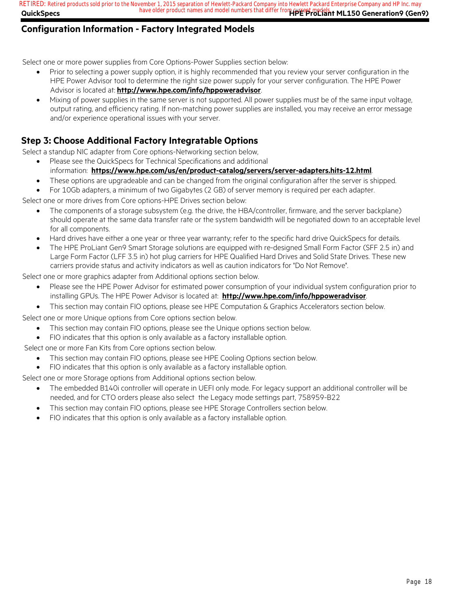### **QuickSpecs Here are all of the same of the product names and model numbers that differ from current models. The Seneration9 (Gen9) RETIRED: Retired products sold prior to the November 1, 2015 separation of Hewlett-Packard Company into Hewlett Packard Enterprise Company and HP Inc. may**

## **Configuration Information - Factory Integrated Models**

Select one or more power supplies from Core Options-Power Supplies section below:

- Prior to selecting a power supply option, it is highly recommended that you review your server configuration in the HPE Power Advisor tool to determine the right size power supply for your server configuration. The HPE Power Advisor is located at: **http://www.hpe.com/info/hppoweradvisor**.
- Mixing of power supplies in the same server is not supported. All power supplies must be of the same input voltage, output rating, and efficiency rating. If non-matching power supplies are installed, you may receive an error message and/or experience operational issues with your server.

## **Step 3: Choose Additional Factory Integratable Options**

Select a standup NIC adapter from Core options-Networking section below,

- Please see the QuickSpecs for Technical Specifications and additional
	- information: **https://www.hpe.com/us/en/product-catalog/servers/server-adapters.hits-12.html**.
	- These options are upgradeable and can be changed from the original configuration after the server is shipped.
	- For 10Gb adapters, a minimum of two Gigabytes (2 GB) of server memory is required per each adapter.

Select one or more drives from Core options-HPE Drives section below:

- The components of a storage subsystem (e.g. the drive, the HBA/controller, firmware, and the server backplane) should operate at the same data transfer rate or the system bandwidth will be negotiated down to an acceptable level for all components.
- Hard drives have either a one year or three year warranty; refer to the specific hard drive QuickSpecs for details.
- The HPE ProLiant Gen9 Smart Storage solutions are equipped with re-designed Small Form Factor (SFF 2.5 in) and Large Form Factor (LFF 3.5 in) hot plug carriers for HPE Qualified Hard Drives and Solid State Drives. These new carriers provide status and activity indicators as well as caution indicators for "Do Not Remove".

Select one or more graphics adapter from Additional options section below.

- Please see the HPE Power Advisor for estimated power consumption of your individual system configuration prior to installing GPUs. The HPE Power Advisor is located at: **http://www.hpe.com/info/hppoweradvisor**.
- This section may contain FIO options, please see HPE Computation & Graphics Accelerators section below.

Select one or more Unique options from Core options section below.

- This section may contain FIO options, please see the Unique options section below.
- FIO indicates that this option is only available as a factory installable option.

Select one or more Fan Kits from Core options section below.

- This section may contain FIO options, please see HPE Cooling Options section below.
- FIO indicates that this option is only available as a factory installable option.

Select one or more Storage options from Additional options section below.

- The embedded B140i controller will operate in UEFI only mode. For legacy support an additional controller will be needed, and for CTO orders please also select the Legacy mode settings part, 758959-B22
- This section may contain FIO options, please see HPE Storage Controllers section below.
- FIO indicates that this option is only available as a factory installable option.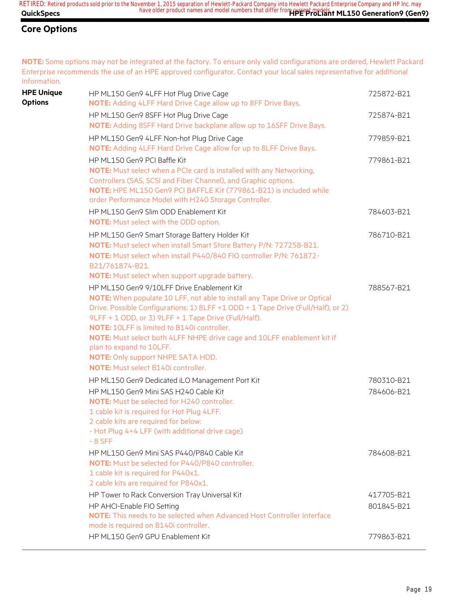**NOTE:** Some options may not be integrated at the factory. To ensure only valid configurations are ordered, Hewlett Packard Enterprise recommends the use of an HPE approved configurator. Contact your local sales representative for additional information.

| <b>HPE Unique</b><br><b>Options</b> | HP ML150 Gen9 4LFF Hot Plug Drive Cage<br><b>NOTE:</b> Adding 4LFF Hard Drive Cage allow up to 8FF Drive Bays.                                                                                                                                                                                                                                                                                                                                                                                                      | 725872-B21               |
|-------------------------------------|---------------------------------------------------------------------------------------------------------------------------------------------------------------------------------------------------------------------------------------------------------------------------------------------------------------------------------------------------------------------------------------------------------------------------------------------------------------------------------------------------------------------|--------------------------|
|                                     | HP ML150 Gen9 8SFF Hot Plug Drive Cage<br><b>NOTE:</b> Adding 8SFF Hard Drive backplane allow up to 16SFF Drive Bays.                                                                                                                                                                                                                                                                                                                                                                                               | 725874-B21               |
|                                     | HP ML150 Gen9 4LFF Non-hot Plug Drive Cage<br><b>NOTE:</b> Adding 4LFF Hard Drive Cage allow for up to 8LFF Drive Bays.                                                                                                                                                                                                                                                                                                                                                                                             | 779859-B21               |
|                                     | HP ML150 Gen9 PCI Baffle Kit<br><b>NOTE:</b> Must select when a PCIe card is installed with any Networking,<br>Controllers (SAS, SCSI and Fiber Channel), and Graphic options.<br>NOTE: HPE ML150 Gen9 PCI BAFFLE Kit (779861-B21) is included while<br>order Performance Model with H240 Storage Controller.                                                                                                                                                                                                       | 779861-B21               |
|                                     | HP ML150 Gen9 Slim ODD Enablement Kit<br><b>NOTE:</b> Must select with the ODD option.                                                                                                                                                                                                                                                                                                                                                                                                                              | 784603-B21               |
|                                     | HP ML150 Gen9 Smart Storage Battery Holder Kit<br>NOTE: Must select when install Smart Store Battery P/N: 727258-B21.<br>NOTE: Must select when install P440/840 FIO controller P/N: 761872-<br>B21/761874-B21.<br>NOTE: Must select when support upgrade battery.                                                                                                                                                                                                                                                  | 786710-B21               |
|                                     | HP ML150 Gen9 9/10LFF Drive Enablement Kit<br>NOTE: When populate 10 LFF, not able to install any Tape Drive or Optical<br>Drive. Possible Configurations: 1) 8LFF +1 ODD + 1 Tape Drive (Full/Half), or 2)<br>9LFF + 1 ODD, or 3) 9LFF + 1 Tape Drive (Full/Half).<br><b>NOTE: 10LFF is limited to B140i controller.</b><br>NOTE: Must select both 4LFF NHPE drive cage and 10LFF enablement kit if<br>plan to expand to 10LFF.<br><b>NOTE:</b> Only support NHPE SATA HDD.<br>NOTE: Must select B140i controller. | 788567-B21               |
|                                     | HP ML150 Gen9 Dedicated iLO Management Port Kit<br>HP ML150 Gen9 Mini SAS H240 Cable Kit<br><b>NOTE:</b> Must be selected for H240 controller.<br>1 cable kit is required for Hot Plug 4LFF.<br>2 cable kits are required for below:<br>- Hot Plug 4+4 LFF (with additional drive cage)<br>$-8$ SFF                                                                                                                                                                                                                 | 780310-B21<br>784606-B21 |
|                                     | HP ML150 Gen9 Mini SAS P440/P840 Cable Kit<br>NOTE: Must be selected for P440/P840 controller.<br>1 cable kit is required for P440x1.<br>2 cable kits are required for P840x1.                                                                                                                                                                                                                                                                                                                                      | 784608-B21               |
|                                     | HP Tower to Rack Conversion Tray Universal Kit<br>HP AHCI-Enable FIO Setting<br>NOTE: This needs to be selected when Advanced Host Controller Interface<br>mode is required on B140i controller.                                                                                                                                                                                                                                                                                                                    | 417705-B21<br>801845-B21 |
|                                     | HP ML150 Gen9 GPU Enablement Kit                                                                                                                                                                                                                                                                                                                                                                                                                                                                                    | 779863-B21               |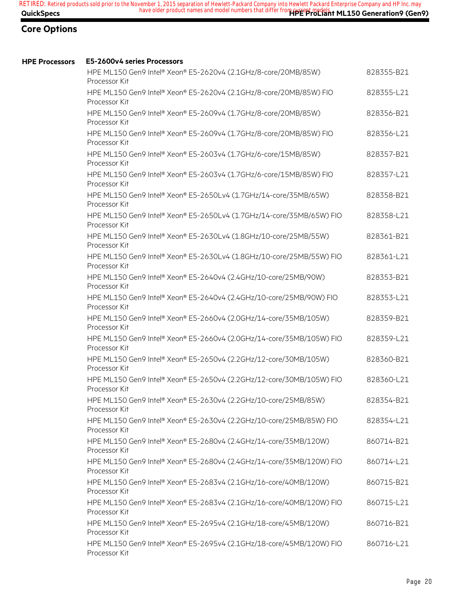| <b>HPE Processors</b> | E5-2600v4 series Processors                                                           |            |
|-----------------------|---------------------------------------------------------------------------------------|------------|
|                       | HPE ML150 Gen9 Intel® Xeon® E5-2620v4 (2.1GHz/8-core/20MB/85W)<br>Processor Kit       | 828355-B21 |
|                       | HPE ML150 Gen9 Intel® Xeon® E5-2620v4 (2.1GHz/8-core/20MB/85W) FIO<br>Processor Kit   | 828355-L21 |
|                       | HPE ML150 Gen9 Intel® Xeon® E5-2609v4 (1.7GHz/8-core/20MB/85W)<br>Processor Kit       | 828356-B21 |
|                       | HPE ML150 Gen9 Intel® Xeon® E5-2609v4 (1.7GHz/8-core/20MB/85W) FIO<br>Processor Kit   | 828356-L21 |
|                       | HPE ML150 Gen9 Intel® Xeon® E5-2603v4 (1.7GHz/6-core/15MB/85W)<br>Processor Kit       | 828357-B21 |
|                       | HPE ML150 Gen9 Intel® Xeon® E5-2603v4 (1.7GHz/6-core/15MB/85W) FIO<br>Processor Kit   | 828357-L21 |
|                       | HPE ML150 Gen9 Intel® Xeon® E5-2650Lv4 (1.7GHz/14-core/35MB/65W)<br>Processor Kit     | 828358-B21 |
|                       | HPE ML150 Gen9 Intel® Xeon® E5-2650Lv4 (1.7GHz/14-core/35MB/65W) FIO<br>Processor Kit | 828358-L21 |
|                       | HPE ML150 Gen9 Intel® Xeon® E5-2630Lv4 (1.8GHz/10-core/25MB/55W)<br>Processor Kit     | 828361-B21 |
|                       | HPE ML150 Gen9 Intel® Xeon® E5-2630Lv4 (1.8GHz/10-core/25MB/55W) FIO<br>Processor Kit | 828361-L21 |
|                       | HPE ML150 Gen9 Intel® Xeon® E5-2640v4 (2.4GHz/10-core/25MB/90W)<br>Processor Kit      | 828353-B21 |
|                       | HPE ML150 Gen9 Intel® Xeon® E5-2640v4 (2.4GHz/10-core/25MB/90W) FIO<br>Processor Kit  | 828353-L21 |
|                       | HPE ML150 Gen9 Intel® Xeon® E5-2660v4 (2.0GHz/14-core/35MB/105W)<br>Processor Kit     | 828359-B21 |
|                       | HPE ML150 Gen9 Intel® Xeon® E5-2660v4 (2.0GHz/14-core/35MB/105W) FIO<br>Processor Kit | 828359-L21 |
|                       | HPE ML150 Gen9 Intel® Xeon® E5-2650v4 (2.2GHz/12-core/30MB/105W)<br>Processor Kit     | 828360-B21 |
|                       | HPE ML150 Gen9 Intel® Xeon® E5-2650v4 (2.2GHz/12-core/30MB/105W) FIO<br>Processor Kit | 828360-L21 |
|                       | HPE ML150 Gen9 Intel® Xeon® E5-2630v4 (2.2GHz/10-core/25MB/85W)<br>Processor Kit      | 828354-B21 |
|                       | HPE ML150 Gen9 Intel® Xeon® E5-2630v4 (2.2GHz/10-core/25MB/85W) FIO<br>Processor Kit  | 828354-L21 |
|                       | HPE ML150 Gen9 Intel® Xeon® E5-2680v4 (2.4GHz/14-core/35MB/120W)<br>Processor Kit     | 860714-B21 |
|                       | HPE ML150 Gen9 Intel® Xeon® E5-2680v4 (2.4GHz/14-core/35MB/120W) FIO<br>Processor Kit | 860714-L21 |
|                       | HPE ML150 Gen9 Intel® Xeon® E5-2683v4 (2.1GHz/16-core/40MB/120W)<br>Processor Kit     | 860715-B21 |
|                       | HPE ML150 Gen9 Intel® Xeon® E5-2683v4 (2.1GHz/16-core/40MB/120W) FIO<br>Processor Kit | 860715-L21 |
|                       | HPE ML150 Gen9 Intel® Xeon® E5-2695v4 (2.1GHz/18-core/45MB/120W)<br>Processor Kit     | 860716-B21 |
|                       | HPE ML150 Gen9 Intel® Xeon® E5-2695v4 (2.1GHz/18-core/45MB/120W) FIO<br>Processor Kit | 860716-L21 |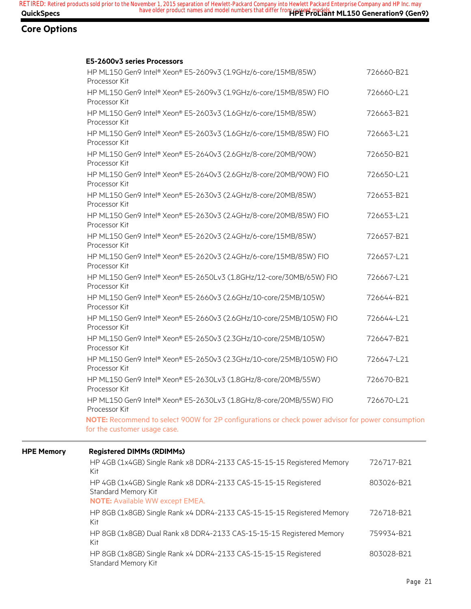#### **E5-2600v3 series Processors**

| HP ML150 Gen9 Intel® Xeon® E5-2609v3 (1.9GHz/6-core/15MB/85W)<br>Processor Kit                                                    | 726660-B21 |
|-----------------------------------------------------------------------------------------------------------------------------------|------------|
| HP ML150 Gen9 Intel® Xeon® E5-2609v3 (1.9GHz/6-core/15MB/85W) FIO<br>Processor Kit                                                | 726660-L21 |
| HP ML150 Gen9 Intel® Xeon® E5-2603v3 (1.6GHz/6-core/15MB/85W)<br>Processor Kit                                                    | 726663-B21 |
| HP ML150 Gen9 Intel® Xeon® E5-2603v3 (1.6GHz/6-core/15MB/85W) FIO<br>Processor Kit                                                | 726663-L21 |
| HP ML150 Gen9 Intel® Xeon® E5-2640v3 (2.6GHz/8-core/20MB/90W)<br>Processor Kit                                                    | 726650-B21 |
| HP ML150 Gen9 Intel® Xeon® E5-2640v3 (2.6GHz/8-core/20MB/90W) FIO<br>Processor Kit                                                | 726650-L21 |
| HP ML150 Gen9 Intel® Xeon® E5-2630v3 (2.4GHz/8-core/20MB/85W)<br>Processor Kit                                                    | 726653-B21 |
| HP ML150 Gen9 Intel® Xeon® E5-2630v3 (2.4GHz/8-core/20MB/85W) FIO<br>Processor Kit                                                | 726653-L21 |
| HP ML150 Gen9 Intel® Xeon® E5-2620v3 (2.4GHz/6-core/15MB/85W)<br>Processor Kit                                                    | 726657-B21 |
| HP ML150 Gen9 Intel® Xeon® E5-2620v3 (2.4GHz/6-core/15MB/85W) FIO<br>Processor Kit                                                | 726657-L21 |
| HP ML150 Gen9 Intel® Xeon® E5-2650Lv3 (1.8GHz/12-core/30MB/65W) FIO<br>Processor Kit                                              | 726667-L21 |
| HP ML150 Gen9 Intel® Xeon® E5-2660v3 (2.6GHz/10-core/25MB/105W)<br>Processor Kit                                                  | 726644-B21 |
| HP ML150 Gen9 Intel® Xeon® E5-2660v3 (2.6GHz/10-core/25MB/105W) FIO<br>Processor Kit                                              | 726644-L21 |
| HP ML150 Gen9 Intel® Xeon® E5-2650v3 (2.3GHz/10-core/25MB/105W)<br>Processor Kit                                                  | 726647-B21 |
| HP ML150 Gen9 Intel® Xeon® E5-2650v3 (2.3GHz/10-core/25MB/105W) FIO<br>Processor Kit                                              | 726647-L21 |
| HP ML150 Gen9 Intel® Xeon® E5-2630Lv3 (1.8GHz/8-core/20MB/55W)<br>Processor Kit                                                   | 726670-B21 |
| HP ML150 Gen9 Intel® Xeon® E5-2630Lv3 (1.8GHz/8-core/20MB/55W) FIO<br>Processor Kit                                               | 726670-L21 |
| NOTE: Recommend to select 900W for 2P configurations or check power advisor for power consumption<br>for the customer usage case. |            |

#### **HPE Memory Registered DIMMs (RDIMMs)**

| HP 4GB (1x4GB) Single Rank x8 DDR4-2133 CAS-15-15-15 Registered Memory<br>Kit                                                    | 726717-B21 |
|----------------------------------------------------------------------------------------------------------------------------------|------------|
| HP 4GB (1x4GB) Single Rank x8 DDR4-2133 CAS-15-15-15 Registered<br>Standard Memory Kit<br><b>NOTE:</b> Available WW except EMEA. | 803026-B21 |
| HP 8GB (1x8GB) Single Rank x4 DDR4-2133 CAS-15-15-15 Registered Memory<br>Kit                                                    | 726718-B21 |
| HP 8GB (1x8GB) Dual Rank x8 DDR4-2133 CAS-15-15-15 Registered Memory<br>Kit                                                      | 759934-B21 |
| HP 8GB (1x8GB) Single Rank x4 DDR4-2133 CAS-15-15-15 Registered<br>Standard Memory Kit                                           | 803028-B21 |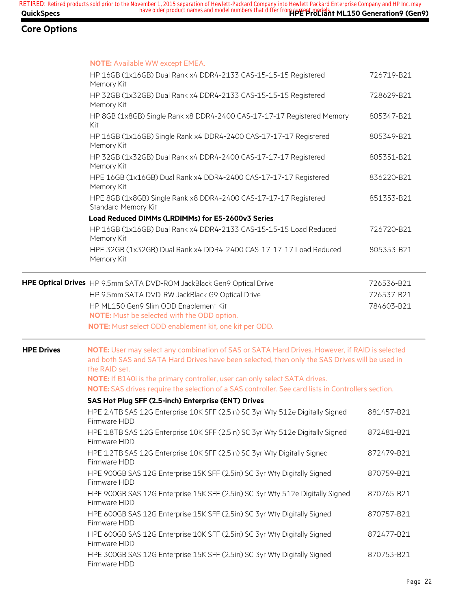|                   | <b>NOTE: Available WW except EMEA.</b>                                                                                                                                                                            |            |
|-------------------|-------------------------------------------------------------------------------------------------------------------------------------------------------------------------------------------------------------------|------------|
|                   | HP 16GB (1x16GB) Dual Rank x4 DDR4-2133 CAS-15-15-15 Registered<br>Memory Kit                                                                                                                                     | 726719-B21 |
|                   | HP 32GB (1x32GB) Dual Rank x4 DDR4-2133 CAS-15-15-15 Registered<br>Memory Kit                                                                                                                                     | 728629-B21 |
|                   | HP 8GB (1x8GB) Single Rank x8 DDR4-2400 CAS-17-17-17 Registered Memory<br>Kit                                                                                                                                     | 805347-B21 |
|                   | HP 16GB (1x16GB) Single Rank x4 DDR4-2400 CAS-17-17-17 Registered<br>Memory Kit                                                                                                                                   | 805349-B21 |
|                   | HP 32GB (1x32GB) Dual Rank x4 DDR4-2400 CAS-17-17-17 Registered<br>Memory Kit                                                                                                                                     | 805351-B21 |
|                   | HPE 16GB (1x16GB) Dual Rank x4 DDR4-2400 CAS-17-17-17 Registered<br>Memory Kit                                                                                                                                    | 836220-B21 |
|                   | HPE 8GB (1x8GB) Single Rank x8 DDR4-2400 CAS-17-17-17 Registered<br>Standard Memory Kit                                                                                                                           | 851353-B21 |
|                   | Load Reduced DIMMs (LRDIMMs) for E5-2600v3 Series                                                                                                                                                                 |            |
|                   | HP 16GB (1x16GB) Dual Rank x4 DDR4-2133 CAS-15-15-15 Load Reduced<br>Memory Kit                                                                                                                                   | 726720-B21 |
|                   | HPE 32GB (1x32GB) Dual Rank x4 DDR4-2400 CAS-17-17-17 Load Reduced<br>Memory Kit                                                                                                                                  | 805353-B21 |
|                   | HPE Optical Drives HP 9.5mm SATA DVD-ROM JackBlack Gen9 Optical Drive                                                                                                                                             | 726536-B21 |
|                   | HP 9.5mm SATA DVD-RW JackBlack G9 Optical Drive                                                                                                                                                                   | 726537-B21 |
|                   | HP ML150 Gen9 Slim ODD Enablement Kit                                                                                                                                                                             | 784603-B21 |
|                   | NOTE: Must be selected with the ODD option.                                                                                                                                                                       |            |
|                   | NOTE: Must select ODD enablement kit, one kit per ODD.                                                                                                                                                            |            |
| <b>HPE Drives</b> | NOTE: User may select any combination of SAS or SATA Hard Drives. However, if RAID is selected<br>and both SAS and SATA Hard Drives have been selected, then only the SAS Drives will be used in<br>the RAID set. |            |
|                   | NOTE: If B140i is the primary controller, user can only select SATA drives.<br>NOTE: SAS drives require the selection of a SAS controller. See card lists in Controllers section.                                 |            |
|                   | SAS Hot Plug SFF (2.5-inch) Enterprise (ENT) Drives                                                                                                                                                               |            |
|                   | HPE 2.4TB SAS 12G Enterprise 10K SFF (2.5in) SC 3yr Wty 512e Digitally Signed<br>Firmware HDD                                                                                                                     | 881457-B21 |
|                   | HPE 1.8TB SAS 12G Enterprise 10K SFF (2.5in) SC 3yr Wty 512e Digitally Signed<br>Firmware HDD                                                                                                                     | 872481-B21 |
|                   | HPE 1.2TB SAS 12G Enterprise 10K SFF (2.5in) SC 3yr Wty Digitally Signed<br>Firmware HDD                                                                                                                          | 872479-B21 |
|                   | HPE 900GB SAS 12G Enterprise 15K SFF (2.5in) SC 3yr Wty Digitally Signed<br>Firmware HDD                                                                                                                          | 870759-B21 |
|                   | HPE 900GB SAS 12G Enterprise 15K SFF (2.5in) SC 3yr Wty 512e Digitally Signed<br>Firmware HDD                                                                                                                     | 870765-B21 |
|                   | HPE 600GB SAS 12G Enterprise 15K SFF (2.5in) SC 3yr Wty Digitally Signed<br>Firmware HDD                                                                                                                          | 870757-B21 |
|                   | HPE 600GB SAS 12G Enterprise 10K SFF (2.5in) SC 3yr Wty Digitally Signed<br>Firmware HDD                                                                                                                          | 872477-B21 |
|                   | HPE 300GB SAS 12G Enterprise 15K SFF (2.5in) SC 3yr Wty Digitally Signed<br>Firmware HDD                                                                                                                          | 870753-B21 |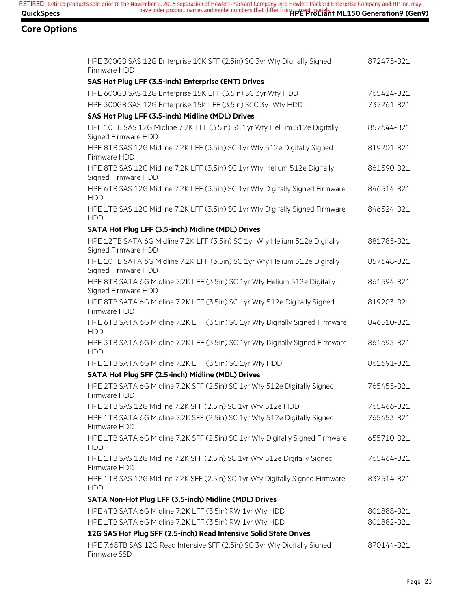| HPE 300GB SAS 12G Enterprise 10K SFF (2.5in) SC 3yr Wty Digitally Signed<br>Firmware HDD          | 872475-B21 |
|---------------------------------------------------------------------------------------------------|------------|
| SAS Hot Plug LFF (3.5-inch) Enterprise (ENT) Drives                                               |            |
| HPE 600GB SAS 12G Enterprise 15K LFF (3.5in) SC 3yr Wty HDD                                       | 765424-B21 |
| HPE 300GB SAS 12G Enterprise 15K LFF (3.5in) SCC 3yr Wty HDD                                      | 737261-B21 |
| SAS Hot Plug LFF (3.5-inch) Midline (MDL) Drives                                                  |            |
| HPE 10TB SAS 12G Midline 7.2K LFF (3.5in) SC 1yr Wty Helium 512e Digitally<br>Signed Firmware HDD | 857644-B21 |
| HPE 8TB SAS 12G Midline 7.2K LFF (3.5in) SC 1yr Wty 512e Digitally Signed<br>Firmware HDD         | 819201-B21 |
| HPE 8TB SAS 12G Midline 7.2K LFF (3.5in) SC 1yr Wty Helium 512e Digitally<br>Signed Firmware HDD  | 861590-B21 |
| HPE 6TB SAS 12G Midline 7.2K LFF (3.5in) SC 1yr Wty Digitally Signed Firmware<br><b>HDD</b>       | 846514-B21 |
| HPE 1TB SAS 12G Midline 7.2K LFF (3.5in) SC 1yr Wty Digitally Signed Firmware<br><b>HDD</b>       | 846524-B21 |
| SATA Hot Plug LFF (3.5-inch) Midline (MDL) Drives                                                 |            |
| HPE 12TB SATA 6G Midline 7.2K LFF (3.5in) SC 1yr Wty Helium 512e Digitally<br>Signed Firmware HDD | 881785-B21 |
| HPE 10TB SATA 6G Midline 7.2K LFF (3.5in) SC 1yr Wty Helium 512e Digitally<br>Signed Firmware HDD | 857648-B21 |
| HPE 8TB SATA 6G Midline 7.2K LFF (3.5in) SC 1yr Wty Helium 512e Digitally<br>Signed Firmware HDD  | 861594-B21 |
| HPE 8TB SATA 6G Midline 7.2K LFF (3.5in) SC 1yr Wty 512e Digitally Signed<br>Firmware HDD         | 819203-B21 |
| HPE 6TB SATA 6G Midline 7.2K LFF (3.5in) SC 1yr Wty Digitally Signed Firmware<br><b>HDD</b>       | 846510-B21 |
| HPE 3TB SATA 6G Midline 7.2K LFF (3.5in) SC 1yr Wty Digitally Signed Firmware<br><b>HDD</b>       | 861693-B21 |
| HPE 1TB SATA 6G Midline 7.2K LFF (3.5in) SC 1yr Wty HDD                                           | 861691-B21 |
| SATA Hot Plug SFF (2.5-inch) Midline (MDL) Drives                                                 |            |
| HPE 2TB SATA 6G Midline 7.2K SFF (2.5in) SC 1yr Wty 512e Digitally Signed<br>Firmware HDD         | 765455-B21 |
| HPE 2TB SAS 12G Midline 7.2K SFF (2.5in) SC 1yr Wty 512e HDD                                      | 765466-B21 |
| HPE 1TB SATA 6G Midline 7.2K SFF (2.5in) SC 1yr Wty 512e Digitally Signed<br>Firmware HDD         | 765453-B21 |
| HPE 1TB SATA 6G Midline 7.2K SFF (2.5in) SC 1yr Wty Digitally Signed Firmware<br><b>HDD</b>       | 655710-B21 |
| HPE 1TB SAS 12G Midline 7.2K SFF (2.5in) SC 1yr Wty 512e Digitally Signed<br>Firmware HDD         | 765464-B21 |
| HPE 1TB SAS 12G Midline 7.2K SFF (2.5in) SC 1yr Wty Digitally Signed Firmware<br><b>HDD</b>       | 832514-B21 |
| SATA Non-Hot Plug LFF (3.5-inch) Midline (MDL) Drives                                             |            |
| HPE 4TB SATA 6G Midline 7.2K LFF (3.5in) RW 1yr Wty HDD                                           | 801888-B21 |
| HPE 1TB SATA 6G Midline 7.2K LFF (3.5in) RW 1yr Wty HDD                                           | 801882-B21 |
| 12G SAS Hot Plug SFF (2.5-inch) Read Intensive Solid State Drives                                 |            |
| HPE 7.68TB SAS 12G Read Intensive SFF (2.5in) SC 3yr Wty Digitally Signed<br>Firmware SSD         | 870144-B21 |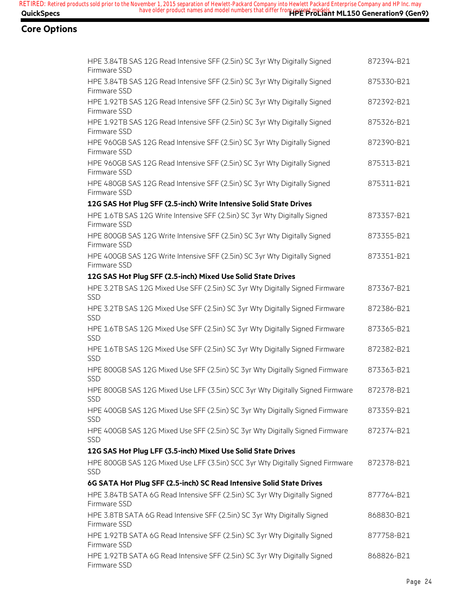| HPE 3.84TB SAS 12G Read Intensive SFF (2.5in) SC 3yr Wty Digitally Signed<br>Firmware SSD   | 872394-B21 |
|---------------------------------------------------------------------------------------------|------------|
| HPE 3.84TB SAS 12G Read Intensive SFF (2.5in) SC 3yr Wty Digitally Signed<br>Firmware SSD   | 875330-B21 |
| HPE 1.92TB SAS 12G Read Intensive SFF (2.5in) SC 3yr Wty Digitally Signed<br>Firmware SSD   | 872392-B21 |
| HPE 1.92TB SAS 12G Read Intensive SFF (2.5in) SC 3yr Wty Digitally Signed<br>Firmware SSD   | 875326-B21 |
| HPE 960GB SAS 12G Read Intensive SFF (2.5in) SC 3yr Wty Digitally Signed<br>Firmware SSD    | 872390-B21 |
| HPE 960GB SAS 12G Read Intensive SFF (2.5in) SC 3yr Wty Digitally Signed<br>Firmware SSD    | 875313-B21 |
| HPE 480GB SAS 12G Read Intensive SFF (2.5in) SC 3yr Wty Digitally Signed<br>Firmware SSD    | 875311-B21 |
| 12G SAS Hot Plug SFF (2.5-inch) Write Intensive Solid State Drives                          |            |
| HPE 1.6TB SAS 12G Write Intensive SFF (2.5in) SC 3yr Wty Digitally Signed<br>Firmware SSD   | 873357-B21 |
| HPE 800GB SAS 12G Write Intensive SFF (2.5in) SC 3yr Wty Digitally Signed<br>Firmware SSD   | 873355-B21 |
| HPE 400GB SAS 12G Write Intensive SFF (2.5in) SC 3yr Wty Digitally Signed<br>Firmware SSD   | 873351-B21 |
| 12G SAS Hot Plug SFF (2.5-inch) Mixed Use Solid State Drives                                |            |
| HPE 3.2TB SAS 12G Mixed Use SFF (2.5in) SC 3yr Wty Digitally Signed Firmware<br><b>SSD</b>  | 873367-B21 |
| HPE 3.2TB SAS 12G Mixed Use SFF (2.5in) SC 3yr Wty Digitally Signed Firmware<br><b>SSD</b>  | 872386-B21 |
| HPE 1.6TB SAS 12G Mixed Use SFF (2.5in) SC 3yr Wty Digitally Signed Firmware<br><b>SSD</b>  | 873365-B21 |
| HPE 1.6TB SAS 12G Mixed Use SFF (2.5in) SC 3yr Wty Digitally Signed Firmware<br>SSD         | 872382-B21 |
| HPE 800GB SAS 12G Mixed Use SFF (2.5in) SC 3yr Wty Digitally Signed Firmware<br><b>SSD</b>  | 873363-B21 |
| HPE 800GB SAS 12G Mixed Use LFF (3.5in) SCC 3yr Wty Digitally Signed Firmware<br>SSD        | 872378-B21 |
| HPE 400GB SAS 12G Mixed Use SFF (2.5in) SC 3yr Wty Digitally Signed Firmware<br><b>SSD</b>  | 873359-B21 |
| HPE 400GB SAS 12G Mixed Use SFF (2.5in) SC 3yr Wty Digitally Signed Firmware<br><b>SSD</b>  | 872374-B21 |
| 12G SAS Hot Plug LFF (3.5-inch) Mixed Use Solid State Drives                                |            |
| HPE 800GB SAS 12G Mixed Use LFF (3.5in) SCC 3yr Wty Digitally Signed Firmware<br><b>SSD</b> | 872378-B21 |
| 6G SATA Hot Plug SFF (2.5-inch) SC Read Intensive Solid State Drives                        |            |
| HPE 3.84TB SATA 6G Read Intensive SFF (2.5in) SC 3yr Wty Digitally Signed<br>Firmware SSD   | 877764-B21 |
| HPE 3.8TB SATA 6G Read Intensive SFF (2.5in) SC 3yr Wty Digitally Signed<br>Firmware SSD    | 868830-B21 |
| HPE 1.92TB SATA 6G Read Intensive SFF (2.5in) SC 3yr Wty Digitally Signed<br>Firmware SSD   | 877758-B21 |
| HPE 1.92TB SATA 6G Read Intensive SFF (2.5in) SC 3yr Wty Digitally Signed<br>Firmware SSD   | 868826-B21 |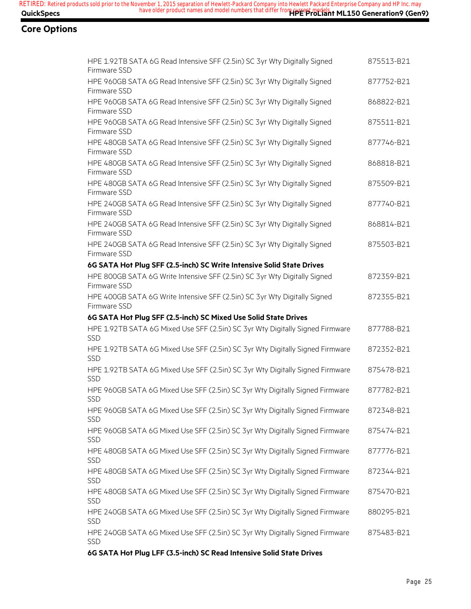## **Core Options**

| HPE 1.92TB SATA 6G Read Intensive SFF (2.5in) SC 3yr Wty Digitally Signed<br>Firmware SSD   | 875513-B21 |
|---------------------------------------------------------------------------------------------|------------|
| HPE 960GB SATA 6G Read Intensive SFF (2.5in) SC 3yr Wty Digitally Signed<br>Firmware SSD    | 877752-B21 |
| HPE 960GB SATA 6G Read Intensive SFF (2.5in) SC 3yr Wty Digitally Signed<br>Firmware SSD    | 868822-B21 |
| HPE 960GB SATA 6G Read Intensive SFF (2.5in) SC 3yr Wty Digitally Signed<br>Firmware SSD    | 875511-B21 |
| HPE 480GB SATA 6G Read Intensive SFF (2.5in) SC 3yr Wty Digitally Signed<br>Firmware SSD    | 877746-B21 |
| HPE 480GB SATA 6G Read Intensive SFF (2.5in) SC 3yr Wty Digitally Signed<br>Firmware SSD    | 868818-B21 |
| HPE 480GB SATA 6G Read Intensive SFF (2.5in) SC 3yr Wty Digitally Signed<br>Firmware SSD    | 875509-B21 |
| HPE 240GB SATA 6G Read Intensive SFF (2.5in) SC 3yr Wty Digitally Signed<br>Firmware SSD    | 877740-B21 |
| HPE 240GB SATA 6G Read Intensive SFF (2.5in) SC 3yr Wty Digitally Signed<br>Firmware SSD    | 868814-B21 |
| HPE 240GB SATA 6G Read Intensive SFF (2.5in) SC 3yr Wty Digitally Signed<br>Firmware SSD    | 875503-B21 |
| 6G SATA Hot Plug SFF (2.5-inch) SC Write Intensive Solid State Drives                       |            |
| HPE 800GB SATA 6G Write Intensive SFF (2.5in) SC 3yr Wty Digitally Signed<br>Firmware SSD   | 872359-B21 |
| HPE 400GB SATA 6G Write Intensive SFF (2.5in) SC 3yr Wty Digitally Signed<br>Firmware SSD   | 872355-B21 |
| 6G SATA Hot Plug SFF (2.5-inch) SC Mixed Use Solid State Drives                             |            |
| HPE 1.92TB SATA 6G Mixed Use SFF (2.5in) SC 3yr Wty Digitally Signed Firmware<br>SSD        | 877788-B21 |
| HPE 1.92TB SATA 6G Mixed Use SFF (2.5in) SC 3yr Wty Digitally Signed Firmware<br>SSD        | 872352-B21 |
| HPE 1.92TB SATA 6G Mixed Use SFF (2.5in) SC 3yr Wty Digitally Signed Firmware<br><b>SSD</b> | 875478-B21 |
| HPE 960GB SATA 6G Mixed Use SFF (2.5in) SC 3yr Wty Digitally Signed Firmware<br>SSD         | 877782-B21 |
| HPE 960GB SATA 6G Mixed Use SFF (2.5in) SC 3yr Wty Digitally Signed Firmware<br><b>SSD</b>  | 872348-B21 |
| HPE 960GB SATA 6G Mixed Use SFF (2.5in) SC 3yr Wty Digitally Signed Firmware<br>SSD         | 875474-B21 |
| HPE 480GB SATA 6G Mixed Use SFF (2.5in) SC 3yr Wty Digitally Signed Firmware<br>SSD         | 877776-B21 |
| HPE 480GB SATA 6G Mixed Use SFF (2.5in) SC 3yr Wty Digitally Signed Firmware<br><b>SSD</b>  | 872344-B21 |
| HPE 480GB SATA 6G Mixed Use SFF (2.5in) SC 3yr Wty Digitally Signed Firmware<br><b>SSD</b>  | 875470-B21 |
| HPE 240GB SATA 6G Mixed Use SFF (2.5in) SC 3yr Wty Digitally Signed Firmware<br><b>SSD</b>  | 880295-B21 |
| HPE 240GB SATA 6G Mixed Use SFF (2.5in) SC 3yr Wty Digitally Signed Firmware<br>SSD         | 875483-B21 |
|                                                                                             |            |

**6G SATA Hot Plug LFF (3.5-inch) SC Read Intensive Solid State Drives**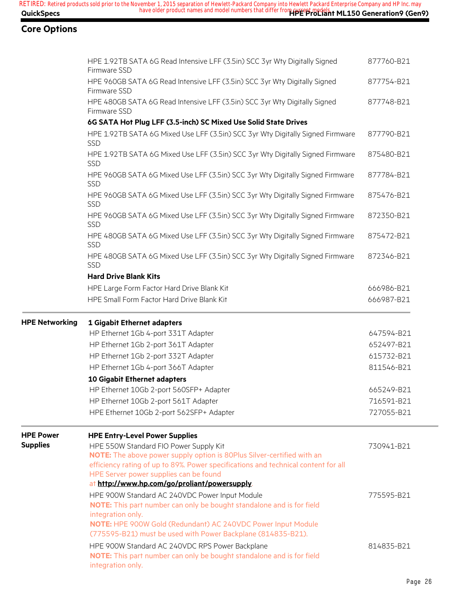|                       | HPE 1.92TB SATA 6G Read Intensive LFF (3.5in) SCC 3yr Wty Digitally Signed<br>Firmware SSD                                                           | 877760-B21 |
|-----------------------|------------------------------------------------------------------------------------------------------------------------------------------------------|------------|
|                       | HPE 960GB SATA 6G Read Intensive LFF (3.5in) SCC 3yr Wty Digitally Signed<br>Firmware SSD                                                            | 877754-B21 |
|                       | HPE 480GB SATA 6G Read Intensive LFF (3.5in) SCC 3yr Wty Digitally Signed<br>Firmware SSD                                                            | 877748-B21 |
|                       | 6G SATA Hot Plug LFF (3.5-inch) SC Mixed Use Solid State Drives                                                                                      |            |
|                       | HPE 1.92TB SATA 6G Mixed Use LFF (3.5in) SCC 3yr Wty Digitally Signed Firmware<br>SSD                                                                | 877790-B21 |
|                       | HPE 1.92TB SATA 6G Mixed Use LFF (3.5in) SCC 3yr Wty Digitally Signed Firmware<br>SSD                                                                | 875480-B21 |
|                       | HPE 960GB SATA 6G Mixed Use LFF (3.5in) SCC 3yr Wty Digitally Signed Firmware<br><b>SSD</b>                                                          | 877784-B21 |
|                       | HPE 960GB SATA 6G Mixed Use LFF (3.5in) SCC 3yr Wty Digitally Signed Firmware<br>SSD                                                                 | 875476-B21 |
|                       | HPE 960GB SATA 6G Mixed Use LFF (3.5in) SCC 3yr Wty Digitally Signed Firmware<br>SSD                                                                 | 872350-B21 |
|                       | HPE 480GB SATA 6G Mixed Use LFF (3.5in) SCC 3yr Wty Digitally Signed Firmware<br><b>SSD</b>                                                          | 875472-B21 |
|                       | HPE 480GB SATA 6G Mixed Use LFF (3.5in) SCC 3yr Wty Digitally Signed Firmware<br>SSD                                                                 | 872346-B21 |
|                       | <b>Hard Drive Blank Kits</b>                                                                                                                         |            |
|                       | HPE Large Form Factor Hard Drive Blank Kit                                                                                                           | 666986-B21 |
|                       | HPE Small Form Factor Hard Drive Blank Kit                                                                                                           | 666987-B21 |
| <b>HPE Networking</b> | 1 Gigabit Ethernet adapters                                                                                                                          |            |
|                       | HP Ethernet 1Gb 4-port 331T Adapter                                                                                                                  | 647594-B21 |
|                       | HP Ethernet 1Gb 2-port 361T Adapter                                                                                                                  | 652497-B21 |
|                       | HP Ethernet 1Gb 2-port 332T Adapter                                                                                                                  | 615732-B21 |
|                       | HP Ethernet 1Gb 4-port 366T Adapter                                                                                                                  | 811546-B21 |
|                       | 10 Gigabit Ethernet adapters                                                                                                                         |            |
|                       | HP Ethernet 10Gb 2-port 560SFP+ Adapter                                                                                                              | 665249-B21 |
|                       | HP Ethernet 10Gb 2-port 561T Adapter                                                                                                                 | 716591-B21 |
|                       | HPE Ethernet 10Gb 2-port 562SFP+ Adapter                                                                                                             | 727055-B21 |
| <b>HPE Power</b>      | <b>HPE Entry-Level Power Supplies</b>                                                                                                                |            |
| <b>Supplies</b>       |                                                                                                                                                      |            |
|                       | HPE 550W Standard FIO Power Supply Kit                                                                                                               | 730941-B21 |
|                       | NOTE: The above power supply option is 80Plus Silver-certified with an                                                                               |            |
|                       | efficiency rating of up to 89%. Power specifications and technical content for all                                                                   |            |
|                       | HPE Server power supplies can be found                                                                                                               |            |
|                       | at http://www.hp.com/go/proliant/powersupply.                                                                                                        |            |
|                       | HPE 900W Standard AC 240VDC Power Input Module<br><b>NOTE:</b> This part number can only be bought standalone and is for field                       | 775595-B21 |
|                       | integration only.<br>NOTE: HPE 900W Gold (Redundant) AC 240VDC Power Input Module<br>(775595-B21) must be used with Power Backplane (814835-B21).    |            |
|                       | HPE 900W Standard AC 240VDC RPS Power Backplane<br><b>NOTE:</b> This part number can only be bought standalone and is for field<br>integration only. | 814835-B21 |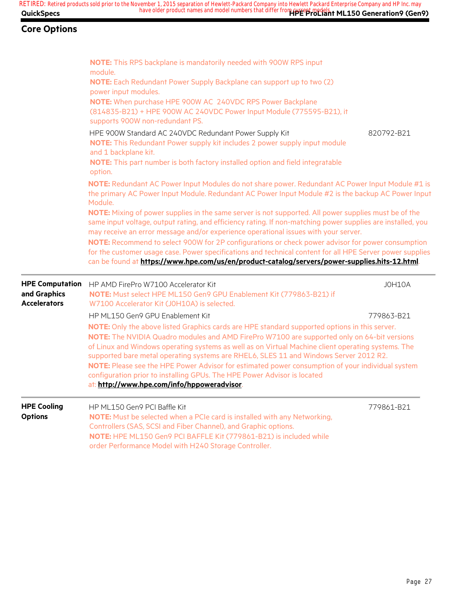|                        | NOTE: This RPS backplane is mandatorily needed with 900W RPS input                                                                                                                                                   |            |
|------------------------|----------------------------------------------------------------------------------------------------------------------------------------------------------------------------------------------------------------------|------------|
|                        | module.                                                                                                                                                                                                              |            |
|                        | NOTE: Each Redundant Power Supply Backplane can support up to two (2)                                                                                                                                                |            |
|                        | power input modules.                                                                                                                                                                                                 |            |
|                        | NOTE: When purchase HPE 900W AC 240VDC RPS Power Backplane<br>(814835-B21) + HPE 900W AC 240VDC Power Input Module (775595-B21), it                                                                                  |            |
|                        | supports 900W non-redundant PS.                                                                                                                                                                                      |            |
|                        | HPE 900W Standard AC 240VDC Redundant Power Supply Kit                                                                                                                                                               | 820792-B21 |
|                        | NOTE: This Redundant Power supply kit includes 2 power supply input module                                                                                                                                           |            |
|                        | and 1 backplane kit.                                                                                                                                                                                                 |            |
|                        | NOTE: This part number is both factory installed option and field integratable                                                                                                                                       |            |
|                        | option.                                                                                                                                                                                                              |            |
|                        | NOTE: Redundant AC Power Input Modules do not share power. Redundant AC Power Input Module #1 is                                                                                                                     |            |
|                        | the primary AC Power Input Module. Redundant AC Power Input Module #2 is the backup AC Power Input                                                                                                                   |            |
|                        | Module.                                                                                                                                                                                                              |            |
|                        | NOTE: Mixing of power supplies in the same server is not supported. All power supplies must be of the<br>same input voltage, output rating, and efficiency rating. If non-matching power supplies are installed, you |            |
|                        | may receive an error message and/or experience operational issues with your server.                                                                                                                                  |            |
|                        | NOTE: Recommend to select 900W for 2P configurations or check power advisor for power consumption                                                                                                                    |            |
|                        | for the customer usage case. Power specifications and technical content for all HPE Server power supplies                                                                                                            |            |
|                        | can be found at https://www.hpe.com/us/en/product-catalog/servers/power-supplies.hits-12.html                                                                                                                        |            |
| <b>HPE Computation</b> | HP AMD FirePro W7100 Accelerator Kit                                                                                                                                                                                 | JOH10A     |
| and Graphics           | NOTE: Must select HPE ML150 Gen9 GPU Enablement Kit (779863-B21) if                                                                                                                                                  |            |
| <b>Accelerators</b>    | W7100 Accelerator Kit (J0H10A) is selected.                                                                                                                                                                          |            |
|                        | HP ML150 Gen9 GPU Enablement Kit                                                                                                                                                                                     | 779863-B21 |
|                        | NOTE: Only the above listed Graphics cards are HPE standard supported options in this server.                                                                                                                        |            |
|                        | NOTE: The NVIDIA Quadro modules and AMD FirePro W7100 are supported only on 64-bit versions                                                                                                                          |            |
|                        | of Linux and Windows operating systems as well as on Virtual Machine client operating systems. The                                                                                                                   |            |
|                        | supported bare metal operating systems are RHEL6, SLES 11 and Windows Server 2012 R2.                                                                                                                                |            |
|                        | NOTE: Please see the HPE Power Advisor for estimated power consumption of your individual system<br>configuration prior to installing GPUs. The HPE Power Advisor is located                                         |            |
|                        | at: http://www.hpe.com/info/hppoweradvisor.                                                                                                                                                                          |            |
| <b>HPE Cooling</b>     |                                                                                                                                                                                                                      |            |
| <b>Options</b>         | HP ML150 Gen9 PCI Baffle Kit<br>NOTE: Must be selected when a PCIe card is installed with any Networking,                                                                                                            | 779861-B21 |
|                        | Controllers (SAS, SCSI and Fiber Channel), and Graphic options.                                                                                                                                                      |            |
|                        | NOTE: HPE ML150 Gen9 PCI BAFFLE Kit (779861-B21) is included while                                                                                                                                                   |            |
|                        | order Performance Model with H240 Storage Controller.                                                                                                                                                                |            |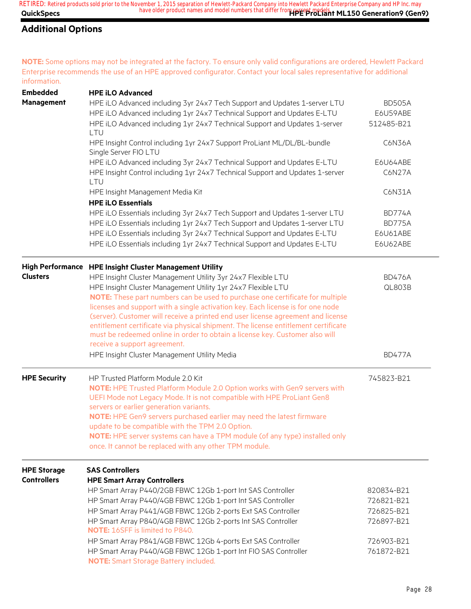## **Additional Options**

**NOTE:** Some options may not be integrated at the factory. To ensure only valid configurations are ordered, Hewlett Packard Enterprise recommends the use of an HPE approved configurator. Contact your local sales representative for additional information.

| <b>Embedded</b>     | <b>HPE iLO Advanced</b>                                                                                                               |               |  |
|---------------------|---------------------------------------------------------------------------------------------------------------------------------------|---------------|--|
| Management          | HPE iLO Advanced including 3yr 24x7 Tech Support and Updates 1-server LTU                                                             | <b>BD505A</b> |  |
|                     | HPE iLO Advanced including 1yr 24x7 Technical Support and Updates E-LTU                                                               | E6U59ABE      |  |
|                     | HPE iLO Advanced including 1yr 24x7 Technical Support and Updates 1-server                                                            | 512485-B21    |  |
|                     | <b>LTU</b>                                                                                                                            |               |  |
|                     | HPE Insight Control including 1yr 24x7 Support ProLiant ML/DL/BL-bundle<br>Single Server FIO LTU                                      | C6N36A        |  |
|                     | HPE iLO Advanced including 3yr 24x7 Technical Support and Updates E-LTU                                                               | E6U64ABE      |  |
|                     | HPE Insight Control including 1yr 24x7 Technical Support and Updates 1-server<br>LTU                                                  | C6N27A        |  |
|                     | HPE Insight Management Media Kit                                                                                                      | C6N31A        |  |
|                     | <b>HPE iLO Essentials</b>                                                                                                             |               |  |
|                     | HPE iLO Essentials including 3yr 24x7 Tech Support and Updates 1-server LTU                                                           | <b>BD774A</b> |  |
|                     | HPE iLO Essentials including 1yr 24x7 Tech Support and Updates 1-server LTU                                                           | BD775A        |  |
|                     | HPE iLO Essentials including 3yr 24x7 Technical Support and Updates E-LTU                                                             | E6U61ABE      |  |
|                     | HPE iLO Essentials including 1yr 24x7 Technical Support and Updates E-LTU                                                             | E6U62ABE      |  |
|                     | High Performance HPE Insight Cluster Management Utility                                                                               |               |  |
| <b>Clusters</b>     | HPE Insight Cluster Management Utility 3yr 24x7 Flexible LTU                                                                          | <b>BD476A</b> |  |
|                     | HPE Insight Cluster Management Utility 1yr 24x7 Flexible LTU                                                                          | <b>QL803B</b> |  |
|                     | NOTE: These part numbers can be used to purchase one certificate for multiple                                                         |               |  |
|                     | licenses and support with a single activation key. Each license is for one node                                                       |               |  |
|                     | (server). Customer will receive a printed end user license agreement and license                                                      |               |  |
|                     | entitlement certificate via physical shipment. The license entitlement certificate                                                    |               |  |
|                     | must be redeemed online in order to obtain a license key. Customer also will                                                          |               |  |
|                     | receive a support agreement.                                                                                                          |               |  |
|                     | HPE Insight Cluster Management Utility Media                                                                                          | <b>BD477A</b> |  |
| <b>HPE Security</b> | HP Trusted Platform Module 2.0 Kit                                                                                                    | 745823-B21    |  |
|                     | NOTE: HPE Trusted Platform Module 2.0 Option works with Gen9 servers with                                                             |               |  |
|                     | UEFI Mode not Legacy Mode. It is not compatible with HPE ProLiant Gen8                                                                |               |  |
|                     | servers or earlier generation variants.                                                                                               |               |  |
|                     | NOTE: HPE Gen9 servers purchased earlier may need the latest firmware                                                                 |               |  |
|                     | update to be compatible with the TPM 2.0 Option.                                                                                      |               |  |
|                     | NOTE: HPE server systems can have a TPM module (of any type) installed only<br>once. It cannot be replaced with any other TPM module. |               |  |
|                     |                                                                                                                                       |               |  |
| <b>HPE Storage</b>  | <b>SAS Controllers</b>                                                                                                                |               |  |
| <b>Controllers</b>  | <b>HPE Smart Array Controllers</b>                                                                                                    |               |  |
|                     | HP Smart Array P440/2GB FBWC 12Gb 1-port Int SAS Controller                                                                           | 820834-B21    |  |
|                     | HP Smart Array P440/4GB FBWC 12Gb 1-port Int SAS Controller                                                                           | 726821-B21    |  |
|                     | HP Smart Array P441/4GB FBWC 12Gb 2-ports Ext SAS Controller                                                                          | 726825-B21    |  |
|                     | HP Smart Array P840/4GB FBWC 12Gb 2-ports Int SAS Controller<br><b>NOTE: 16SFF is limited to P840.</b>                                | 726897-B21    |  |
|                     | HP Smart Array P841/4GB FBWC 12Gb 4-ports Ext SAS Controller                                                                          | 726903-B21    |  |
|                     | HP Smart Array P440/4GB FBWC 12Gb 1-port Int FIO SAS Controller                                                                       | 761872-B21    |  |
|                     | <b>NOTE:</b> Smart Storage Battery included.                                                                                          |               |  |
|                     |                                                                                                                                       |               |  |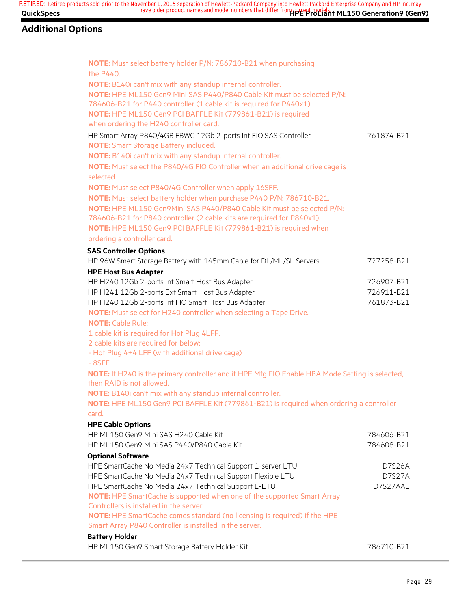| NOTE: Must select battery holder P/N: 786710-B21 when purchasing                                |            |
|-------------------------------------------------------------------------------------------------|------------|
| the P440.                                                                                       |            |
| NOTE: B140i can't mix with any standup internal controller.                                     |            |
| NOTE: HPE ML150 Gen9 Mini SAS P440/P840 Cable Kit must be selected P/N:                         |            |
| 784606-B21 for P440 controller (1 cable kit is required for P440x1).                            |            |
| NOTE: HPE ML150 Gen9 PCI BAFFLE Kit (779861-B21) is required                                    |            |
| when ordering the H240 controller card.                                                         |            |
| HP Smart Array P840/4GB FBWC 12Gb 2-ports Int FIO SAS Controller                                | 761874-B21 |
| <b>NOTE:</b> Smart Storage Battery included.                                                    |            |
| NOTE: B140i can't mix with any standup internal controller.                                     |            |
| NOTE: Must select the P840/4G FIO Controller when an additional drive cage is                   |            |
| selected.                                                                                       |            |
| NOTE: Must select P840/4G Controller when apply 16SFF.                                          |            |
| NOTE: Must select battery holder when purchase P440 P/N: 786710-B21.                            |            |
| NOTE: HPE ML150 Gen9Mini SAS P440/P840 Cable Kit must be selected P/N:                          |            |
| 784606-B21 for P840 controller (2 cable kits are required for P840x1).                          |            |
|                                                                                                 |            |
| NOTE: HPE ML150 Gen9 PCI BAFFLE Kit (779861-B21) is required when                               |            |
| ordering a controller card.                                                                     |            |
| <b>SAS Controller Options</b>                                                                   |            |
| HP 96W Smart Storage Battery with 145mm Cable for DL/ML/SL Servers                              | 727258-B21 |
| <b>HPE Host Bus Adapter</b>                                                                     |            |
| HP H240 12Gb 2-ports Int Smart Host Bus Adapter                                                 | 726907-B21 |
| HP H241 12Gb 2-ports Ext Smart Host Bus Adapter                                                 | 726911-B21 |
| HP H240 12Gb 2-ports Int FIO Smart Host Bus Adapter                                             | 761873-B21 |
| NOTE: Must select for H240 controller when selecting a Tape Drive.                              |            |
| <b>NOTE: Cable Rule:</b>                                                                        |            |
| 1 cable kit is required for Hot Plug 4LFF.                                                      |            |
| 2 cable kits are required for below:                                                            |            |
| - Hot Plug 4+4 LFF (with additional drive cage)                                                 |            |
| $-8SFF$                                                                                         |            |
| NOTE: If H240 is the primary controller and if HPE Mfg FIO Enable HBA Mode Setting is selected, |            |
| then RAID is not allowed.                                                                       |            |
| NOTE: B140i can't mix with any standup internal controller.                                     |            |
| NOTE: HPE ML150 Gen9 PCI BAFFLE Kit (779861-B21) is required when ordering a controller         |            |
| card.                                                                                           |            |
|                                                                                                 |            |
| <b>HPE Cable Options</b>                                                                        |            |
| HP ML150 Gen9 Mini SAS H240 Cable Kit                                                           | 784606-B21 |
| HP ML150 Gen9 Mini SAS P440/P840 Cable Kit                                                      | 784608-B21 |
| <b>Optional Software</b>                                                                        |            |
| HPE SmartCache No Media 24x7 Technical Support 1-server LTU                                     | D7S26A     |
| HPE SmartCache No Media 24x7 Technical Support Flexible LTU                                     | D7S27A     |
| HPE SmartCache No Media 24x7 Technical Support E-LTU                                            | D7S27AAE   |
| NOTE: HPE SmartCache is supported when one of the supported Smart Array                         |            |
| Controllers is installed in the server.                                                         |            |
| NOTE: HPE SmartCache comes standard (no licensing is required) if the HPE                       |            |
| Smart Array P840 Controller is installed in the server.                                         |            |
| <b>Battery Holder</b>                                                                           |            |
| HP ML150 Gen9 Smart Storage Battery Holder Kit                                                  | 786710-B21 |
|                                                                                                 |            |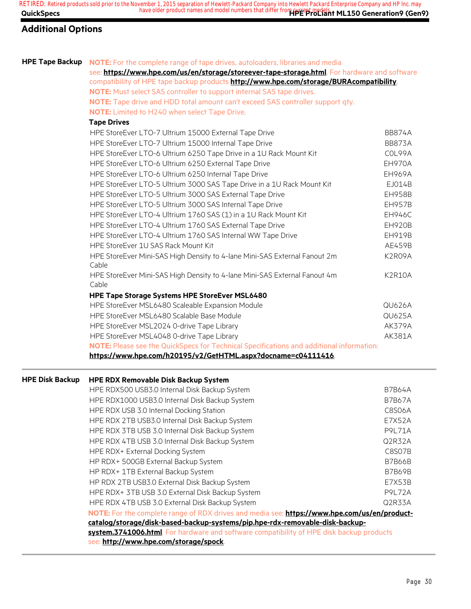**QuickSpecs Here are all of the same of the product names and model numbers that differ from current models. The Seneration9 (Gen9) RETIRED: Retired products sold prior to the November 1, 2015 separation of Hewlett-Packard Company into Hewlett Packard Enterprise Company and HP Inc. may**

## **Additional Options**

| <b>HPE Tape Backup</b> | <b>NOTE:</b> For the complete range of tape drives, autoloaders, libraries and media          |               |
|------------------------|-----------------------------------------------------------------------------------------------|---------------|
|                        | see: https://www.hpe.com/us/en/storage/storeever-tape-storage.html. For hardware and software |               |
|                        | compatibility of HPE tape backup products http://www.hpe.com/storage/BURAcompatibility.       |               |
|                        | NOTE: Must select SAS controller to support internal SAS tape drives.                         |               |
|                        | NOTE: Tape drive and HDD total amount can't exceed SAS controller support qty.                |               |
|                        | <b>NOTE:</b> Limited to H240 when select Tape Drive.                                          |               |
|                        | <b>Tape Drives</b>                                                                            |               |
|                        | HPE StoreEver LTO-7 Ultrium 15000 External Tape Drive                                         | <b>BB874A</b> |
|                        | HPE StoreEver LTO-7 Ultrium 15000 Internal Tape Drive                                         | <b>BB873A</b> |
|                        | HPE StoreEver LTO-6 Ultrium 6250 Tape Drive in a 1U Rack Mount Kit                            | COL99A        |
|                        | HPE StoreEver LTO-6 Ultrium 6250 External Tape Drive                                          | EH970A        |
|                        | HPE StoreEver LTO-6 Ultrium 6250 Internal Tape Drive                                          | <b>EH969A</b> |
|                        | HPE StoreEver LTO-5 Ultrium 3000 SAS Tape Drive in a 1U Rack Mount Kit                        | EJ014B        |
|                        | HPE StoreEver LTO-5 Ultrium 3000 SAS External Tape Drive                                      | <b>EH958B</b> |
|                        | HPE StoreEver LTO-5 Ultrium 3000 SAS Internal Tape Drive                                      | <b>EH957B</b> |
|                        | HPE StoreEver LTO-4 Ultrium 1760 SAS (1) in a 1U Rack Mount Kit                               | <b>EH946C</b> |
|                        | HPE StoreEver LTO-4 Ultrium 1760 SAS External Tape Drive                                      | <b>EH920B</b> |
|                        | HPE StoreEver LTO-4 Ultrium 1760 SAS Internal WW Tape Drive                                   | EH919B        |
|                        | HPE StoreEver 1U SAS Rack Mount Kit                                                           | AE459B        |
|                        | HPE StoreEver Mini-SAS High Density to 4-lane Mini-SAS External Fanout 2m<br>Cable            | K2R09A        |
|                        | HPE StoreEver Mini-SAS High Density to 4-lane Mini-SAS External Fanout 4m<br>Cable            | <b>K2R10A</b> |
|                        | HPE Tape Storage Systems HPE StoreEver MSL6480                                                |               |
|                        | HPE StoreEver MSL6480 Scaleable Expansion Module                                              | <b>QU626A</b> |
|                        | HPE StoreEver MSL6480 Scalable Base Module                                                    | <b>QU625A</b> |
|                        | HPE StoreEver MSL2024 0-drive Tape Library                                                    | <b>AK379A</b> |
|                        | HPE StoreEver MSL4048 0-drive Tape Library                                                    | AK381A        |
|                        | NOTE: Please see the QuickSpecs for Technical Specifications and additional information:      |               |
|                        | https://www.hpe.com/h20195/v2/GetHTML.aspx?docname=c04111416                                  |               |
| <b>HPE Disk Backup</b> | <b>HPE RDX Removable Disk Backup System</b>                                                   |               |

## HPE RDX500 USB3.0 Internal Disk Backup System B7B64A CHPE RDX500 USB3.0 Internal Disk Backup System HPE RDX1000 USB3.0 Internal Disk Backup System B7B67A HPE RDX USB 3.0 Internal Docking Station C8S06A HPE RDX 2TB USB3.0 Internal Disk Backup System E7X52A HPE RDX 3TB USB 3.0 Internal Disk Backup System **P9L71A** HPE RDX 4TB USB 3.0 Internal Disk Backup System Q2R32A HPE RDX+ External Docking System C8S07B HP RDX+ 500GB External Backup System B7B66B and B7B66B HP RDX+ 1TB External Backup System B7B69B and the US and the B7B69B and the B7B69B HP RDX 2TB USB3.0 External Disk Backup System E7X53B HPE RDX+ 3TB USB 3.0 External Disk Backup System **P9L72A** HPE RDX 4TB USB 3.0 External Disk Backup System Q2R33A **NOTE:** For the complete range of RDX drives and media see: **https://www.hpe.com/us/en/productcatalog/storage/disk-based-backup-systems/pip.hpe-rdx-removable-disk-backupsystem.3741006.html**. For hardware and software compatibility of HPE disk backup products see: **http://www.hpe.com/storage/spock**.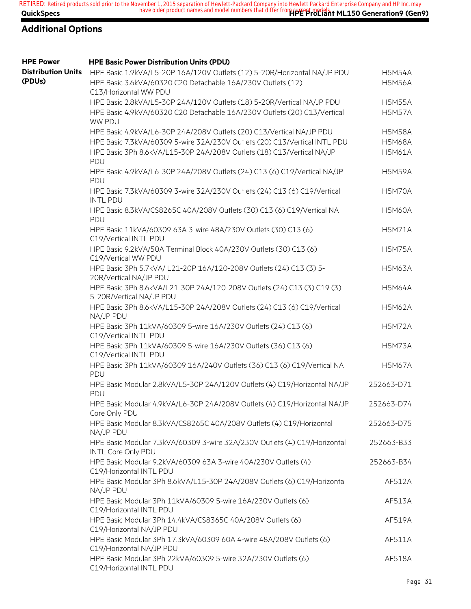| <b>HPE Power</b>                    | <b>HPE Basic Power Distribution Units (PDU)</b>                                                                                                                  |                                |
|-------------------------------------|------------------------------------------------------------------------------------------------------------------------------------------------------------------|--------------------------------|
| <b>Distribution Units</b><br>(PDUs) | HPE Basic 1.9kVA/L5-20P 16A/120V Outlets (12) 5-20R/Horizontal NA/JP PDU<br>HPE Basic 3.6kVA/60320 C20 Detachable 16A/230V Outlets (12)<br>C13/Horizontal WW PDU | <b>H5M54A</b><br><b>H5M56A</b> |
|                                     | HPE Basic 2.8kVA/L5-30P 24A/120V Outlets (18) 5-20R/Vertical NA/JP PDU                                                                                           | <b>H5M55A</b>                  |
|                                     | HPE Basic 4.9kVA/60320 C20 Detachable 16A/230V Outlets (20) C13/Vertical<br>WW PDU                                                                               | <b>H5M57A</b>                  |
|                                     | HPE Basic 4.9kVA/L6-30P 24A/208V Outlets (20) C13/Vertical NA/JP PDU                                                                                             | <b>H5M58A</b>                  |
|                                     | HPE Basic 7.3kVA/60309 5-wire 32A/230V Outlets (20) C13/Vertical INTL PDU                                                                                        | <b>H5M68A</b>                  |
|                                     | HPE Basic 3Ph 8.6kVA/L15-30P 24A/208V Outlets (18) C13/Vertical NA/JP<br>PDU                                                                                     | <b>H5M61A</b>                  |
|                                     | HPE Basic 4.9kVA/L6-30P 24A/208V Outlets (24) C13 (6) C19/Vertical NA/JP<br>PDU                                                                                  | <b>H5M59A</b>                  |
|                                     | HPE Basic 7.3kVA/60309 3-wire 32A/230V Outlets (24) C13 (6) C19/Vertical<br><b>INTL PDU</b>                                                                      | <b>H5M70A</b>                  |
|                                     | HPE Basic 8.3kVA/CS8265C 40A/208V Outlets (30) C13 (6) C19/Vertical NA<br>PDU                                                                                    | <b>H5M60A</b>                  |
|                                     | HPE Basic 11kVA/60309 63A 3-wire 48A/230V Outlets (30) C13 (6)<br>C19/Vertical INTL PDU                                                                          | <b>H5M71A</b>                  |
|                                     | HPE Basic 9.2kVA/50A Terminal Block 40A/230V Outlets (30) C13 (6)<br>C19/Vertical WW PDU                                                                         | <b>H5M75A</b>                  |
|                                     | HPE Basic 3Ph 5.7kVA/ L21-20P 16A/120-208V Outlets (24) C13 (3) 5-<br>20R/Vertical NA/JP PDU                                                                     | <b>H5M63A</b>                  |
|                                     | HPE Basic 3Ph 8.6kVA/L21-30P 24A/120-208V Outlets (24) C13 (3) C19 (3)<br>5-20R/Vertical NA/JP PDU                                                               | <b>H5M64A</b>                  |
|                                     | HPE Basic 3Ph 8.6kVA/L15-30P 24A/208V Outlets (24) C13 (6) C19/Vertical<br>NA/JP PDU                                                                             | <b>H5M62A</b>                  |
|                                     | HPE Basic 3Ph 11kVA/60309 5-wire 16A/230V Outlets (24) C13 (6)<br>C19/Vertical INTL PDU                                                                          | <b>H5M72A</b>                  |
|                                     | HPE Basic 3Ph 11kVA/60309 5-wire 16A/230V Outlets (36) C13 (6)<br>C19/Vertical INTL PDU                                                                          | <b>H5M73A</b>                  |
|                                     | HPE Basic 3Ph 11kVA/60309 16A/240V Outlets (36) C13 (6) C19/Vertical NA<br>PDU                                                                                   | <b>H5M67A</b>                  |
|                                     | HPE Basic Modular 2.8kVA/L5-30P 24A/120V Outlets (4) C19/Horizontal NA/JP<br>PDU                                                                                 | 252663-D71                     |
|                                     | HPE Basic Modular 4.9kVA/L6-30P 24A/208V Outlets (4) C19/Horizontal NA/JP<br>Core Only PDU                                                                       | 252663-D74                     |
|                                     | HPE Basic Modular 8.3kVA/CS8265C 40A/208V Outlets (4) C19/Horizontal<br>NA/JP PDU                                                                                | 252663-D75                     |
|                                     | HPE Basic Modular 7.3kVA/60309 3-wire 32A/230V Outlets (4) C19/Horizontal<br>INTL Core Only PDU                                                                  | 252663-B33                     |
|                                     | HPE Basic Modular 9.2kVA/60309 63A 3-wire 40A/230V Outlets (4)<br>C19/Horizontal INTL PDU                                                                        | 252663-B34                     |
|                                     | HPE Basic Modular 3Ph 8.6kVA/L15-30P 24A/208V Outlets (6) C19/Horizontal<br>NA/JP PDU                                                                            | AF512A                         |
|                                     | HPE Basic Modular 3Ph 11kVA/60309 5-wire 16A/230V Outlets (6)<br>C19/Horizontal INTL PDU                                                                         | AF513A                         |
|                                     | HPE Basic Modular 3Ph 14.4kVA/CS8365C 40A/208V Outlets (6)<br>C19/Horizontal NA/JP PDU                                                                           | AF519A                         |
|                                     | HPE Basic Modular 3Ph 17.3kVA/60309 60A 4-wire 48A/208V Outlets (6)<br>C19/Horizontal NA/JP PDU                                                                  | AF511A                         |
|                                     | HPE Basic Modular 3Ph 22kVA/60309 5-wire 32A/230V Outlets (6)<br>C19/Horizontal INTL PDU                                                                         | AF518A                         |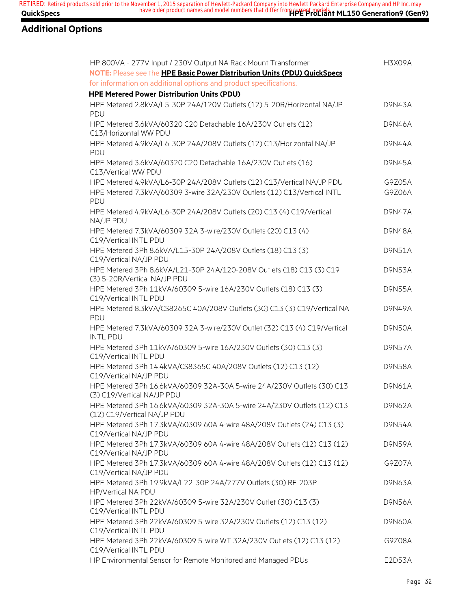| HP 800VA - 277V Input / 230V Output NA Rack Mount Transformer                                         | <b>H3X09A</b> |
|-------------------------------------------------------------------------------------------------------|---------------|
| NOTE: Please see the HPE Basic Power Distribution Units (PDU) QuickSpecs                              |               |
| for information on additional options and product specifications.                                     |               |
| <b>HPE Metered Power Distribution Units (PDU)</b>                                                     |               |
| HPE Metered 2.8kVA/L5-30P 24A/120V Outlets (12) 5-20R/Horizontal NA/JP<br>PDU                         | D9N43A        |
| HPE Metered 3.6kVA/60320 C20 Detachable 16A/230V Outlets (12)<br>C13/Horizontal WW PDU                | <b>D9N46A</b> |
| HPE Metered 4.9kVA/L6-30P 24A/208V Outlets (12) C13/Horizontal NA/JP<br>PDU                           | <b>D9N44A</b> |
| HPE Metered 3.6kVA/60320 C20 Detachable 16A/230V Outlets (16)<br>C13/Vertical WW PDU                  | <b>D9N45A</b> |
| HPE Metered 4.9kVA/L6-30P 24A/208V Outlets (12) C13/Vertical NA/JP PDU                                | G9Z05A        |
| HPE Metered 7.3kVA/60309 3-wire 32A/230V Outlets (12) C13/Vertical INTL<br><b>PDU</b>                 | G9Z06A        |
| HPE Metered 4.9kVA/L6-30P 24A/208V Outlets (20) C13 (4) C19/Vertical<br>NA/JP PDU                     | <b>D9N47A</b> |
| HPE Metered 7.3kVA/60309 32A 3-wire/230V Outlets (20) C13 (4)<br>C19/Vertical INTL PDU                | <b>D9N48A</b> |
| HPE Metered 3Ph 8.6kVA/L15-30P 24A/208V Outlets (18) C13 (3)<br>C19/Vertical NA/JP PDU                | <b>D9N51A</b> |
| HPE Metered 3Ph 8.6kVA/L21-30P 24A/120-208V Outlets (18) C13 (3) C19<br>(3) 5-20R/Vertical NA/JP PDU  | <b>D9N53A</b> |
| HPE Metered 3Ph 11kVA/60309 5-wire 16A/230V Outlets (18) C13 (3)<br>C19/Vertical INTL PDU             | <b>D9N55A</b> |
| HPE Metered 8.3kVA/CS8265C 40A/208V Outlets (30) C13 (3) C19/Vertical NA<br>PDU                       | <b>D9N49A</b> |
| HPE Metered 7.3kVA/60309 32A 3-wire/230V Outlet (32) C13 (4) C19/Vertical<br><b>INTL PDU</b>          | <b>D9N50A</b> |
| HPE Metered 3Ph 11kVA/60309 5-wire 16A/230V Outlets (30) C13 (3)<br>C19/Vertical INTL PDU             | <b>D9N57A</b> |
| HPE Metered 3Ph 14.4kVA/CS8365C 40A/208V Outlets (12) C13 (12)<br>C19/Vertical NA/JP PDU              | <b>D9N58A</b> |
| HPE Metered 3Ph 16.6kVA/60309 32A-30A 5-wire 24A/230V Outlets (30) C13<br>(3) C19/Vertical NA/JP PDU  | <b>D9N61A</b> |
| HPE Metered 3Ph 16.6kVA/60309 32A-30A 5-wire 24A/230V Outlets (12) C13<br>(12) C19/Vertical NA/JP PDU | <b>D9N62A</b> |
| HPE Metered 3Ph 17.3kVA/60309 60A 4-wire 48A/208V Outlets (24) C13 (3)<br>C19/Vertical NA/JP PDU      | <b>D9N54A</b> |
| HPE Metered 3Ph 17.3kVA/60309 60A 4-wire 48A/208V Outlets (12) C13 (12)<br>C19/Vertical NA/JP PDU     | <b>D9N59A</b> |
| HPE Metered 3Ph 17.3kVA/60309 60A 4-wire 48A/208V Outlets (12) C13 (12)<br>C19/Vertical NA/JP PDU     | G9Z07A        |
| HPE Metered 3Ph 19.9kVA/L22-30P 24A/277V Outlets (30) RF-203P-<br>HP/Vertical NA PDU                  | D9N63A        |
| HPE Metered 3Ph 22kVA/60309 5-wire 32A/230V Outlet (30) C13 (3)<br>C19/Vertical INTL PDU              | D9N56A        |
| HPE Metered 3Ph 22kVA/60309 5-wire 32A/230V Outlets (12) C13 (12)<br>C19/Vertical INTL PDU            | D9N60A        |
| HPE Metered 3Ph 22kVA/60309 5-wire WT 32A/230V Outlets (12) C13 (12)<br>C19/Vertical INTL PDU         | G9Z08A        |
| HP Environmental Sensor for Remote Monitored and Managed PDUs                                         | E2D53A        |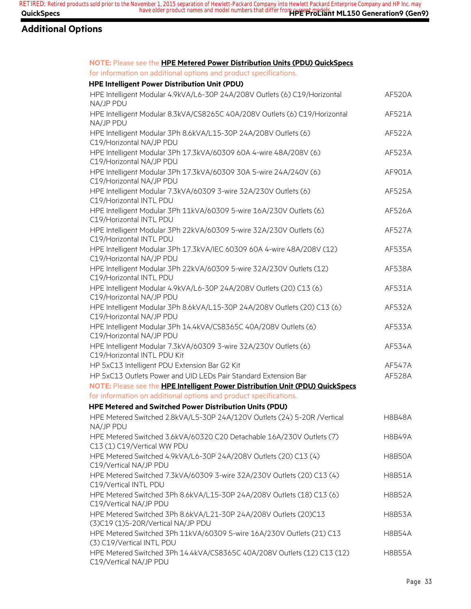| NOTE: Please see the HPE Metered Power Distribution Units (PDU) QuickSpecs                             |               |
|--------------------------------------------------------------------------------------------------------|---------------|
| for information on additional options and product specifications.                                      |               |
| HPE Intelligent Power Distribution Unit (PDU)                                                          |               |
| HPE Intelligent Modular 4.9kVA/L6-30P 24A/208V Outlets (6) C19/Horizontal<br>NA/JP PDU                 | AF520A        |
| HPE Intelligent Modular 8.3kVA/CS8265C 40A/208V Outlets (6) C19/Horizontal<br>NA/JP PDU                | AF521A        |
| HPE Intelligent Modular 3Ph 8.6kVA/L15-30P 24A/208V Outlets (6)<br>C19/Horizontal NA/JP PDU            | AF522A        |
| HPE Intelligent Modular 3Ph 17.3kVA/60309 60A 4-wire 48A/208V (6)<br>C19/Horizontal NA/JP PDU          | AF523A        |
| HPE Intelligent Modular 3Ph 17.3kVA/60309 30A 5-wire 24A/240V (6)<br>C19/Horizontal NA/JP PDU          | AF901A        |
| HPE Intelligent Modular 7.3kVA/60309 3-wire 32A/230V Outlets (6)<br>C19/Horizontal INTL PDU            | AF525A        |
| HPE Intelligent Modular 3Ph 11kVA/60309 5-wire 16A/230V Outlets (6)<br>C19/Horizontal INTL PDU         | <b>AF526A</b> |
| HPE Intelligent Modular 3Ph 22kVA/60309 5-wire 32A/230V Outlets (6)<br>C19/Horizontal INTL PDU         | <b>AF527A</b> |
| HPE Intelligent Modular 3Ph 17.3kVA/IEC 60309 60A 4-wire 48A/208V (12)<br>C19/Horizontal NA/JP PDU     | AF535A        |
| HPE Intelligent Modular 3Ph 22kVA/60309 5-wire 32A/230V Outlets (12)<br>C19/Horizontal INTL PDU        | AF538A        |
| HPE Intelligent Modular 4.9kVA/L6-30P 24A/208V Outlets (20) C13 (6)<br>C19/Horizontal NA/JP PDU        | AF531A        |
| HPE Intelligent Modular 3Ph 8.6kVA/L15-30P 24A/208V Outlets (20) C13 (6)<br>C19/Horizontal NA/JP PDU   | AF532A        |
| HPE Intelligent Modular 3Ph 14.4kVA/CS8365C 40A/208V Outlets (6)<br>C19/Horizontal NA/JP PDU           | AF533A        |
| HPE Intelligent Modular 7.3kVA/60309 3-wire 32A/230V Outlets (6)<br>C19/Horizontal INTL PDU Kit        | AF534A        |
| HP 5xC13 Intelligent PDU Extension Bar G2 Kit                                                          | <b>AF547A</b> |
| HP 5xC13 Outlets Power and UID LEDs Pair Standard Extension Bar                                        | AF528A        |
| NOTE: Please see the HPE Intelligent Power Distribution Unit (PDU) QuickSpecs                          |               |
| for information on additional options and product specifications.                                      |               |
| HPE Metered and Switched Power Distribution Units (PDU)                                                |               |
| HPE Metered Switched 2.8kVA/L5-30P 24A/120V Outlets (24) 5-20R / Vertical<br>NA/JP PDU                 | <b>H8B48A</b> |
| HPE Metered Switched 3.6kVA/60320 C20 Detachable 16A/230V Outlets (7)<br>C13 (1) C19/Vertical WW PDU   | <b>H8B49A</b> |
| HPE Metered Switched 4.9kVA/L6-30P 24A/208V Outlets (20) C13 (4)<br>C19/Vertical NA/JP PDU             | <b>H8B50A</b> |
| HPE Metered Switched 7.3kVA/60309 3-wire 32A/230V Outlets (20) C13 (4)<br>C19/Vertical INTL PDU        | <b>H8B51A</b> |
| HPE Metered Switched 3Ph 8.6kVA/L15-30P 24A/208V Outlets (18) C13 (6)<br>C19/Vertical NA/JP PDU        | <b>H8B52A</b> |
| HPE Metered Switched 3Ph 8.6kVA/L21-30P 24A/208V Outlets (20)C13<br>(3)C19 (1)5-20R/Vertical NA/JP PDU | <b>H8B53A</b> |
| HPE Metered Switched 3Ph 11kVA/60309 5-wire 16A/230V Outlets (21) C13<br>(3) C19/Vertical INTL PDU     | <b>H8B54A</b> |
| HPE Metered Switched 3Ph 14.4kVA/CS8365C 40A/208V Outlets (12) C13 (12)<br>C19/Vertical NA/JP PDU      | <b>H8B55A</b> |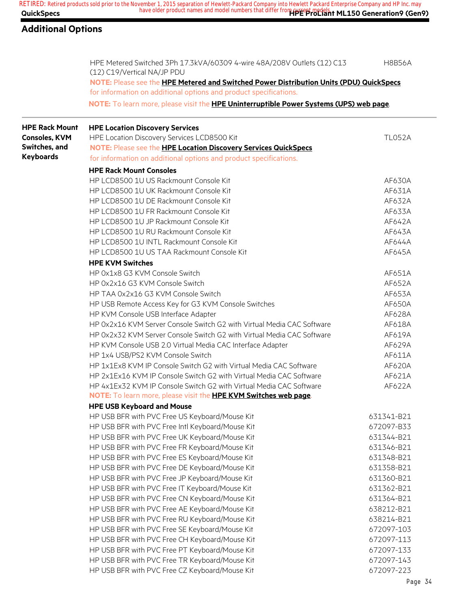## **Additional Options**

|                       | HPE Metered Switched 3Ph 17.3kVA/60309 4-wire 48A/208V Outlets (12) C13<br>(12) C19/Vertical NA/JP PDU                                                       | <b>H8B56A</b> |
|-----------------------|--------------------------------------------------------------------------------------------------------------------------------------------------------------|---------------|
|                       | NOTE: Please see the HPE Metered and Switched Power Distribution Units (PDU) QuickSpecs<br>for information on additional options and product specifications. |               |
|                       | NOTE: To learn more, please visit the HPE Uninterruptible Power Systems (UPS) web page.                                                                      |               |
| <b>HPE Rack Mount</b> | <b>HPE Location Discovery Services</b>                                                                                                                       |               |
| <b>Consoles, KVM</b>  | HPE Location Discovery Services LCD8500 Kit                                                                                                                  | <b>TL052A</b> |
| Switches, and         | NOTE: Please see the HPE Location Discovery Services QuickSpecs                                                                                              |               |
| <b>Keyboards</b>      | for information on additional options and product specifications.                                                                                            |               |
|                       | <b>HPE Rack Mount Consoles</b>                                                                                                                               |               |
|                       | HP LCD8500 1U US Rackmount Console Kit                                                                                                                       | AF630A        |
|                       | HP LCD8500 1U UK Rackmount Console Kit                                                                                                                       | AF631A        |
|                       | HP LCD8500 1U DE Rackmount Console Kit                                                                                                                       | AF632A        |
|                       | HP LCD8500 1U FR Rackmount Console Kit                                                                                                                       | AF633A        |
|                       | HP LCD8500 1U JP Rackmount Console Kit                                                                                                                       | AF642A        |
|                       | HP LCD8500 1U RU Rackmount Console Kit                                                                                                                       | AF643A        |
|                       | HP LCD8500 1U INTL Rackmount Console Kit                                                                                                                     | AF644A        |
|                       | HP LCD8500 1U US TAA Rackmount Console Kit                                                                                                                   | AF645A        |
|                       | <b>HPE KVM Switches</b>                                                                                                                                      |               |
|                       | HP 0x1x8 G3 KVM Console Switch                                                                                                                               | AF651A        |
|                       | HP 0x2x16 G3 KVM Console Switch                                                                                                                              | AF652A        |
|                       | HP TAA 0x2x16 G3 KVM Console Switch                                                                                                                          | AF653A        |
|                       | HP USB Remote Access Key for G3 KVM Console Switches                                                                                                         | AF650A        |
|                       | HP KVM Console USB Interface Adapter                                                                                                                         | AF628A        |
|                       | HP 0x2x16 KVM Server Console Switch G2 with Virtual Media CAC Software                                                                                       | AF618A        |
|                       | HP 0x2x32 KVM Server Console Switch G2 with Virtual Media CAC Software                                                                                       | AF619A        |
|                       | HP KVM Console USB 2.0 Virtual Media CAC Interface Adapter                                                                                                   | AF629A        |
|                       | HP 1x4 USB/PS2 KVM Console Switch                                                                                                                            | AF611A        |
|                       | HP 1x1Ex8 KVM IP Console Switch G2 with Virtual Media CAC Software                                                                                           | AF620A        |
|                       | HP 2x1Ex16 KVM IP Console Switch G2 with Virtual Media CAC Software                                                                                          | AF621A        |
|                       | HP 4x1Ex32 KVM IP Console Switch G2 with Virtual Media CAC Software                                                                                          | AF622A        |
|                       | <b>NOTE:</b> To learn more, please visit the <b>HPE KVM Switches web page</b>                                                                                |               |
|                       | <b>HPE USB Keyboard and Mouse</b>                                                                                                                            |               |
|                       | HP USB BFR with PVC Free US Keyboard/Mouse Kit                                                                                                               | 631341-B21    |
|                       | HP USB BFR with PVC Free Intl Keyboard/Mouse Kit                                                                                                             | 672097-B33    |
|                       | HP USB BFR with PVC Free UK Keyboard/Mouse Kit                                                                                                               | 631344-B21    |
|                       | HP USB BFR with PVC Free FR Keyboard/Mouse Kit                                                                                                               | 631346-B21    |
|                       | HP USB BFR with PVC Free ES Keyboard/Mouse Kit                                                                                                               | 631348-B21    |
|                       | HP USB BFR with PVC Free DE Keyboard/Mouse Kit                                                                                                               | 631358-B21    |
|                       | HP USB BFR with PVC Free JP Keyboard/Mouse Kit                                                                                                               | 631360-B21    |
|                       | HP USB BFR with PVC Free IT Keyboard/Mouse Kit                                                                                                               | 631362-B21    |
|                       | HP USB BFR with PVC Free CN Keyboard/Mouse Kit                                                                                                               | 631364-B21    |
|                       | HP USB BFR with PVC Free AE Keyboard/Mouse Kit                                                                                                               | 638212-B21    |
|                       | HP USB BFR with PVC Free RU Keyboard/Mouse Kit                                                                                                               | 638214-B21    |
|                       | HP USB BFR with PVC Free SE Keyboard/Mouse Kit                                                                                                               | 672097-103    |
|                       | HP USB BFR with PVC Free CH Keyboard/Mouse Kit                                                                                                               | 672097-113    |
|                       | HP USB BFR with PVC Free PT Keyboard/Mouse Kit                                                                                                               | 672097-133    |

HP USB BFR with PVC Free TR Keyboard/Mouse Kit 672097-143 HP USB BFR with PVC Free CZ Keyboard/Mouse Kit 672097-223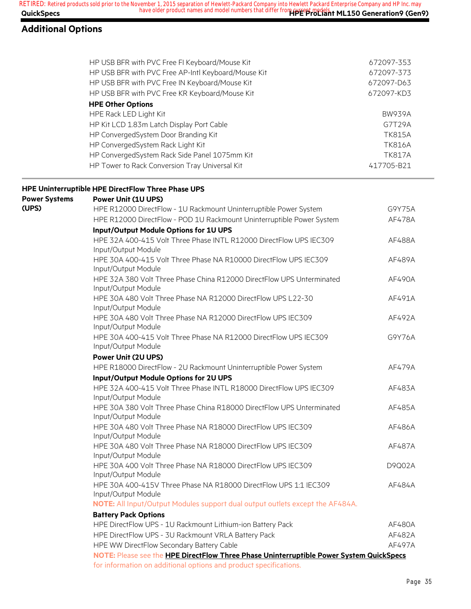## **Additional Options**

|                      | HP USB BFR with PVC Free FI Keyboard/Mouse Kit                                               | 672097-353    |
|----------------------|----------------------------------------------------------------------------------------------|---------------|
|                      | HP USB BFR with PVC Free AP-Intl Keyboard/Mouse Kit                                          | 672097-373    |
|                      | HP USB BFR with PVC Free IN Keyboard/Mouse Kit                                               | 672097-D63    |
|                      | HP USB BFR with PVC Free KR Keyboard/Mouse Kit                                               | 672097-KD3    |
|                      | <b>HPE Other Options</b>                                                                     |               |
|                      | HPE Rack LED Light Kit                                                                       | <b>BW939A</b> |
|                      | HP Kit LCD 1.83m Latch Display Port Cable                                                    | G7T29A        |
|                      | HP ConvergedSystem Door Branding Kit                                                         | <b>TK815A</b> |
|                      | HP ConvergedSystem Rack Light Kit                                                            | <b>TK816A</b> |
|                      | HP ConvergedSystem Rack Side Panel 1075mm Kit                                                | <b>TK817A</b> |
|                      | HP Tower to Rack Conversion Tray Universal Kit                                               | 417705-B21    |
|                      | HPE Uninterruptible HPE DirectFlow Three Phase UPS                                           |               |
| <b>Power Systems</b> | <b>Power Unit (1U UPS)</b>                                                                   |               |
| (UPS)                | HPE R12000 DirectFlow - 1U Rackmount Uninterruptible Power System                            | G9Y75A        |
|                      | HPE R12000 DirectFlow - POD 1U Rackmount Uninterruptible Power System                        | AF478A        |
|                      | Input/Output Module Options for 1U UPS                                                       |               |
|                      | HPE 32A 400-415 Volt Three Phase INTL R12000 DirectFlow UPS IEC309<br>Input/Output Module    | AF488A        |
|                      | HPE 30A 400-415 Volt Three Phase NA R10000 DirectFlow UPS IEC309<br>Input/Output Module      | AF489A        |
|                      | HPE 32A 380 Volt Three Phase China R12000 DirectFlow UPS Unterminated<br>Input/Output Module | AF490A        |
|                      | HPE 30A 480 Volt Three Phase NA R12000 DirectFlow UPS L22-30<br>Input/Output Module          | AF491A        |
|                      | HPE 30A 480 Volt Three Phase NA R12000 DirectFlow UPS IEC309<br>Input/Output Module          | AF492A        |
|                      | HPE 30A 400-415 Volt Three Phase NA R12000 DirectFlow UPS IEC309<br>Input/Output Module      | G9Y76A        |
|                      | <b>Power Unit (2U UPS)</b>                                                                   |               |
|                      | HPE R18000 DirectFlow - 2U Rackmount Uninterruptible Power System                            | AF479A        |
|                      | Input/Output Module Options for 2U UPS                                                       |               |
|                      | HPE 32A 400-415 Volt Three Phase INTL R18000 DirectFlow UPS IEC309<br>Input/Output Module    | AF483A        |
|                      | HPE 30A 380 Volt Three Phase China R18000 DirectFlow UPS Unterminated<br>Input/Output Module | AF485A        |
|                      | HPE 30A 480 Volt Three Phase NA R18000 DirectFlow UPS IEC309<br>Input/Output Module          | AF486A        |
|                      | HPE 30A 480 Volt Three Phase NA R18000 DirectFlow UPS IEC309<br>Input/Output Module          | AF487A        |
|                      | HPE 30A 400 Volt Three Phase NA R18000 DirectFlow UPS IEC309<br>Input/Output Module          | D9Q02A        |
|                      | HPE 30A 400-415V Three Phase NA R18000 DirectFlow UPS 1:1 IEC309<br>Input/Output Module      | AF484A        |
|                      | NOTE: All Input/Output Modules support dual output outlets except the AF484A.                |               |
|                      | <b>Battery Pack Options</b>                                                                  |               |
|                      | HPE DirectFlow UPS - 1U Rackmount Lithium-ion Battery Pack                                   | AF480A        |
|                      | HPE DirectFlow UPS - 3U Rackmount VRLA Battery Pack                                          | AF482A        |
|                      | HPE WW DirectFlow Secondary Battery Cable                                                    | AF497A        |
|                      | NOTE: Please see the HPE DirectFlow Three Phase Uninterruptible Power System QuickSpecs      |               |

for information on additional options and product specifications.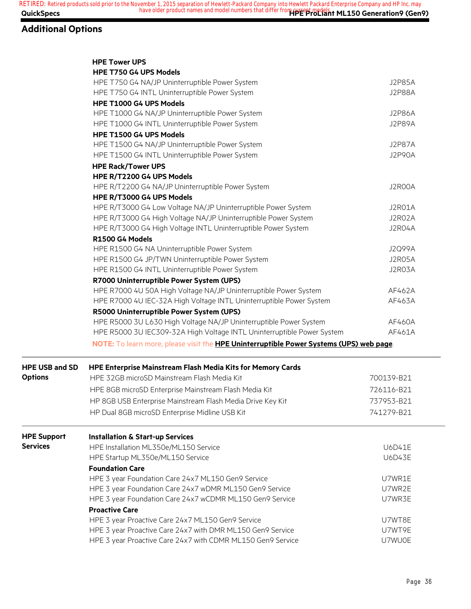## **Additional Options**

|                       | <b>HPE Tower UPS</b>                                                                            |               |
|-----------------------|-------------------------------------------------------------------------------------------------|---------------|
|                       | HPE T750 G4 UPS Models                                                                          |               |
|                       | HPE T750 G4 NA/JP Uninterruptible Power System                                                  | <b>J2P85A</b> |
|                       | HPE T750 G4 INTL Uninterruptible Power System                                                   | <b>J2P88A</b> |
|                       | HPE T1000 G4 UPS Models                                                                         |               |
|                       | HPE T1000 G4 NA/JP Uninterruptible Power System                                                 | <b>J2P86A</b> |
|                       | HPE T1000 G4 INTL Uninterruptible Power System                                                  | <b>J2P89A</b> |
|                       | HPE T1500 G4 UPS Models                                                                         |               |
|                       | HPE T1500 G4 NA/JP Uninterruptible Power System                                                 | <b>J2P87A</b> |
|                       | HPE T1500 G4 INTL Uninterruptible Power System                                                  | <b>J2P90A</b> |
|                       | <b>HPE Rack/Tower UPS</b>                                                                       |               |
|                       | HPE R/T2200 G4 UPS Models                                                                       |               |
|                       | HPE R/T2200 G4 NA/JP Uninterruptible Power System                                               | J2R00A        |
|                       | HPE R/T3000 G4 UPS Models                                                                       |               |
|                       | HPE R/T3000 G4 Low Voltage NA/JP Uninterruptible Power System                                   | J2R01A        |
|                       | HPE R/T3000 G4 High Voltage NA/JP Uninterruptible Power System                                  | J2R02A        |
|                       | HPE R/T3000 G4 High Voltage INTL Uninterruptible Power System                                   | J2R04A        |
|                       | R1500 G4 Models                                                                                 |               |
|                       | HPE R1500 G4 NA Uninterruptible Power System                                                    | <b>J2Q99A</b> |
|                       | HPE R1500 G4 JP/TWN Uninterruptible Power System                                                | J2R05A        |
|                       | HPE R1500 G4 INTL Uninterruptible Power System                                                  | J2R03A        |
|                       | R7000 Uninterruptible Power System (UPS)                                                        |               |
|                       | HPE R7000 4U 50A High Voltage NA/JP Uninterruptible Power System                                | AF462A        |
|                       | HPE R7000 4U IEC-32A High Voltage INTL Uninterruptible Power System                             | AF463A        |
|                       | R5000 Uninterruptible Power System (UPS)                                                        |               |
|                       | HPE R5000 3U L630 High Voltage NA/JP Uninterruptible Power System                               | AF460A        |
|                       | HPE R5000 3U IEC309-32A High Voltage INTL Uninterruptible Power System                          | AF461A        |
|                       | NOTE: To learn more, please visit the <b>HPE Uninterruptible Power Systems (UPS) web page</b> . |               |
|                       |                                                                                                 |               |
| <b>HPE USB and SD</b> | HPE Enterprise Mainstream Flash Media Kits for Memory Cards                                     |               |
| <b>Options</b>        | HPE 32GB microSD Mainstream Flash Media Kit                                                     | 700139-B21    |
|                       | HPE 8GB microSD Enterprise Mainstream Flash Media Kit                                           | 726116-B21    |
|                       | HP 8GB USB Enterprise Mainstream Flash Media Drive Key Kit                                      | 737953-B21    |
|                       | HP Dual 8GB microSD Enterprise Midline USB Kit                                                  | 741279-B21    |
| <b>HPE Support</b>    | <b>Installation &amp; Start-up Services</b>                                                     |               |
| <b>Services</b>       | HPE Installation ML350e/ML150 Service                                                           | U6D41E        |
|                       | HPE Startup ML350e/ML150 Service                                                                | <b>U6D43E</b> |
|                       | <b>Foundation Care</b>                                                                          |               |
|                       | HPE 3 year Foundation Care 24x7 ML150 Gen9 Service                                              | U7WR1E        |
|                       | HPE 3 year Foundation Care 24x7 wDMR ML150 Gen9 Service                                         | U7WR2E        |
|                       | HPE 3 year Foundation Care 24x7 wCDMR ML150 Gen9 Service                                        | U7WR3E        |
|                       | <b>Proactive Care</b>                                                                           |               |
|                       | HPE 3 year Proactive Care 24x7 ML150 Gen9 Service                                               | U7WT8E        |
|                       | HPE 3 year Proactive Care 24x7 with DMR ML150 Gen9 Service                                      | U7WT9E        |
|                       | HPE 3 year Proactive Care 24x7 with CDMR ML150 Gen9 Service                                     | U7WU0E        |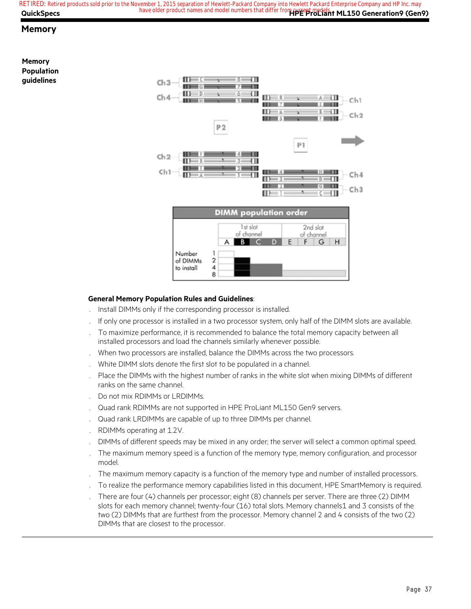### **Memory**

**Memory Population guidelines** 



#### **General Memory Population Rules and Guidelines**:

- . Install DIMMs only if the corresponding processor is installed.
- . If only one processor is installed in a two processor system, only half of the DIMM slots are available.
- . To maximize performance, it is recommended to balance the total memory capacity between all installed processors and load the channels similarly whenever possible.
- . When two processors are installed, balance the DIMMs across the two processors.
- . White DIMM slots denote the first slot to be populated in a channel.
- . Place the DIMMs with the highest number of ranks in the white slot when mixing DIMMs of different ranks on the same channel.
- . Do not mix RDIMMs or LRDIMMs.
- . Quad rank RDIMMs are not supported in HPE ProLiant ML150 Gen9 servers.
- . Quad rank LRDIMMs are capable of up to three DIMMs per channel.
- . RDIMMs operating at 1.2V.
- . DIMMs of different speeds may be mixed in any order; the server will select a common optimal speed.
- . The maximum memory speed is a function of the memory type, memory configuration, and processor model.
- . The maximum memory capacity is a function of the memory type and number of installed processors.
- . To realize the performance memory capabilities listed in this document, HPE SmartMemory is required.
- . There are four (4) channels per processor; eight (8) channels per server. There are three (2) DIMM slots for each memory channel; twenty-four (16) total slots. Memory channels1 and 3 consists of the two (2) DIMMs that are furthest from the processor. Memory channel 2 and 4 consists of the two (2) DIMMs that are closest to the processor.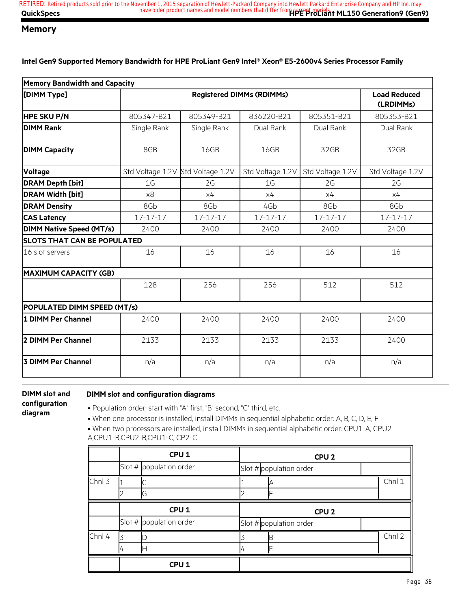### **Memory**

**Intel Gen9 Supported Memory Bandwidth for HPE ProLiant Gen9 Intel® Xeon® E5-2600v4 Series Processor Family**

| <b>Memory Bandwidth and Capacity</b> |                |                                   |                  |                  |                  |
|--------------------------------------|----------------|-----------------------------------|------------------|------------------|------------------|
| [DIMM Type]                          |                | <b>Load Reduced</b><br>(LRDIMMs)  |                  |                  |                  |
| <b>HPE SKU P/N</b>                   | 805347-B21     | 805349-B21                        | 836220-B21       | 805351-B21       | 805353-B21       |
| <b>DIMM Rank</b>                     | Single Rank    | Single Rank                       | Dual Rank        | Dual Rank        | Dual Rank        |
| <b>DIMM Capacity</b>                 | 8GB            | 16GB                              | 16GB             | 32GB             | 32GB             |
| <b>Voltage</b>                       |                | Std Voltage 1.2V Std Voltage 1.2V | Std Voltage 1.2V | Std Voltage 1.2V | Std Voltage 1.2V |
| <b>DRAM Depth [bit]</b>              | 1G             | 2G                                | 1G               | 2G               | 2G               |
| <b>DRAM Width [bit]</b>              | x8             | x4                                | x4               | x4               | x4               |
| <b>DRAM Density</b>                  | 8Gb            | 8Gb                               | 4Gb              | 8Gb              | 8Gb              |
| <b>CAS Latency</b>                   | $17 - 17 - 17$ | 17-17-17                          | 17-17-17         | 17-17-17         | $17 - 17 - 17$   |
| <b>DIMM Native Speed (MT/s)</b>      | 2400           | 2400                              | 2400             | 2400             | 2400             |
| <b>SLOTS THAT CAN BE POPULATED</b>   |                |                                   |                  |                  |                  |
| 16 slot servers                      | 16             | 16                                | 16               | 16               | 16               |
| <b>MAXIMUM CAPACITY (GB)</b>         |                |                                   |                  |                  |                  |
|                                      | 128            | 256                               | 256              | 512              | 512              |
| POPULATED DIMM SPEED (MT/s)          |                |                                   |                  |                  |                  |
| 1 DIMM Per Channel                   | 2400           | 2400                              | 2400             | 2400             | 2400             |
| 2 DIMM Per Channel                   | 2133           | 2133                              | 2133             | 2133             | 2400             |
| <b>3 DIMM Per Channel</b>            | n/a            | n/a                               | n/a              | n/a              | n/a              |

**DIMM slot and configuration diagram**

#### **DIMM slot and configuration diagrams**

• Population order; start with "A" first, "B" second, "C" third, etc.

• When one processor is installed, install DIMMs in sequential alphabetic order: A, B, C, D, E, F.

• When two processors are installed, install DIMMs in sequential alphabetic order: CPU1-A, CPU2- A,CPU1-B,CPU2-B,CPU1-C, CP2-C

|        | CPU <sub>1</sub>          |  | CPU <sub>2</sub>        |        |  |
|--------|---------------------------|--|-------------------------|--------|--|
|        | Slot # $population order$ |  | Slot # population order |        |  |
| Chnl 3 |                           |  |                         | Chnl 1 |  |
|        | C)                        |  |                         |        |  |
|        | CPU <sub>1</sub>          |  | CPU <sub>2</sub>        |        |  |
|        | Slot # population order   |  |                         |        |  |
|        |                           |  | Slot # population order |        |  |
| Chnl 4 |                           |  | В                       | Chnl 2 |  |
|        |                           |  |                         |        |  |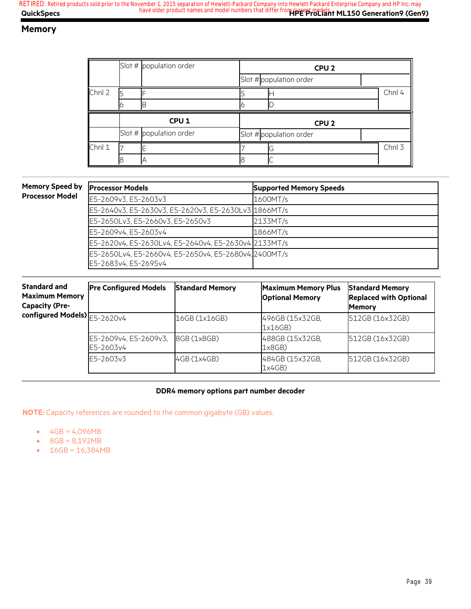## **Memory**

|        |                  | Slot # $population order$ | CPU <sub>2</sub> |                         |  |        |
|--------|------------------|---------------------------|------------------|-------------------------|--|--------|
|        |                  |                           |                  | Slot # population order |  |        |
| Chnl 2 |                  |                           |                  |                         |  | Chnl 4 |
|        |                  |                           |                  |                         |  |        |
|        | CPU <sub>1</sub> |                           |                  |                         |  |        |
|        |                  |                           |                  | CPU <sub>2</sub>        |  |        |
|        |                  | Slot $#$ population order |                  | Slot # population order |  |        |
| Chnl 1 |                  |                           |                  | G                       |  | Chnl 3 |

### **Memory Speed by Processor Model**

| <b>Processor Models</b>                               | <b>Supported Memory Speeds</b> |
|-------------------------------------------------------|--------------------------------|
| E5-2609v3, E5-2603v3                                  | 1600MT/s                       |
| E5-2640v3, E5-2630v3, E5-2620v3, E5-2630Lv3 1866MT/s  |                                |
| E5-2650Lv3, E5-2660v3, E5-2650v3                      | 2133MT/s                       |
| E5-2609v4, E5-2603v4                                  | 1866MT/s                       |
| E5-2620v4, E5-2630Lv4, E5-2640v4, E5-2630v4 2133MT/s  |                                |
| E5-2650Lv4, E5-2660v4, E5-2650v4, E5-2680v4, 2400MT/s |                                |
| E5-2683v4. E5-2695v4                                  |                                |

| <b>Standard and</b><br><b>Maximum Memory</b><br><b>Capacity (Pre-</b> | <b>Pre Configured Models</b>       | <b>Standard Memory</b> | <b>Maximum Memory Plus</b><br><b>Optional Memory</b> | <b>Standard Memory</b><br><b>Replaced with Optional</b><br><b>Memory</b> |  |
|-----------------------------------------------------------------------|------------------------------------|------------------------|------------------------------------------------------|--------------------------------------------------------------------------|--|
| configured Models) $\boxed{5-2620v4}$                                 |                                    | 16GB (1x16GB)          | 496GB (15x32GB,<br>1x16GB                            | 512GB (16x32GB)                                                          |  |
|                                                                       | E5-2609v4, E5-2609v3,<br>E5-2603v4 | 8GB (1x8GB)            | 488GB (15x32GB,<br>1x8GB                             | 512GB (16x32GB)                                                          |  |
|                                                                       | E5-2603v3                          | 4GB (1x4GB)            | 484GB (15x32GB,<br>1x4GB)                            | 512GB (16x32GB)                                                          |  |

#### **DDR4 memory options part number decoder**

**NOTE:** Capacity references are rounded to the common gigabyte (GB) values.

- $4GB = 4,096MB$
- 8GB = 8,192MB
- $16GB = 16,384MB$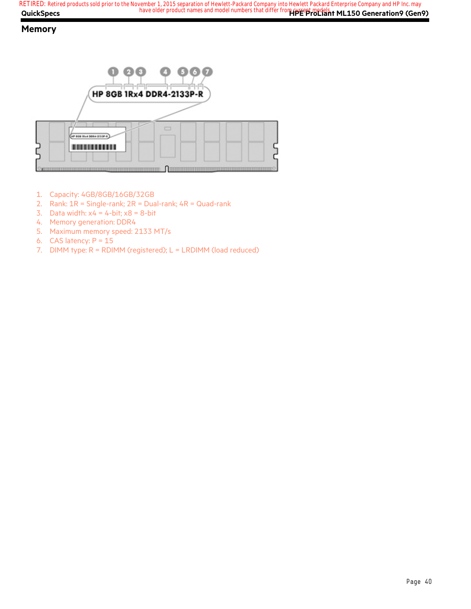## **Memory**



- 1. Capacity: 4GB/8GB/16GB/32GB
- 2. Rank:  $1R =$  Single-rank;  $2R =$  Dual-rank;  $4R =$  Quad-rank
- 3. Data width:  $x4 = 4$ -bit;  $x8 = 8$ -bit
- 4. Memory generation: DDR4
- 5. Maximum memory speed: 2133 MT/s
- 6. CAS latency:  $P = 15$
- 7. DIMM type: R = RDIMM (registered); L = LRDIMM (load reduced)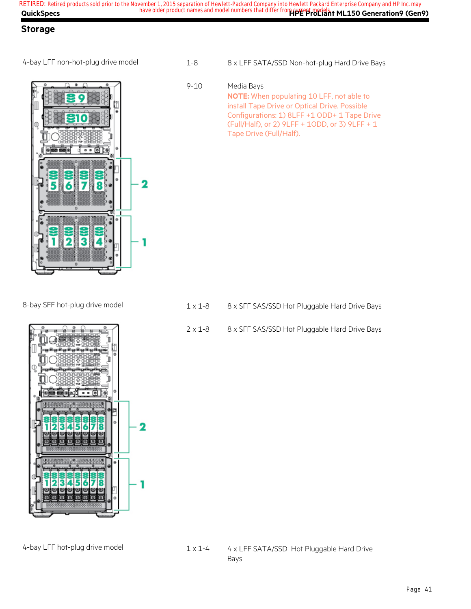**QuickSpecs Here are all of the same of the product names and model numbers that differ from current models. The Seneration9 (Gen9) RETIRED: Retired products sold prior to the November 1, 2015 separation of Hewlett-Packard Company into Hewlett Packard Enterprise Company and HP Inc. may**

## **Storage**



4-bay LFF non-hot-plug drive model 1-8 8 x LFF SATA/SSD Non-hot-plug Hard Drive Bays

9-10 Media Bays **NOTE:** When populating 10 LFF, not able to install Tape Drive or Optical Drive. Possible Configurations: 1) 8LFF +1 ODD+ 1 Tape Drive (Full/Half), or 2) 9LFF + 1ODD, or 3) 9LFF + 1 Tape Drive (Full/Half).

- 8-bay SFF hot-plug drive model  $1 \times 1 8$  8 x SFF SAS/SSD Hot Pluggable Hard Drive Bays
	- 2 x 1-8 8 x SFF SAS/SSD Hot Pluggable Hard Drive Bays



### 4-bay LFF hot-plug drive model 1 x 1-4 4 x LFF SATA/SSD Hot Pluggable Hard Drive Bays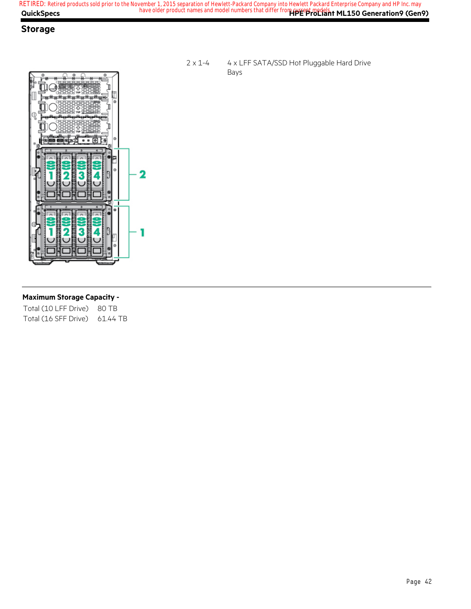## **Storage**



#### 2 x 1-4 4 x LFF SATA/SSD Hot Pluggable Hard Drive Bays

#### **Maximum Storage Capacity -**

Total (10 LFF Drive) 80 TB Total (16 SFF Drive) 61.44 TB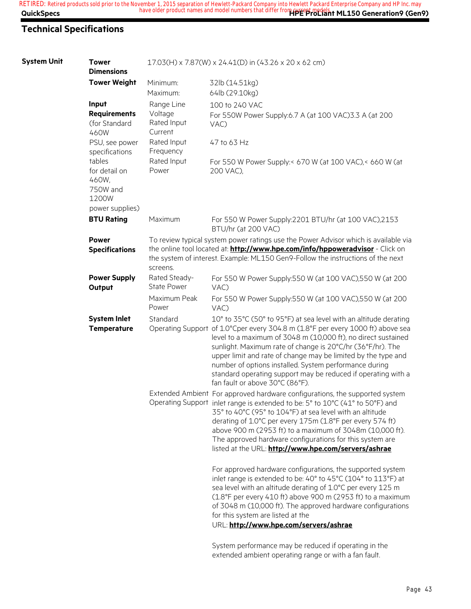## **Technical Specifications**

| <b>System Unit</b> | <b>Tower</b><br><b>Dimensions</b>                     |                                                 | 17.03(H) x 7.87(W) x 24.41(D) in (43.26 x 20 x 62 cm)                                                                                                                                                                                                                                                                                                                                                                                                                                                             |
|--------------------|-------------------------------------------------------|-------------------------------------------------|-------------------------------------------------------------------------------------------------------------------------------------------------------------------------------------------------------------------------------------------------------------------------------------------------------------------------------------------------------------------------------------------------------------------------------------------------------------------------------------------------------------------|
|                    | <b>Tower Weight</b>                                   | Minimum:<br>Maximum:                            | 32lb (14.51kg)<br>64lb (29.10kg)                                                                                                                                                                                                                                                                                                                                                                                                                                                                                  |
|                    | Input<br><b>Requirements</b><br>(for Standard<br>460W | Range Line<br>Voltage<br>Rated Input<br>Current | 100 to 240 VAC<br>For 550W Power Supply:6.7 A (at 100 VAC) 3.3 A (at 200<br>VAC)                                                                                                                                                                                                                                                                                                                                                                                                                                  |
|                    | PSU, see power<br>specifications                      | Rated Input<br>Frequency                        | 47 to 63 Hz                                                                                                                                                                                                                                                                                                                                                                                                                                                                                                       |
|                    | tables<br>for detail on<br>460W,<br>750W and<br>1200W | Rated Input<br>Power                            | For 550 W Power Supply:< 670 W (at 100 VAC),< 660 W (at<br>200 VAC),                                                                                                                                                                                                                                                                                                                                                                                                                                              |
|                    | power supplies)<br><b>BTU Rating</b>                  | Maximum                                         | For 550 W Power Supply:2201 BTU/hr (at 100 VAC),2153                                                                                                                                                                                                                                                                                                                                                                                                                                                              |
|                    |                                                       |                                                 | BTU/hr (at 200 VAC)                                                                                                                                                                                                                                                                                                                                                                                                                                                                                               |
|                    | <b>Power</b><br><b>Specifications</b>                 | screens.                                        | To review typical system power ratings use the Power Advisor which is available via<br>the online tool located at: <b>http://www.hpe.com/info/hppoweradvisor</b> - Click on<br>the system of interest. Example: ML150 Gen9-Follow the instructions of the next                                                                                                                                                                                                                                                    |
|                    | <b>Power Supply</b><br>Output                         | Rated Steady-<br><b>State Power</b>             | For 550 W Power Supply:550 W (at 100 VAC),550 W (at 200<br>VAC)                                                                                                                                                                                                                                                                                                                                                                                                                                                   |
|                    |                                                       | Maximum Peak<br>Power                           | For 550 W Power Supply:550 W (at 100 VAC),550 W (at 200<br>VAC)                                                                                                                                                                                                                                                                                                                                                                                                                                                   |
|                    | <b>System Inlet</b><br><b>Temperature</b>             | Standard                                        | 10° to 35°C (50° to 95°F) at sea level with an altitude derating<br>Operating Support of 1.0°Cper every 304.8 m (1.8°F per every 1000 ft) above sea<br>level to a maximum of 3048 m (10,000 ft), no direct sustained<br>sunlight. Maximum rate of change is 20°C/hr (36°F/hr). The<br>upper limit and rate of change may be limited by the type and<br>number of options installed. System performance during<br>standard operating support may be reduced if operating with a<br>fan fault or above 30°C (86°F). |
|                    |                                                       |                                                 | Extended Ambient For approved hardware configurations, the supported system<br>Operating Support inlet range is extended to be: 5° to 10°C (41° to 50°F) and<br>35° to 40°C (95° to 104°F) at sea level with an altitude<br>derating of 1.0°C per every 175m (1.8°F per every 574 ft)<br>above 900 m (2953 ft) to a maximum of 3048m (10,000 ft).<br>The approved hardware configurations for this system are<br>listed at the URL: http://www.hpe.com/servers/ashrae                                             |
|                    |                                                       |                                                 | For approved hardware configurations, the supported system<br>inlet range is extended to be: 40° to 45°C (104° to 113°F) at<br>sea level with an altitude derating of 1.0°C per every 125 m<br>(1.8°F per every 410 ft) above 900 m (2953 ft) to a maximum<br>of 3048 m (10,000 ft). The approved hardware configurations<br>for this system are listed at the<br>URL: http://www.hpe.com/servers/ashrae                                                                                                          |
|                    |                                                       |                                                 | System performance may be reduced if operating in the                                                                                                                                                                                                                                                                                                                                                                                                                                                             |

extended ambient operating range or with a fan fault.

Page 43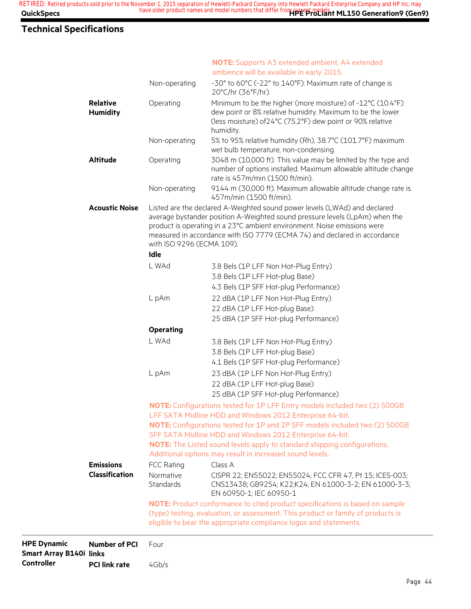## **Technical Specifications**

|                                    |                                   | <b>NOTE:</b> Supports A3 extended ambient, A4 extended<br>ambience will be available in early 2015.                                                                                                                                                                                                                                                                                                                              |
|------------------------------------|-----------------------------------|----------------------------------------------------------------------------------------------------------------------------------------------------------------------------------------------------------------------------------------------------------------------------------------------------------------------------------------------------------------------------------------------------------------------------------|
|                                    | Non-operating                     | -30° to 60°C (-22° to 140°F). Maximum rate of change is<br>20°C/hr (36°F/hr).                                                                                                                                                                                                                                                                                                                                                    |
| <b>Relative</b><br><b>Humidity</b> | Operating                         | Minimum to be the higher (more moisture) of -12°C (10.4°F)<br>dew point or 8% relative humidity. Maximum to be the lower<br>(less moisture) of 24°C (75.2°F) dew point or 90% relative<br>humidity.                                                                                                                                                                                                                              |
|                                    | Non-operating                     | 5% to 95% relative humidity (Rh), 38.7°C (101.7°F) maximum<br>wet bulb temperature, non-condensing.                                                                                                                                                                                                                                                                                                                              |
| <b>Altitude</b>                    | Operating                         | 3048 m (10,000 ft). This value may be limited by the type and<br>number of options installed. Maximum allowable altitude change<br>rate is 457m/min (1500 ft/min).                                                                                                                                                                                                                                                               |
|                                    | Non-operating                     | 9144 m (30,000 ft). Maximum allowable altitude change rate is<br>457m/min (1500 ft/min).                                                                                                                                                                                                                                                                                                                                         |
| <b>Acoustic Noise</b>              | with ISO 9296 (ECMA 109).<br>Idle | Listed are the declared A-Weighted sound power levels (LWAd) and declared<br>average bystander position A-Weighted sound pressure levels (LpAm) when the<br>product is operating in a 23°C ambient environment. Noise emissions were<br>measured in accordance with ISO 7779 (ECMA 74) and declared in accordance                                                                                                                |
|                                    | L WAd                             | 3.8 Bels (1P LFF Non Hot-Plug Entry)                                                                                                                                                                                                                                                                                                                                                                                             |
|                                    |                                   | 3.8 Bels (1P LFF Hot-plug Base)                                                                                                                                                                                                                                                                                                                                                                                                  |
|                                    |                                   | 4.3 Bels (1P SFF Hot-plug Performance)                                                                                                                                                                                                                                                                                                                                                                                           |
|                                    | L pAm                             | 22 dBA (1P LFF Non Hot-Plug Entry)<br>22 dBA (1P LFF Hot-plug Base)<br>25 dBA (1P SFF Hot-plug Performance)                                                                                                                                                                                                                                                                                                                      |
|                                    | <b>Operating</b>                  |                                                                                                                                                                                                                                                                                                                                                                                                                                  |
|                                    | L WAd                             | 3.8 Bels (1P LFF Non Hot-Plug Entry)<br>3.8 Bels (1P LFF Hot-plug Base)<br>4.1 Bels (1P SFF Hot-plug Performance)                                                                                                                                                                                                                                                                                                                |
|                                    | L pAm                             | 23 dBA (1P LFF Non Hot-Plug Entry)<br>22 dBA (1P LFF Hot-plug Base)<br>25 dBA (1P SFF Hot-plug Performance)                                                                                                                                                                                                                                                                                                                      |
|                                    |                                   | NOTE: Configurations tested for 1P LFF Entry models included two (2) 500GB<br>LFF SATA Midline HDD and Windows 2012 Enterprise 64-bit.<br>NOTE: Configurations tested for 1P and 2P SFF models included two (2) 500GB<br>SFF SATA Midline HDD and Windows 2012 Enterprise 64-bit.<br><b>NOTE:</b> The Listed sound levels apply to standard shipping configurations.<br>Additional options may result in increased sound levels. |
| <b>Emissions</b>                   | <b>FCC Rating</b>                 | Class A                                                                                                                                                                                                                                                                                                                                                                                                                          |
| <b>Classification</b>              | Normative<br>Standards            | CISPR 22; EN55022; EN55024; FCC CFR 47, Pt 15; ICES-003;<br>CNS13438; GB9254; K22;K24; EN 61000-3-2; EN 61000-3-3;<br>EN 60950-1; IEC 60950-1                                                                                                                                                                                                                                                                                    |
|                                    |                                   | NOTE: Product conformance to cited product specifications is based on sample                                                                                                                                                                                                                                                                                                                                                     |
|                                    |                                   | (type) testing, evaluation, or assessment. This product or family of products is<br>eligible to bear the appropriate compliance logos and statements.                                                                                                                                                                                                                                                                            |
| <b>Number of PCI</b>               | Four                              |                                                                                                                                                                                                                                                                                                                                                                                                                                  |
|                                    |                                   |                                                                                                                                                                                                                                                                                                                                                                                                                                  |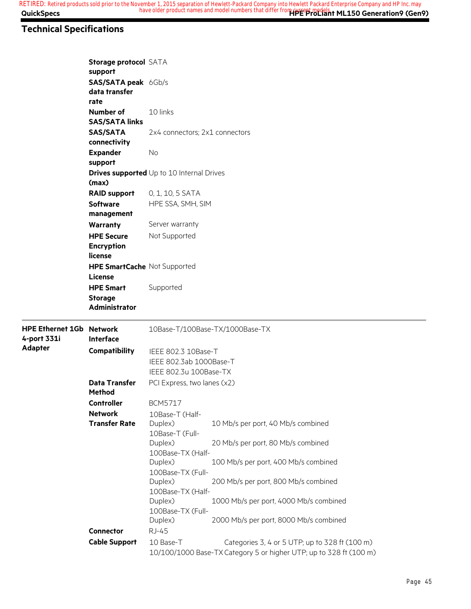## **Technical Specifications**

|                                                              | Storage protocol SATA<br>support       |                                                                                                                                   |                                        |  |  |  |  |
|--------------------------------------------------------------|----------------------------------------|-----------------------------------------------------------------------------------------------------------------------------------|----------------------------------------|--|--|--|--|
|                                                              | SAS/SATA peak 6Gb/s                    |                                                                                                                                   |                                        |  |  |  |  |
|                                                              | data transfer                          |                                                                                                                                   |                                        |  |  |  |  |
|                                                              | rate                                   |                                                                                                                                   |                                        |  |  |  |  |
|                                                              | Number of<br><b>SAS/SATA links</b>     | 10 links                                                                                                                          |                                        |  |  |  |  |
|                                                              | <b>SAS/SATA</b>                        | 2x4 connectors; 2x1 connectors                                                                                                    |                                        |  |  |  |  |
| connectivity                                                 |                                        |                                                                                                                                   |                                        |  |  |  |  |
|                                                              | <b>Expander</b>                        | <b>No</b>                                                                                                                         |                                        |  |  |  |  |
|                                                              | support                                |                                                                                                                                   |                                        |  |  |  |  |
|                                                              | (max)                                  | <b>Drives supported</b> Up to 10 Internal Drives                                                                                  |                                        |  |  |  |  |
|                                                              | <b>RAID support</b>                    | 0, 1, 10, 5 SATA                                                                                                                  |                                        |  |  |  |  |
| <b>Software</b><br>HPE SSA, SMH, SIM                         |                                        |                                                                                                                                   |                                        |  |  |  |  |
|                                                              | management                             |                                                                                                                                   |                                        |  |  |  |  |
|                                                              | Warranty                               | Server warranty                                                                                                                   |                                        |  |  |  |  |
|                                                              | <b>HPE Secure</b>                      | Not Supported                                                                                                                     |                                        |  |  |  |  |
| <b>Encryption</b><br>license<br>HPE SmartCache Not Supported |                                        |                                                                                                                                   |                                        |  |  |  |  |
|                                                              |                                        |                                                                                                                                   |                                        |  |  |  |  |
|                                                              |                                        |                                                                                                                                   |                                        |  |  |  |  |
|                                                              | License                                |                                                                                                                                   |                                        |  |  |  |  |
|                                                              | <b>HPE Smart</b>                       | Supported                                                                                                                         |                                        |  |  |  |  |
|                                                              | <b>Storage</b><br><b>Administrator</b> |                                                                                                                                   |                                        |  |  |  |  |
| <b>HPE Ethernet 1Gb Network</b><br>4-port 331i               | Interface                              |                                                                                                                                   | 10Base-T/100Base-TX/1000Base-TX        |  |  |  |  |
| <b>Adapter</b>                                               |                                        |                                                                                                                                   |                                        |  |  |  |  |
|                                                              | <b>Compatibility</b>                   | IEEE 802.3 10Base-T<br>IEEE 802.3ab 1000Base-T                                                                                    |                                        |  |  |  |  |
|                                                              |                                        | IEEE 802.3u 100Base-TX                                                                                                            |                                        |  |  |  |  |
|                                                              | <b>Data Transfer</b>                   | PCI Express, two lanes (x2)                                                                                                       |                                        |  |  |  |  |
|                                                              | <b>Method</b>                          |                                                                                                                                   |                                        |  |  |  |  |
|                                                              | <b>Controller</b>                      | <b>BCM5717</b>                                                                                                                    |                                        |  |  |  |  |
|                                                              | <b>Network</b>                         | 10Base-T (Half-                                                                                                                   |                                        |  |  |  |  |
|                                                              | <b>Transfer Rate</b>                   | Duplex)                                                                                                                           | 10 Mb/s per port, 40 Mb/s combined     |  |  |  |  |
|                                                              |                                        | 10Base-T (Full-                                                                                                                   |                                        |  |  |  |  |
|                                                              |                                        | Duplex)<br>100Base-TX (Half-                                                                                                      | 20 Mb/s per port, 80 Mb/s combined     |  |  |  |  |
|                                                              |                                        | Duplex)                                                                                                                           | 100 Mb/s per port, 400 Mb/s combined   |  |  |  |  |
|                                                              |                                        | 100Base-TX (Full-                                                                                                                 |                                        |  |  |  |  |
|                                                              |                                        | Duplex)                                                                                                                           | 200 Mb/s per port, 800 Mb/s combined   |  |  |  |  |
|                                                              |                                        | 100Base-TX (Half-                                                                                                                 |                                        |  |  |  |  |
|                                                              |                                        | Duplex)                                                                                                                           | 1000 Mb/s per port, 4000 Mb/s combined |  |  |  |  |
|                                                              |                                        | 100Base-TX (Full-                                                                                                                 |                                        |  |  |  |  |
|                                                              |                                        | Duplex)                                                                                                                           | 2000 Mb/s per port, 8000 Mb/s combined |  |  |  |  |
|                                                              | Connector                              | <b>RJ-45</b>                                                                                                                      |                                        |  |  |  |  |
|                                                              | <b>Cable Support</b>                   | 10 Base-T<br>Categories 3, 4 or 5 UTP; up to 328 ft (100 m)<br>10/100/1000 Base-TX Category 5 or higher UTP; up to 328 ft (100 m) |                                        |  |  |  |  |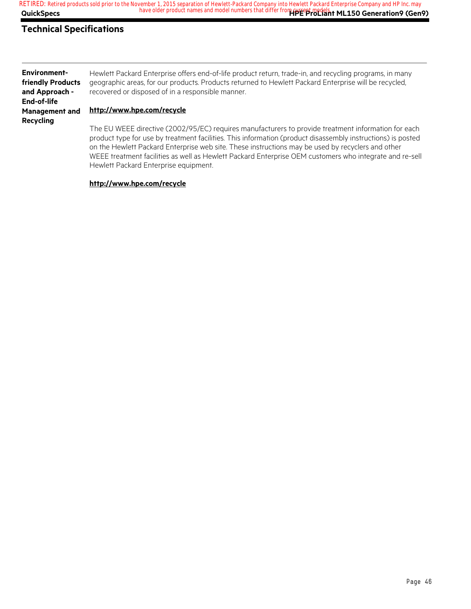**QuickSpecs Here are all of the same of the product names and model numbers that differ from current models. The Seneration 9 (Gen9) RETIRED: Retired products sold prior to the November 1, 2015 separation of Hewlett-Packard Company into Hewlett Packard Enterprise Company and HP Inc. may**

## **Technical Specifications**

**Environmentfriendly Products and Approach - End-of-life Management and Recycling**

Hewlett Packard Enterprise offers end-of-life product return, trade-in, and recycling programs, in many geographic areas, for our products. Products returned to Hewlett Packard Enterprise will be recycled, recovered or disposed of in a responsible manner.

#### **http://www.hpe.com/recycle**

The EU WEEE directive (2002/95/EC) requires manufacturers to provide treatment information for each product type for use by treatment facilities. This information (product disassembly instructions) is posted on the Hewlett Packard Enterprise web site. These instructions may be used by recyclers and other WEEE treatment facilities as well as Hewlett Packard Enterprise OEM customers who integrate and re-sell Hewlett Packard Enterprise equipment.

#### **http://www.hpe.com/recycle**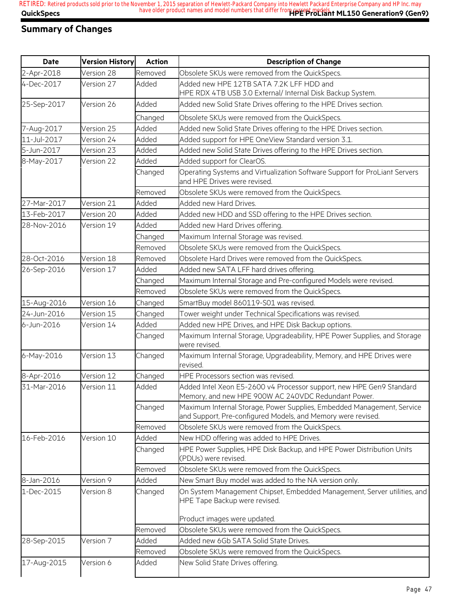## **Summary of Changes**

| <b>Date</b> | <b>Version History</b> | <b>Action</b> | <b>Description of Change</b>                                                                                                           |
|-------------|------------------------|---------------|----------------------------------------------------------------------------------------------------------------------------------------|
| 2-Apr-2018  | Version 28             | Removed       | Obsolete SKUs were removed from the QuickSpecs.                                                                                        |
| 4-Dec-2017  | Version 27             | Added         | Added new HPE 12TB SATA 7.2K LFF HDD and<br>HPE RDX 4TB USB 3.0 External/ Internal Disk Backup System.                                 |
| 25-Sep-2017 | Version 26             | Added         | Added new Solid State Drives offering to the HPE Drives section.                                                                       |
|             |                        | Changed       | Obsolete SKUs were removed from the QuickSpecs.                                                                                        |
| 7-Aug-2017  | Version 25             | Added         | Added new Solid State Drives offering to the HPE Drives section.                                                                       |
| 11-Jul-2017 | Version 24             | Added         | Added support for HPE OneView Standard version 3.1.                                                                                    |
| 5-Jun-2017  | Version 23             | Added         | Added new Solid State Drives offering to the HPE Drives section.                                                                       |
| 8-May-2017  | Version 22             | Added         | Added support for ClearOS.                                                                                                             |
|             |                        | Changed       | Operating Systems and Virtualization Software Support for ProLiant Servers<br>and HPE Drives were revised.                             |
|             |                        | Removed       | Obsolete SKUs were removed from the QuickSpecs.                                                                                        |
| 27-Mar-2017 | Version 21             | Added         | Added new Hard Drives.                                                                                                                 |
| 13-Feb-2017 | Version 20             | Added         | Added new HDD and SSD offering to the HPE Drives section.                                                                              |
| 28-Nov-2016 | Version 19             | Added         | Added new Hard Drives offering.                                                                                                        |
|             |                        | Changed       | Maximum Internal Storage was revised.                                                                                                  |
|             |                        | Removed       | Obsolete SKUs were removed from the QuickSpecs.                                                                                        |
| 28-Oct-2016 | Version 18             | Removed       | Obsolete Hard Drives were removed from the QuickSpecs.                                                                                 |
| 26-Sep-2016 | Version 17             | Added         | Added new SATA LFF hard drives offering.                                                                                               |
|             |                        | Changed       | Maximum Internal Storage and Pre-configured Models were revised.                                                                       |
|             |                        | Removed       | Obsolete SKUs were removed from the QuickSpecs.                                                                                        |
| 15-Aug-2016 | Version 16             | Changed       | SmartBuy model 860119-S01 was revised.                                                                                                 |
| 24-Jun-2016 | Version 15             | Changed       | Tower weight under Technical Specifications was revised.                                                                               |
| 6-Jun-2016  | Version 14             | Added         | Added new HPE Drives, and HPE Disk Backup options.                                                                                     |
|             |                        | Changed       | Maximum Internal Storage, Upgradeability, HPE Power Supplies, and Storage<br>were revised.                                             |
| 6-May-2016  | Version 13             | Changed       | Maximum Internal Storage, Upgradeability, Memory, and HPE Drives were<br>revised.                                                      |
| 8-Apr-2016  | Version 12             | Changed       | HPE Processors section was revised.                                                                                                    |
| 31-Mar-2016 | Version 11             | Added         | Added Intel Xeon E5-2600 v4 Processor support, new HPE Gen9 Standard<br>Memory, and new HPE 900W AC 240VDC Redundant Power.            |
|             |                        | Changed       | Maximum Internal Storage, Power Supplies, Embedded Management, Service<br>and Support, Pre-configured Models, and Memory were revised. |
|             |                        | Removed       | Obsolete SKUs were removed from the QuickSpecs.                                                                                        |
| 16-Feb-2016 | Version 10             | Added         | New HDD offering was added to HPE Drives.                                                                                              |
|             |                        | Changed       | HPE Power Supplies, HPE Disk Backup, and HPE Power Distribution Units<br>(PDUs) were revised.                                          |
|             |                        | Removed       | Obsolete SKUs were removed from the QuickSpecs.                                                                                        |
| 8-Jan-2016  | Version 9              | Added         | New Smart Buy model was added to the NA version only.                                                                                  |
| 1-Dec-2015  | Version 8              | Changed       | On System Management Chipset, Embedded Management, Server utilities, and<br>HPE Tape Backup were revised.                              |
|             |                        |               | Product images were updated.                                                                                                           |
|             |                        | Removed       | Obsolete SKUs were removed from the QuickSpecs.                                                                                        |
| 28-Sep-2015 | Version 7              | Added         | Added new 6Gb SATA Solid State Drives.                                                                                                 |
|             |                        | Removed       | Obsolete SKUs were removed from the QuickSpecs.                                                                                        |
| 17-Aug-2015 | Version 6              | Added         | New Solid State Drives offering.                                                                                                       |